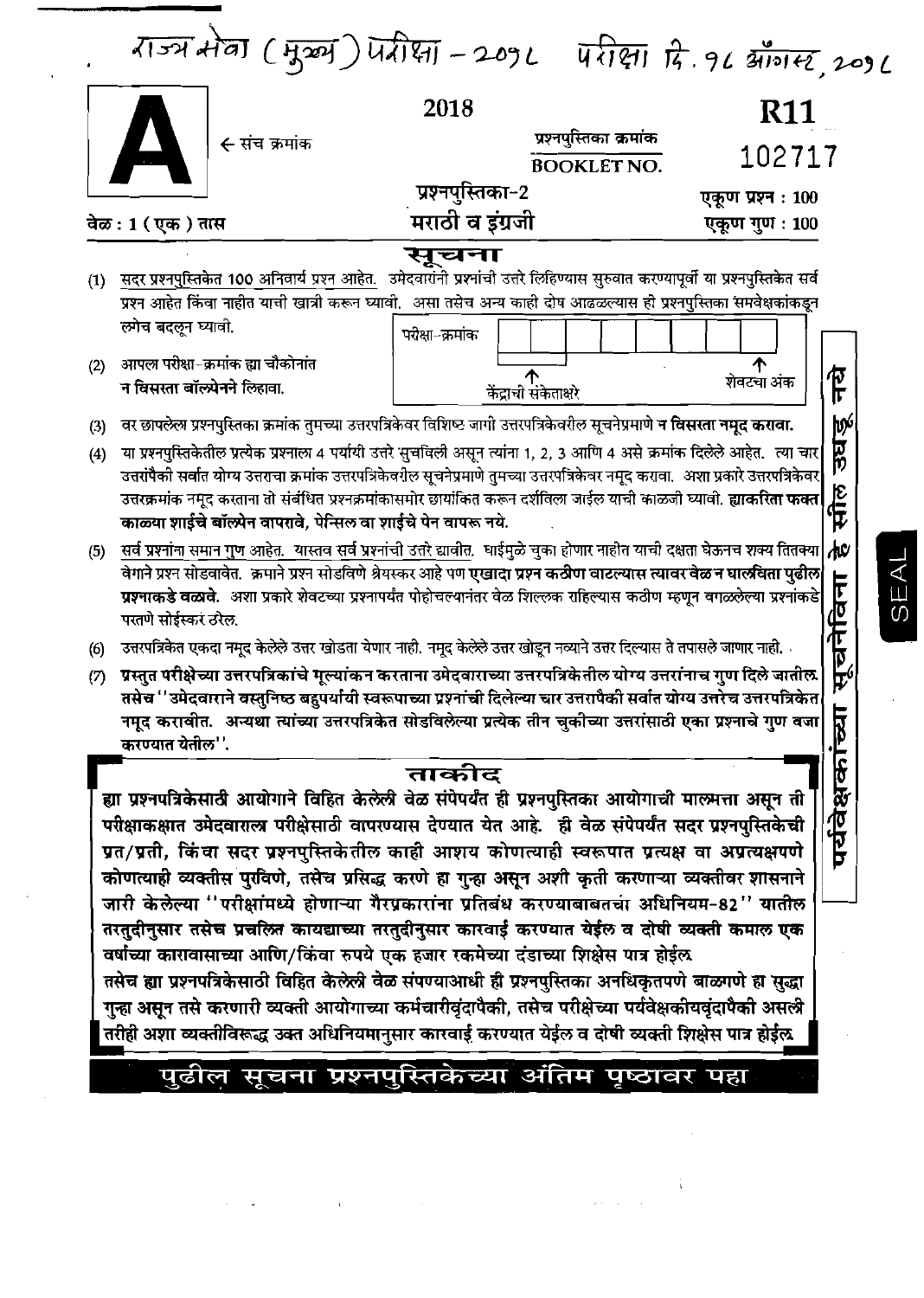| राज्य सेवा (मुख्य) प्रतीक्षा - 2092 परीक्षा दि. १८ ऑगस्ट, 2096 |  |
|----------------------------------------------------------------|--|
|----------------------------------------------------------------|--|

 $\frac{1}{2}$ 

| <b>BOOKLET NO.</b><br>प्रश्नपुस्तिका-2<br>एकूण प्रश्न : 100<br>मराठी व इंग्रजी<br>वेळ : 1 ( एक ) तास<br>सूचना<br><u>सदर प्रश्नपुस्तिकेत 100 अनिवार्य प्रश्न आहेत.</u> उमेदवारांनी प्रश्नांची उत्तरे लिहिण्यास सुरुवात करण्यापूर्वी या प्रश्नपुस्तिकेत सर्व<br>(1)<br>प्रश्न आहेत किंवा नाहीत याची खात्री करून घ्यावी. असा तसेच अन्य काही दोष आढळल्यास ही प्रश्नपुस्तिका समवेक्षकांकडून<br>ल्गेच बदलून घ्यावी.<br>परीक्षा-क्रमांक<br>आपला परीक्षा-क्रमांक ह्या चौकोनांत<br>(2)<br>个<br>न विसरता बॉल्प्रेनने लिहावा.<br>केंद्राची संकेताक्षरे<br>वर छापलेला प्रश्नपुस्तिका क्रमांक तुमच्या उत्तरपत्रिकेवर विशिष्ट जागी उत्तरपत्रिकेवरील सूचनेप्रमाणे <b>न विसरता नमूद करावा.</b><br>(3)<br>या प्रश्नपुस्तिकेतील प्रत्येक प्रश्नाला 4 पर्यायी उत्तरे सुचविली असून त्यांना 1, 2, 3 आणि 4 असे क्रमांक दिलेले आहेत. त्या चार<br>(4)<br>उत्तरांपैकी सर्वात योग्य उत्तराचा क्रमांक उत्तरपत्रिकेवरील सूचनेप्रमाणे तुमच्या उत्तरपत्रिकेवर नमूद करावा. अशा प्रकारे उत्तरपत्रिकेवर<br>उत्तरक्रमांक नमूद करताना तो संबंधित प्रश्नक्रमांकासमोर छायांकित करून दर्शविला जाईल याची काळजी घ्यावी. <b>ह्याकरिता फक्त</b><br>काळ्या शाईचे बॉल्प्रेन वापरावे, पेन्सिल वा शाईचे पेन वापरू नये.<br>सर्व प्रश्नांना समान गुण आहेत. यास्तव सर्व प्रश्नांची उत्तरे द्यावीत. धाईमुळे चुका होणार नाहीत याची दक्षता घेऊनच शक्य तितक्या<br>(5)<br>वेगाने प्रश्न सोडवावेत.  क्रमाने प्रश्न सोडविणे श्रेयस्कर आहे पण <mark>एखादा प्रश्न कठीण वाटल्यास त्यावर वेळ न घालविता पुढील</mark><br>प्रश्नाकडे वळावे. अशा प्रकारे शेवटच्या प्रश्नापर्यंत पोहोचल्यानंतर वेळ शिल्लक राहिल्यास कठीण म्हणून वगळलेल्या प्रश्नांकडे<br>परतणे सोईस्कर ठरेल.<br>ं उत्तरपत्रिकेत एकदा नमूद केलेले उत्तर खोडता येणार नाही. नमूद केलेले उत्तर खोडून नव्याने उत्तर दिल्यास ते तपासले जाणार नाही.<br>(6)<br>ग्रस्तुत परीक्षेच्या उत्तरपत्रिकांचे मूल्यांकन करताना उमेदवाराच्या उत्तरपत्रिकेतील योग्य उत्तरांनाच गुण दिले जातील<br>(7)<br>तसेच ''उमेदवाराने वस्तुनिष्ठ बहुपर्यायी स्वरूपाच्या प्रश्नांची दिलेल्या चार उत्तरापैकी सर्वात योग्य उत्तरेच उत्तरपत्रिकेत<br>नमूद करावीत. अन्यथा त्यांच्या उत्तरपत्रिकेत सोडविलेल्या प्रत्येक तीन चुकीच्या उत्तरांसाठी एका प्रश्नाचे गुण वजा<br>करण्यात येतील''.<br>ताकोट<br>ह्या प्रश्नपत्रिकेसाठी आयोगाने विहित केलेली वेळ संपेपर्यंत ही प्रश्नपुस्तिका आयोगाची मालमत्ता असून ती<br>परीक्षाकक्षात उमेदवाराल्न परीक्षेसाठी वापरण्यास देण्यात येत आहे. ही वेळ संपेपर्यंत सदर प्रश्नपुस्तिकेची<br>प्रत/प्रती, किंवा सदर प्रश्नपुस्तिकेतील काही आशय कोणत्याही स्वरूपात प्रत्यक्ष वा अप्रत्यक्षपणे<br>कोणत्याही व्यक्तीस पुरविणे, तसेच प्रसिद्ध करणे हा गुन्हा असून अशी कृती करणाऱ्या व्यक्तीवर शासनाने<br>जारी केलेल्या "परीक्षांमध्ये होणाऱ्या गैरप्रकारांना प्रतिबंध करण्याबाबतचा अधिनियम-82" यातील<br>तरतुदीनुसार तसेच प्रचलित कायद्याच्या तरतुदीनुसार कारवाई करण्यात येईल व दोषी व्यक्ती कमाल एक<br>वर्षांच्या कारावासाच्या आणि/किंवा रुपये एक हजार रकमेच्या दंडाच्या शिक्षेस पात्र होईल<br>तसेच ह्या प्रश्नपत्रिकेसाठी विहित केलेली वेळ संपण्याआधी ही प्रश्नपुस्तिका अनधिकृतपणे बाळगणे हा सुद्धा<br>गुन्हा असून तसे करणारी व्यक्ती आयोगाच्या कर्मचारीवृंदापैकी, तसेच परीक्षेच्या पर्यवेक्षकीयवृंदापैकी असली<br>तरीही अशा व्यक्तीविरूद्ध उक्त अधिनियमानुसार कारवाई करण्यात येईल व दोषी व्यक्ती शिक्षेस पात्र होईल<br>पुढील सूचना प्रश्नपुस्तिकेच्या अंतिम पृष्ठावर पहा | ← संच क्रमांक | प्रश्नपुस्तिका क्रमांक | <b>R11</b>     |
|-------------------------------------------------------------------------------------------------------------------------------------------------------------------------------------------------------------------------------------------------------------------------------------------------------------------------------------------------------------------------------------------------------------------------------------------------------------------------------------------------------------------------------------------------------------------------------------------------------------------------------------------------------------------------------------------------------------------------------------------------------------------------------------------------------------------------------------------------------------------------------------------------------------------------------------------------------------------------------------------------------------------------------------------------------------------------------------------------------------------------------------------------------------------------------------------------------------------------------------------------------------------------------------------------------------------------------------------------------------------------------------------------------------------------------------------------------------------------------------------------------------------------------------------------------------------------------------------------------------------------------------------------------------------------------------------------------------------------------------------------------------------------------------------------------------------------------------------------------------------------------------------------------------------------------------------------------------------------------------------------------------------------------------------------------------------------------------------------------------------------------------------------------------------------------------------------------------------------------------------------------------------------------------------------------------------------------------------------------------------------------------------------------------------------------------------------------------------------------------------------------------------------------------------------------------------------------------------------------------------------------------------------------------------------------------------------------------------------------------------------------------------------------------------------------------------------------------------------------------------------------------------------------------------------------------------------------------------------------------------------------------------------------------------------------------------------------------------------------------------------------------------------------------------------------------------------------------------------------------------------------------|---------------|------------------------|----------------|
|                                                                                                                                                                                                                                                                                                                                                                                                                                                                                                                                                                                                                                                                                                                                                                                                                                                                                                                                                                                                                                                                                                                                                                                                                                                                                                                                                                                                                                                                                                                                                                                                                                                                                                                                                                                                                                                                                                                                                                                                                                                                                                                                                                                                                                                                                                                                                                                                                                                                                                                                                                                                                                                                                                                                                                                                                                                                                                                                                                                                                                                                                                                                                                                                                                                             |               |                        | 102717         |
|                                                                                                                                                                                                                                                                                                                                                                                                                                                                                                                                                                                                                                                                                                                                                                                                                                                                                                                                                                                                                                                                                                                                                                                                                                                                                                                                                                                                                                                                                                                                                                                                                                                                                                                                                                                                                                                                                                                                                                                                                                                                                                                                                                                                                                                                                                                                                                                                                                                                                                                                                                                                                                                                                                                                                                                                                                                                                                                                                                                                                                                                                                                                                                                                                                                             |               |                        |                |
|                                                                                                                                                                                                                                                                                                                                                                                                                                                                                                                                                                                                                                                                                                                                                                                                                                                                                                                                                                                                                                                                                                                                                                                                                                                                                                                                                                                                                                                                                                                                                                                                                                                                                                                                                                                                                                                                                                                                                                                                                                                                                                                                                                                                                                                                                                                                                                                                                                                                                                                                                                                                                                                                                                                                                                                                                                                                                                                                                                                                                                                                                                                                                                                                                                                             |               |                        | एकूण गुण : 100 |
|                                                                                                                                                                                                                                                                                                                                                                                                                                                                                                                                                                                                                                                                                                                                                                                                                                                                                                                                                                                                                                                                                                                                                                                                                                                                                                                                                                                                                                                                                                                                                                                                                                                                                                                                                                                                                                                                                                                                                                                                                                                                                                                                                                                                                                                                                                                                                                                                                                                                                                                                                                                                                                                                                                                                                                                                                                                                                                                                                                                                                                                                                                                                                                                                                                                             |               |                        |                |
|                                                                                                                                                                                                                                                                                                                                                                                                                                                                                                                                                                                                                                                                                                                                                                                                                                                                                                                                                                                                                                                                                                                                                                                                                                                                                                                                                                                                                                                                                                                                                                                                                                                                                                                                                                                                                                                                                                                                                                                                                                                                                                                                                                                                                                                                                                                                                                                                                                                                                                                                                                                                                                                                                                                                                                                                                                                                                                                                                                                                                                                                                                                                                                                                                                                             |               |                        |                |
|                                                                                                                                                                                                                                                                                                                                                                                                                                                                                                                                                                                                                                                                                                                                                                                                                                                                                                                                                                                                                                                                                                                                                                                                                                                                                                                                                                                                                                                                                                                                                                                                                                                                                                                                                                                                                                                                                                                                                                                                                                                                                                                                                                                                                                                                                                                                                                                                                                                                                                                                                                                                                                                                                                                                                                                                                                                                                                                                                                                                                                                                                                                                                                                                                                                             |               |                        |                |
|                                                                                                                                                                                                                                                                                                                                                                                                                                                                                                                                                                                                                                                                                                                                                                                                                                                                                                                                                                                                                                                                                                                                                                                                                                                                                                                                                                                                                                                                                                                                                                                                                                                                                                                                                                                                                                                                                                                                                                                                                                                                                                                                                                                                                                                                                                                                                                                                                                                                                                                                                                                                                                                                                                                                                                                                                                                                                                                                                                                                                                                                                                                                                                                                                                                             |               |                        |                |
|                                                                                                                                                                                                                                                                                                                                                                                                                                                                                                                                                                                                                                                                                                                                                                                                                                                                                                                                                                                                                                                                                                                                                                                                                                                                                                                                                                                                                                                                                                                                                                                                                                                                                                                                                                                                                                                                                                                                                                                                                                                                                                                                                                                                                                                                                                                                                                                                                                                                                                                                                                                                                                                                                                                                                                                                                                                                                                                                                                                                                                                                                                                                                                                                                                                             |               |                        |                |
|                                                                                                                                                                                                                                                                                                                                                                                                                                                                                                                                                                                                                                                                                                                                                                                                                                                                                                                                                                                                                                                                                                                                                                                                                                                                                                                                                                                                                                                                                                                                                                                                                                                                                                                                                                                                                                                                                                                                                                                                                                                                                                                                                                                                                                                                                                                                                                                                                                                                                                                                                                                                                                                                                                                                                                                                                                                                                                                                                                                                                                                                                                                                                                                                                                                             |               |                        | शेवटचा अंक     |
|                                                                                                                                                                                                                                                                                                                                                                                                                                                                                                                                                                                                                                                                                                                                                                                                                                                                                                                                                                                                                                                                                                                                                                                                                                                                                                                                                                                                                                                                                                                                                                                                                                                                                                                                                                                                                                                                                                                                                                                                                                                                                                                                                                                                                                                                                                                                                                                                                                                                                                                                                                                                                                                                                                                                                                                                                                                                                                                                                                                                                                                                                                                                                                                                                                                             |               |                        |                |
|                                                                                                                                                                                                                                                                                                                                                                                                                                                                                                                                                                                                                                                                                                                                                                                                                                                                                                                                                                                                                                                                                                                                                                                                                                                                                                                                                                                                                                                                                                                                                                                                                                                                                                                                                                                                                                                                                                                                                                                                                                                                                                                                                                                                                                                                                                                                                                                                                                                                                                                                                                                                                                                                                                                                                                                                                                                                                                                                                                                                                                                                                                                                                                                                                                                             |               |                        |                |
|                                                                                                                                                                                                                                                                                                                                                                                                                                                                                                                                                                                                                                                                                                                                                                                                                                                                                                                                                                                                                                                                                                                                                                                                                                                                                                                                                                                                                                                                                                                                                                                                                                                                                                                                                                                                                                                                                                                                                                                                                                                                                                                                                                                                                                                                                                                                                                                                                                                                                                                                                                                                                                                                                                                                                                                                                                                                                                                                                                                                                                                                                                                                                                                                                                                             |               |                        |                |
|                                                                                                                                                                                                                                                                                                                                                                                                                                                                                                                                                                                                                                                                                                                                                                                                                                                                                                                                                                                                                                                                                                                                                                                                                                                                                                                                                                                                                                                                                                                                                                                                                                                                                                                                                                                                                                                                                                                                                                                                                                                                                                                                                                                                                                                                                                                                                                                                                                                                                                                                                                                                                                                                                                                                                                                                                                                                                                                                                                                                                                                                                                                                                                                                                                                             |               |                        |                |
|                                                                                                                                                                                                                                                                                                                                                                                                                                                                                                                                                                                                                                                                                                                                                                                                                                                                                                                                                                                                                                                                                                                                                                                                                                                                                                                                                                                                                                                                                                                                                                                                                                                                                                                                                                                                                                                                                                                                                                                                                                                                                                                                                                                                                                                                                                                                                                                                                                                                                                                                                                                                                                                                                                                                                                                                                                                                                                                                                                                                                                                                                                                                                                                                                                                             |               |                        |                |
|                                                                                                                                                                                                                                                                                                                                                                                                                                                                                                                                                                                                                                                                                                                                                                                                                                                                                                                                                                                                                                                                                                                                                                                                                                                                                                                                                                                                                                                                                                                                                                                                                                                                                                                                                                                                                                                                                                                                                                                                                                                                                                                                                                                                                                                                                                                                                                                                                                                                                                                                                                                                                                                                                                                                                                                                                                                                                                                                                                                                                                                                                                                                                                                                                                                             |               |                        |                |
|                                                                                                                                                                                                                                                                                                                                                                                                                                                                                                                                                                                                                                                                                                                                                                                                                                                                                                                                                                                                                                                                                                                                                                                                                                                                                                                                                                                                                                                                                                                                                                                                                                                                                                                                                                                                                                                                                                                                                                                                                                                                                                                                                                                                                                                                                                                                                                                                                                                                                                                                                                                                                                                                                                                                                                                                                                                                                                                                                                                                                                                                                                                                                                                                                                                             |               |                        |                |
|                                                                                                                                                                                                                                                                                                                                                                                                                                                                                                                                                                                                                                                                                                                                                                                                                                                                                                                                                                                                                                                                                                                                                                                                                                                                                                                                                                                                                                                                                                                                                                                                                                                                                                                                                                                                                                                                                                                                                                                                                                                                                                                                                                                                                                                                                                                                                                                                                                                                                                                                                                                                                                                                                                                                                                                                                                                                                                                                                                                                                                                                                                                                                                                                                                                             |               |                        |                |
|                                                                                                                                                                                                                                                                                                                                                                                                                                                                                                                                                                                                                                                                                                                                                                                                                                                                                                                                                                                                                                                                                                                                                                                                                                                                                                                                                                                                                                                                                                                                                                                                                                                                                                                                                                                                                                                                                                                                                                                                                                                                                                                                                                                                                                                                                                                                                                                                                                                                                                                                                                                                                                                                                                                                                                                                                                                                                                                                                                                                                                                                                                                                                                                                                                                             |               |                        |                |
|                                                                                                                                                                                                                                                                                                                                                                                                                                                                                                                                                                                                                                                                                                                                                                                                                                                                                                                                                                                                                                                                                                                                                                                                                                                                                                                                                                                                                                                                                                                                                                                                                                                                                                                                                                                                                                                                                                                                                                                                                                                                                                                                                                                                                                                                                                                                                                                                                                                                                                                                                                                                                                                                                                                                                                                                                                                                                                                                                                                                                                                                                                                                                                                                                                                             |               |                        |                |
|                                                                                                                                                                                                                                                                                                                                                                                                                                                                                                                                                                                                                                                                                                                                                                                                                                                                                                                                                                                                                                                                                                                                                                                                                                                                                                                                                                                                                                                                                                                                                                                                                                                                                                                                                                                                                                                                                                                                                                                                                                                                                                                                                                                                                                                                                                                                                                                                                                                                                                                                                                                                                                                                                                                                                                                                                                                                                                                                                                                                                                                                                                                                                                                                                                                             |               |                        |                |
|                                                                                                                                                                                                                                                                                                                                                                                                                                                                                                                                                                                                                                                                                                                                                                                                                                                                                                                                                                                                                                                                                                                                                                                                                                                                                                                                                                                                                                                                                                                                                                                                                                                                                                                                                                                                                                                                                                                                                                                                                                                                                                                                                                                                                                                                                                                                                                                                                                                                                                                                                                                                                                                                                                                                                                                                                                                                                                                                                                                                                                                                                                                                                                                                                                                             |               |                        |                |
|                                                                                                                                                                                                                                                                                                                                                                                                                                                                                                                                                                                                                                                                                                                                                                                                                                                                                                                                                                                                                                                                                                                                                                                                                                                                                                                                                                                                                                                                                                                                                                                                                                                                                                                                                                                                                                                                                                                                                                                                                                                                                                                                                                                                                                                                                                                                                                                                                                                                                                                                                                                                                                                                                                                                                                                                                                                                                                                                                                                                                                                                                                                                                                                                                                                             |               |                        |                |
|                                                                                                                                                                                                                                                                                                                                                                                                                                                                                                                                                                                                                                                                                                                                                                                                                                                                                                                                                                                                                                                                                                                                                                                                                                                                                                                                                                                                                                                                                                                                                                                                                                                                                                                                                                                                                                                                                                                                                                                                                                                                                                                                                                                                                                                                                                                                                                                                                                                                                                                                                                                                                                                                                                                                                                                                                                                                                                                                                                                                                                                                                                                                                                                                                                                             |               |                        |                |
|                                                                                                                                                                                                                                                                                                                                                                                                                                                                                                                                                                                                                                                                                                                                                                                                                                                                                                                                                                                                                                                                                                                                                                                                                                                                                                                                                                                                                                                                                                                                                                                                                                                                                                                                                                                                                                                                                                                                                                                                                                                                                                                                                                                                                                                                                                                                                                                                                                                                                                                                                                                                                                                                                                                                                                                                                                                                                                                                                                                                                                                                                                                                                                                                                                                             |               |                        |                |
|                                                                                                                                                                                                                                                                                                                                                                                                                                                                                                                                                                                                                                                                                                                                                                                                                                                                                                                                                                                                                                                                                                                                                                                                                                                                                                                                                                                                                                                                                                                                                                                                                                                                                                                                                                                                                                                                                                                                                                                                                                                                                                                                                                                                                                                                                                                                                                                                                                                                                                                                                                                                                                                                                                                                                                                                                                                                                                                                                                                                                                                                                                                                                                                                                                                             |               |                        |                |
|                                                                                                                                                                                                                                                                                                                                                                                                                                                                                                                                                                                                                                                                                                                                                                                                                                                                                                                                                                                                                                                                                                                                                                                                                                                                                                                                                                                                                                                                                                                                                                                                                                                                                                                                                                                                                                                                                                                                                                                                                                                                                                                                                                                                                                                                                                                                                                                                                                                                                                                                                                                                                                                                                                                                                                                                                                                                                                                                                                                                                                                                                                                                                                                                                                                             |               |                        |                |
|                                                                                                                                                                                                                                                                                                                                                                                                                                                                                                                                                                                                                                                                                                                                                                                                                                                                                                                                                                                                                                                                                                                                                                                                                                                                                                                                                                                                                                                                                                                                                                                                                                                                                                                                                                                                                                                                                                                                                                                                                                                                                                                                                                                                                                                                                                                                                                                                                                                                                                                                                                                                                                                                                                                                                                                                                                                                                                                                                                                                                                                                                                                                                                                                                                                             |               |                        |                |
|                                                                                                                                                                                                                                                                                                                                                                                                                                                                                                                                                                                                                                                                                                                                                                                                                                                                                                                                                                                                                                                                                                                                                                                                                                                                                                                                                                                                                                                                                                                                                                                                                                                                                                                                                                                                                                                                                                                                                                                                                                                                                                                                                                                                                                                                                                                                                                                                                                                                                                                                                                                                                                                                                                                                                                                                                                                                                                                                                                                                                                                                                                                                                                                                                                                             |               |                        |                |
|                                                                                                                                                                                                                                                                                                                                                                                                                                                                                                                                                                                                                                                                                                                                                                                                                                                                                                                                                                                                                                                                                                                                                                                                                                                                                                                                                                                                                                                                                                                                                                                                                                                                                                                                                                                                                                                                                                                                                                                                                                                                                                                                                                                                                                                                                                                                                                                                                                                                                                                                                                                                                                                                                                                                                                                                                                                                                                                                                                                                                                                                                                                                                                                                                                                             |               |                        |                |
|                                                                                                                                                                                                                                                                                                                                                                                                                                                                                                                                                                                                                                                                                                                                                                                                                                                                                                                                                                                                                                                                                                                                                                                                                                                                                                                                                                                                                                                                                                                                                                                                                                                                                                                                                                                                                                                                                                                                                                                                                                                                                                                                                                                                                                                                                                                                                                                                                                                                                                                                                                                                                                                                                                                                                                                                                                                                                                                                                                                                                                                                                                                                                                                                                                                             |               |                        |                |
|                                                                                                                                                                                                                                                                                                                                                                                                                                                                                                                                                                                                                                                                                                                                                                                                                                                                                                                                                                                                                                                                                                                                                                                                                                                                                                                                                                                                                                                                                                                                                                                                                                                                                                                                                                                                                                                                                                                                                                                                                                                                                                                                                                                                                                                                                                                                                                                                                                                                                                                                                                                                                                                                                                                                                                                                                                                                                                                                                                                                                                                                                                                                                                                                                                                             |               |                        |                |
|                                                                                                                                                                                                                                                                                                                                                                                                                                                                                                                                                                                                                                                                                                                                                                                                                                                                                                                                                                                                                                                                                                                                                                                                                                                                                                                                                                                                                                                                                                                                                                                                                                                                                                                                                                                                                                                                                                                                                                                                                                                                                                                                                                                                                                                                                                                                                                                                                                                                                                                                                                                                                                                                                                                                                                                                                                                                                                                                                                                                                                                                                                                                                                                                                                                             |               |                        |                |
|                                                                                                                                                                                                                                                                                                                                                                                                                                                                                                                                                                                                                                                                                                                                                                                                                                                                                                                                                                                                                                                                                                                                                                                                                                                                                                                                                                                                                                                                                                                                                                                                                                                                                                                                                                                                                                                                                                                                                                                                                                                                                                                                                                                                                                                                                                                                                                                                                                                                                                                                                                                                                                                                                                                                                                                                                                                                                                                                                                                                                                                                                                                                                                                                                                                             |               |                        |                |
|                                                                                                                                                                                                                                                                                                                                                                                                                                                                                                                                                                                                                                                                                                                                                                                                                                                                                                                                                                                                                                                                                                                                                                                                                                                                                                                                                                                                                                                                                                                                                                                                                                                                                                                                                                                                                                                                                                                                                                                                                                                                                                                                                                                                                                                                                                                                                                                                                                                                                                                                                                                                                                                                                                                                                                                                                                                                                                                                                                                                                                                                                                                                                                                                                                                             |               |                        |                |
|                                                                                                                                                                                                                                                                                                                                                                                                                                                                                                                                                                                                                                                                                                                                                                                                                                                                                                                                                                                                                                                                                                                                                                                                                                                                                                                                                                                                                                                                                                                                                                                                                                                                                                                                                                                                                                                                                                                                                                                                                                                                                                                                                                                                                                                                                                                                                                                                                                                                                                                                                                                                                                                                                                                                                                                                                                                                                                                                                                                                                                                                                                                                                                                                                                                             |               |                        |                |
|                                                                                                                                                                                                                                                                                                                                                                                                                                                                                                                                                                                                                                                                                                                                                                                                                                                                                                                                                                                                                                                                                                                                                                                                                                                                                                                                                                                                                                                                                                                                                                                                                                                                                                                                                                                                                                                                                                                                                                                                                                                                                                                                                                                                                                                                                                                                                                                                                                                                                                                                                                                                                                                                                                                                                                                                                                                                                                                                                                                                                                                                                                                                                                                                                                                             |               |                        |                |
|                                                                                                                                                                                                                                                                                                                                                                                                                                                                                                                                                                                                                                                                                                                                                                                                                                                                                                                                                                                                                                                                                                                                                                                                                                                                                                                                                                                                                                                                                                                                                                                                                                                                                                                                                                                                                                                                                                                                                                                                                                                                                                                                                                                                                                                                                                                                                                                                                                                                                                                                                                                                                                                                                                                                                                                                                                                                                                                                                                                                                                                                                                                                                                                                                                                             |               |                        |                |
|                                                                                                                                                                                                                                                                                                                                                                                                                                                                                                                                                                                                                                                                                                                                                                                                                                                                                                                                                                                                                                                                                                                                                                                                                                                                                                                                                                                                                                                                                                                                                                                                                                                                                                                                                                                                                                                                                                                                                                                                                                                                                                                                                                                                                                                                                                                                                                                                                                                                                                                                                                                                                                                                                                                                                                                                                                                                                                                                                                                                                                                                                                                                                                                                                                                             |               |                        |                |

 $\label{eq:2.1} \mathcal{L}^{\mathcal{A}}(\mathcal{A})=\mathcal{L}^{\mathcal{A}}(\mathcal{A})=\mathcal{L}^{\mathcal{A}}(\mathcal{A})=\mathcal{L}^{\mathcal{A}}(\mathcal{A})=\mathcal{L}^{\mathcal{A}}(\mathcal{A})=\mathcal{L}^{\mathcal{A}}(\mathcal{A})=\mathcal{L}^{\mathcal{A}}(\mathcal{A})=\mathcal{L}^{\mathcal{A}}(\mathcal{A})=\mathcal{L}^{\mathcal{A}}(\mathcal{A})=\mathcal{L}^{\mathcal{A}}(\mathcal{A})=\mathcal{L}^{\mathcal{A}}(\mathcal{A})=\math$ 

SEAL

 $\hat{\mathcal{E}}$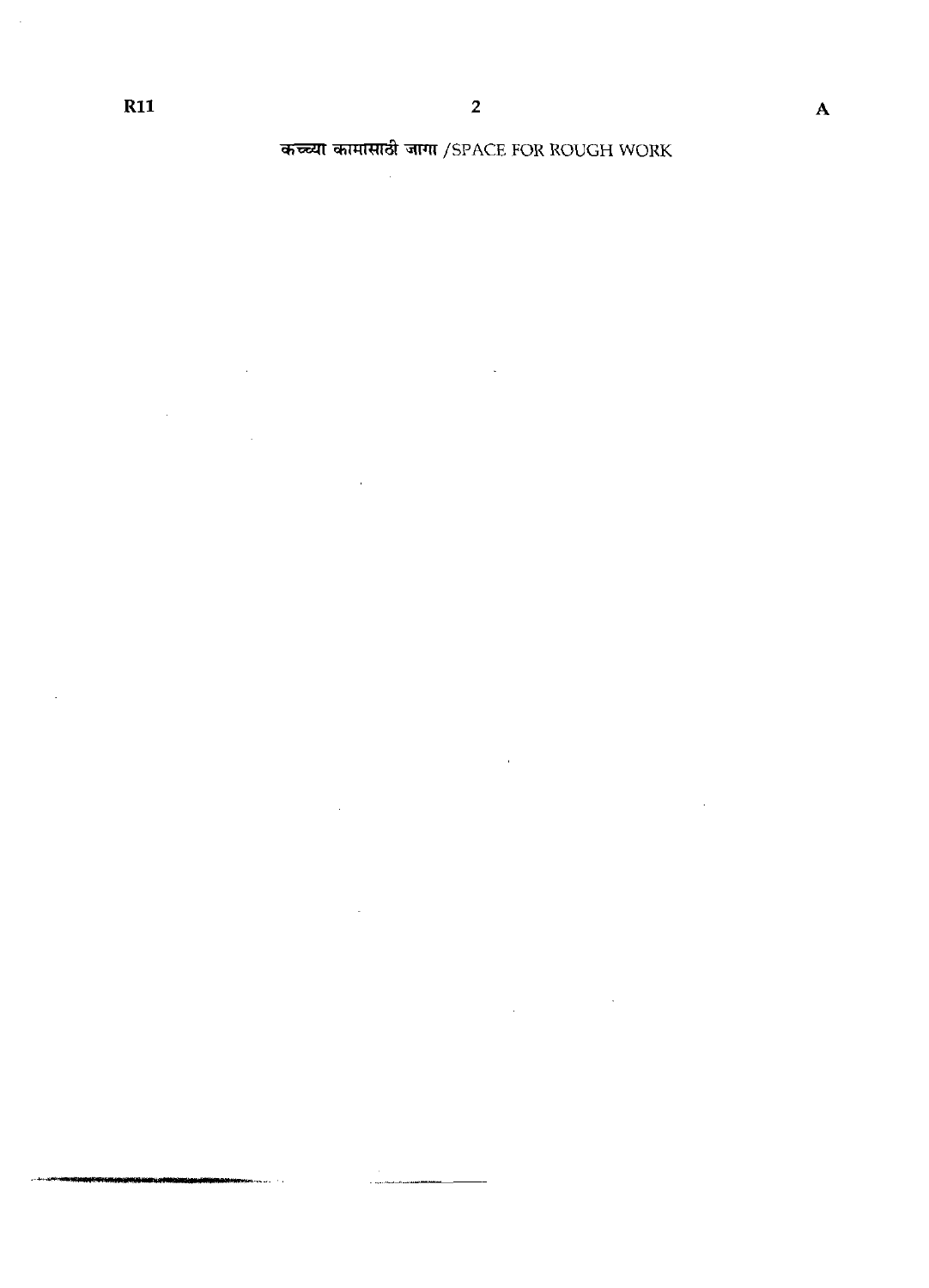$\hat{\mathcal{A}}$ 

कच्च्या कामासाठी जागा /SPACE FOR ROUGH WORK

 $\sim$   $\sim$ 

 $\sim 10^{-1}$ 

 $\mathbb{Z}^2$ 

 $\sim$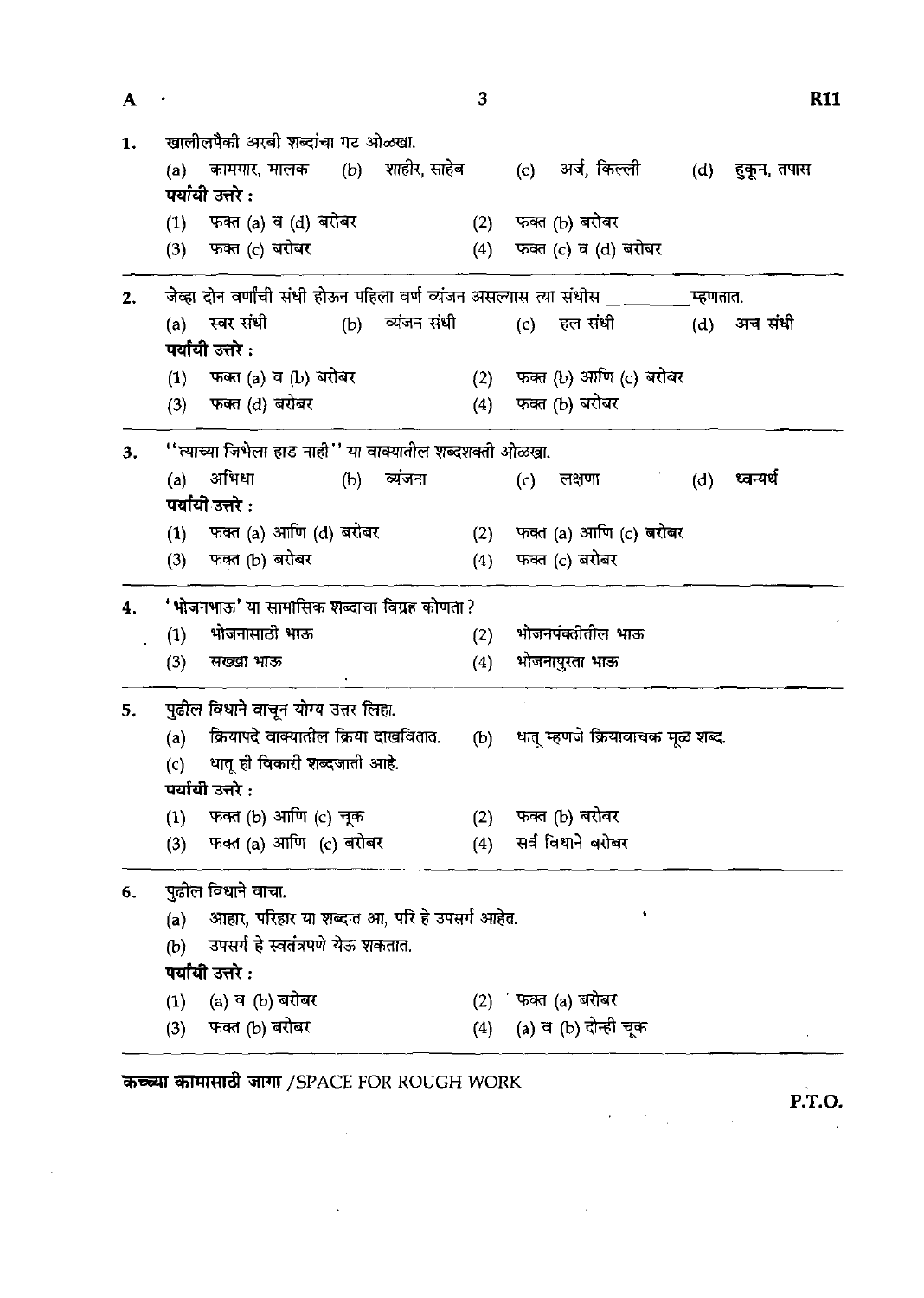| A  |     |                                                                        |     |                 | 3   |     |                                  |          | <b>R11</b>  |
|----|-----|------------------------------------------------------------------------|-----|-----------------|-----|-----|----------------------------------|----------|-------------|
| 1. |     | खालीलपैकी अरबी शब्दांचा गट ओळखा.                                       |     |                 |     |     |                                  |          |             |
|    |     | (a) कामगार, मालक (b) शाहीर, साहेब<br>पर्यायी उत्तरे :                  |     |                 |     |     | (c) अर्ज, किल्ली                 | (d)      | हुकूम, तपास |
|    | (1) | फक्त (a) व (d) बरोबर                                                   |     |                 | (2) |     | फक्त (b) बरोबर                   |          |             |
|    | (3) | फक्त (c) बरोबर                                                         |     |                 | (4) |     | फक्त (c) व (d) बरोबर             |          |             |
| 2. |     | जेव्हा दोन वर्णांची संधी होऊन पहिला वर्ण व्यंजन असल्यास त्या संधीस ___ |     |                 |     |     |                                  | म्हणतात. |             |
|    |     | (a) स्वर संधी                                                          |     | (b) व्यंजन संधी |     |     | (c) हल संधी                      | (d)      | अन संधी     |
|    |     | पर्यायी उत्तरे :                                                       |     |                 |     |     |                                  |          |             |
|    | (1) | फक्त (a) व (b) बरोबर                                                   |     |                 | (2) |     | फक्त (b) आणि (c) बरोबर           |          |             |
|    |     | (3) फक्त (d) बरोबर                                                     |     |                 | (4) |     | फक्त (b) बरोबर                   |          |             |
| 3. |     | ''त्याच्या जिभेला हाड नाही'' या वाक्यातील शब्दशक्ती ओळखा.              |     |                 |     |     |                                  |          |             |
|    | (a) | अभिधा                                                                  | (b) | व्यंजना         |     | (c) | लक्षणा                           | (d)      | ध्वन्यर्थ   |
|    |     | पर्यायी उत्तरे :                                                       |     |                 |     |     |                                  |          |             |
|    |     | (1) फक्त (a) आणि (d) बरोबर                                             |     |                 | (2) |     | फक्त (a) आणि (c) बरोबर           |          |             |
|    | (3) | फक्त (b) बरोबर                                                         |     |                 | (4) |     | फक्त (c) बरोबर                   |          |             |
| 4. |     | 'भोजनभाऊ' या सामासिक शब्दाचा विग्रह कोणता?                             |     |                 |     |     |                                  |          |             |
|    | (1) | भोजनासाठी भाऊ                                                          |     |                 | (2) |     | भोजनपंक्तीतील भाऊ                |          |             |
|    | (3) | सख्खा भाऊ                                                              |     |                 | (4) |     | भोजनापुरता भाऊ                   |          |             |
| 5. |     | पुढील विधाने वाचून योग्य उत्तर लिहा.                                   |     |                 |     |     |                                  |          |             |
|    | (a) | क्रियापदे वाक्यातील क्रिया दाखवितात.                                   |     |                 | (b) |     | धातू म्हणजे क्रियावाचक मूळ शब्द. |          |             |
|    | (c) | धातू ही विकारी शब्दजाती आहे.                                           |     |                 |     |     |                                  |          |             |
|    |     | पर्यायी उत्तरे :                                                       |     |                 |     |     |                                  |          |             |
|    | (1) | फक्त (b) आणि (c) चूक                                                   |     |                 | (2) |     | फक्त (b) बरोबर                   |          |             |
|    | (3) | फक्त (a) आणि (c) बरोबर                                                 |     |                 | (4) |     | सर्व विधाने बरोबर                |          |             |
| 6. |     | पुढील विधाने वाचा.                                                     |     |                 |     |     |                                  |          |             |
|    | (a) | आहार, परिहार या शब्दात आ, परि हे उपसर्ग आहेत.                          |     |                 |     |     |                                  |          |             |
|    | (b) | उपसर्ग हे स्वतंत्रपणे येऊ शकतात.                                       |     |                 |     |     |                                  |          |             |
|    |     | पर्यायी उत्तरे :                                                       |     |                 |     |     |                                  |          |             |
|    | (1) | (a) व (b) बरोबर                                                        |     |                 | (2) |     | ं फक्त (a) बरोबर                 |          |             |
|    | (3) | फक्त (b) बरोबर                                                         |     |                 | (4) |     | (a) व (b) दोन्ही चूक             |          |             |

 $\label{eq:2.1} \frac{1}{\sqrt{2}}\int_{0}^{\infty}\frac{1}{\sqrt{2\pi}}\left(\frac{1}{\sqrt{2\pi}}\right)^{2}d\mu\left(\frac{1}{\sqrt{2\pi}}\right) \frac{d\mu}{\sqrt{2\pi}}\,.$ 

 $\sim 10^{-11}$ 

 $\bar{\beta}$ 

 $\mathcal{A}$  $\hat{\mathcal{A}}$  **P.T.O.** 

 $\bar{\mathcal{A}}$ 

 $\label{eq:2} \frac{1}{2} \int_{\mathbb{R}^3} \left| \frac{d\mathbf{r}}{d\mathbf{r}} \right|^2 \, d\mathbf{r} \, d\mathbf{r} \, d\mathbf{r} \, d\mathbf{r} \, d\mathbf{r} \, d\mathbf{r} \, d\mathbf{r} \, d\mathbf{r} \, d\mathbf{r} \, d\mathbf{r} \, d\mathbf{r} \, d\mathbf{r} \, d\mathbf{r} \, d\mathbf{r} \, d\mathbf{r} \, d\mathbf{r} \, d\mathbf{r} \, d\mathbf{r} \, d\mathbf{$ 

 $\sim$  excel

 $\sim$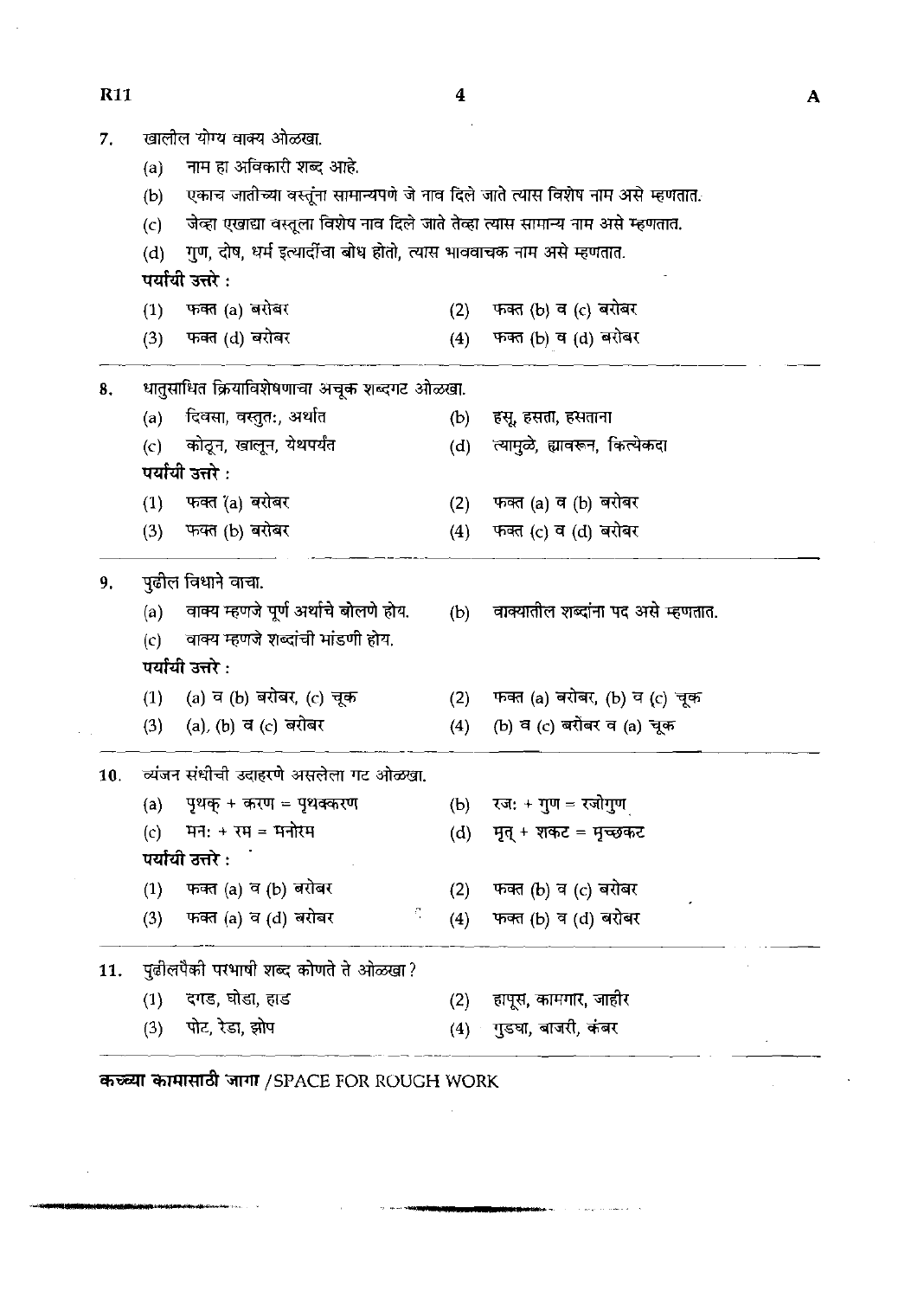**R11** 

 $\bar{z}$ 

 $\overline{\mathbf{4}}$ 

 $\mathcal{L}_{\text{eff}}$ 

| 7.  |     | खालील योग्य वाक्य ओळखा.                                                          |     |                                    |
|-----|-----|----------------------------------------------------------------------------------|-----|------------------------------------|
|     | (a) | नाम हा अविकारी शब्द आहे.                                                         |     |                                    |
|     | (b) | एकाच जातीच्या वस्तूंना सामान्यपणे जे नाव दिले जाते त्यास विशेष नाम असे म्हणतात.  |     |                                    |
|     | (c) | जेव्हा एखाद्या वस्तूला विशेष नाव दिले जाते तेव्हा त्यास सामान्य नाम असे म्हणतात. |     |                                    |
|     | (d) | गुण, दोष, धर्म इत्यादींचा बोध होतो, त्यास भाववाचक नाम असे म्हणतात.               |     |                                    |
|     |     | पर्यायी उत्तरे :                                                                 |     |                                    |
|     | (1) | फक्त (a) बरोबर                                                                   | (2) | फक्त (b) व (c) बरोबर               |
|     | (3) | फक्त (d) बरोबर                                                                   | (4) | फक्त (b) व (d) बरोबर               |
| 8.  |     | धातुसाधित क्रियाविशेषणाचा अचूक शब्दगट ओळखा.                                      |     |                                    |
|     | (a) | दिवसा, वस्तुत:, अर्थात                                                           | (b) | हसू, हसता, हसताना                  |
|     | (c) | कोठून, खालून, येथपर्यंत                                                          | (d) | त्यामुळे, ह्यावरून, कित्येकदा      |
|     |     | पर्यायी उत्तरे $\cdot$                                                           |     |                                    |
|     | (1) | फक्त (a) बरोबर                                                                   | (2) | फक्त (a) व (b) बरोबर               |
|     | (3) | फक्त (b) बरोबर                                                                   | (4) | फक्त (c) व (d) बरोबर               |
| 9.  |     | पुढील विधाने वाचा.                                                               |     |                                    |
|     | (a) | वाक्य म्हणजे पूर्ण अर्थाचे बोलणे होय.                                            | (b) | वाक्यातील शब्दांना पद असे म्हणतात. |
|     | (c) | वाक्य म्हणजे शब्दांची मांडणी होय.                                                |     |                                    |
|     |     | पर्यायी उत्तरे :                                                                 |     |                                    |
|     | (1) | (a) व (b) बरोबर, (c) चूक                                                         | (2) | फक्त (a) बरोबर, (b) व (c) चूक      |
|     | (3) | (a), (b) व (c) बरोबर                                                             | (4) | (b) व (c) बरोबर व (a) चूक          |
| 10. |     | व्यंजन संधीची उदाहरणे असलेला गट ओळखा.                                            |     |                                    |
|     | (a) | पृथक् + करण = पृथक्करण                                                           | (b) | रज: + गुण = रजोगुण                 |
|     | (c) | मनः + रम = मनोरम                                                                 | (d) | मृत् + शकट = मृच्छकट               |
|     |     | पर्यायी उत्तरे :                                                                 |     |                                    |
|     | (1) | फक्त (a) व (b) बरोबर                                                             | (2) | फक्त (b) व (c) बरोबर               |
|     | (3) | S,<br>फक्त (a) व (d) बरोबर                                                       | (4) | फक्त (b) व (d) बरोबर               |
| 11. |     | पुढीलपैकी परभाषी शब्द कोणते ते ओळखा?                                             |     |                                    |
|     | (1) | दगड, घोडा, हाड                                                                   | (2) | हापूस, कामगार, जाहीर               |
|     | (3) | पोट, रेडा, झोप                                                                   |     | (4) गुडघा, बाजरी, कंबर             |
|     |     |                                                                                  |     |                                    |

 $\sim$ 

**Service** State of the Service State of the Service State of the Service State of the Service State of the Service State of the Service State of the Service State of the Service State of the Service State of the Service St

 $\alpha \sim 1$ 

कच्च्या कामासाठी जागा /SPACE FOR ROUGH WORK

**STANDARD AN ARCHIVES** 

 $\hat{\mathcal{A}}$ 

 $\overline{\mathbf{A}}$ 

 $\sim$   $\sim$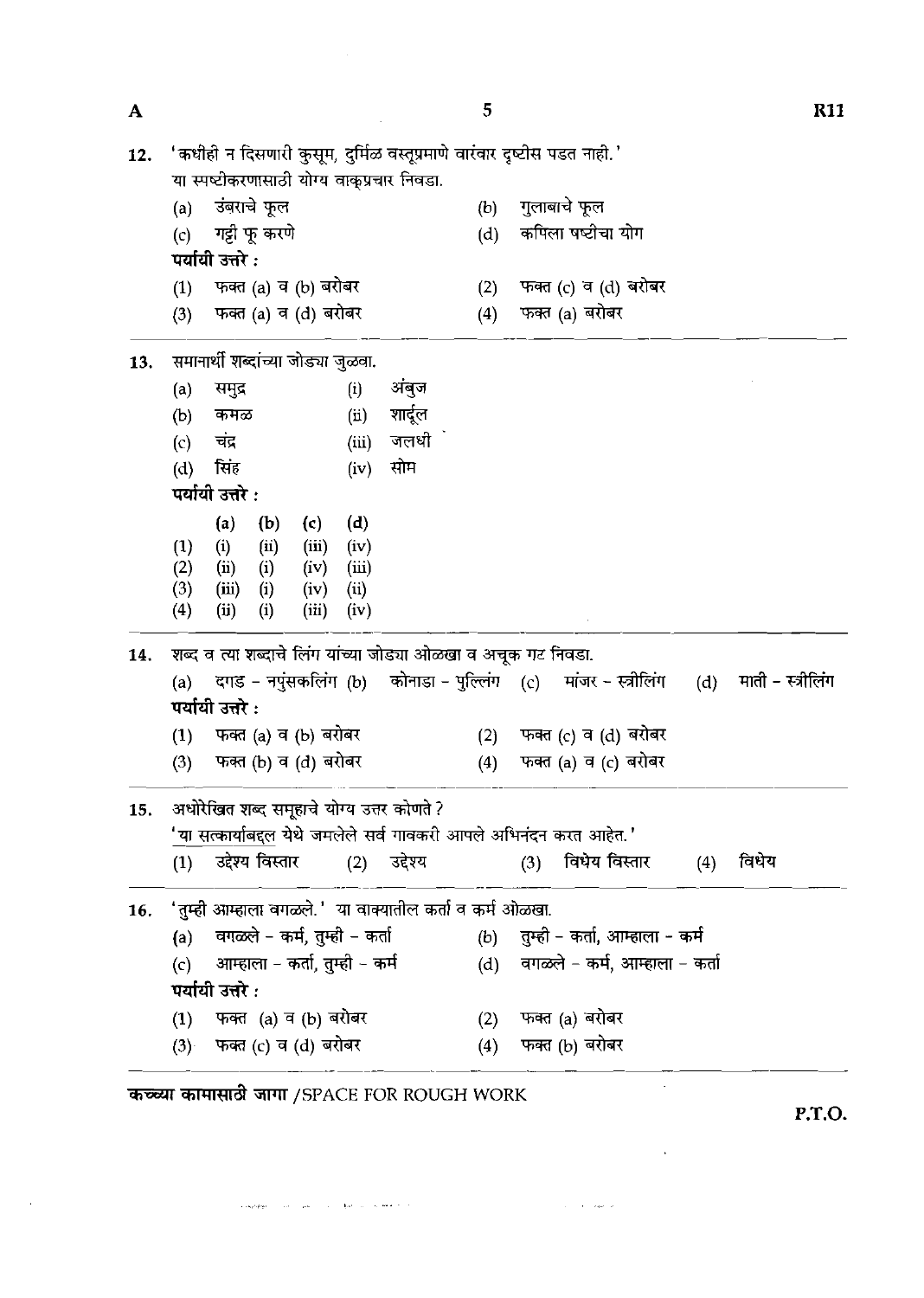| A   |     |                  |                   |                                    |       |                                                               | 5   |                                                                         |     | <b>R11</b>        |
|-----|-----|------------------|-------------------|------------------------------------|-------|---------------------------------------------------------------|-----|-------------------------------------------------------------------------|-----|-------------------|
| 12. |     |                  |                   |                                    |       | या स्पष्टीकरणासाठी योग्य वाकुप्रचार निवडा.                    |     | 'कधीही न दिसणारी कुसूम, दुर्मिळ वस्तूप्रमाणे वारंवार दृष्टीस पडत नाही.' |     |                   |
|     | (a) |                  | उंबराचे फूल       |                                    |       |                                                               | (b) | गुलाबाचे फूल                                                            |     |                   |
|     | (c) |                  | गट्टी फू करणे     |                                    |       |                                                               | (d) | कपिला षष्टीचा योग                                                       |     |                   |
|     |     | पर्यायी उत्तरे : |                   |                                    |       |                                                               |     |                                                                         |     |                   |
|     | (1) |                  |                   | फक्त (a) व (b) बरोबर               |       |                                                               | (2) | फक्त (c) व (d) बरोबर                                                    |     |                   |
|     | (3) |                  |                   | फक्त (a) व (d) बरोबर               |       |                                                               | (4) | फक्त (a) बरोबर                                                          |     |                   |
| 13. |     |                  |                   | समानार्थी शब्दांच्या जोड्या जुळवा. |       |                                                               |     |                                                                         |     |                   |
|     | (a) | समुद्र           |                   |                                    | (i)   | अंबज                                                          |     |                                                                         |     |                   |
|     | (b) | कमळ              |                   |                                    | (i)   | शार्दूल                                                       |     |                                                                         |     |                   |
|     | (c) | चंद्र            |                   |                                    | (iii) | जलधी                                                          |     |                                                                         |     |                   |
|     | (d) | सिंह             |                   |                                    | (iv)  | सोम                                                           |     |                                                                         |     |                   |
|     |     | पर्यायी उत्तरे : |                   |                                    |       |                                                               |     |                                                                         |     |                   |
|     |     | (a)              | (b)               | (c)                                | (d)   |                                                               |     |                                                                         |     |                   |
|     | (1) | (i)              | (ii)              | (iii)                              | (iv)  |                                                               |     |                                                                         |     |                   |
|     | (2) | (i)              | (i)               | (iv)                               | (iii) |                                                               |     |                                                                         |     |                   |
|     | (3) | (iii)            | $\left( i\right)$ | (iv)                               | (i)   |                                                               |     |                                                                         |     |                   |
|     | (4) | (ii)             | (i)               | (iii)                              | (iv)  |                                                               |     |                                                                         |     |                   |
| 14. |     |                  |                   |                                    |       | शब्द व त्या शब्दाचे लिंग यांच्या जोड्या ओळखा व अचूक गट निवडा. |     |                                                                         |     |                   |
|     | (a) | पर्यायी उत्तरे : |                   |                                    |       |                                                               |     | दगड - नपुंसकलिंग (b) कोनाडा - पुल्लिंग (c) मांजर - स्त्रीलिंग           | (d) | माती - स्त्रीलिंग |
|     | (1) |                  |                   | फक्त (a) व (b) बरोबर               |       |                                                               | (2) | फक्त (c) व (d) बरोबर                                                    |     |                   |
|     | (3) |                  |                   | फक्त (b) व (d) बरोबर               |       |                                                               | (4) | फक्त (a) व (c) बरोबर                                                    |     |                   |
| 15. |     |                  |                   |                                    |       | अधोरेखित शब्द समूहाचे योग्य उत्तर कोणते ?                     |     |                                                                         |     |                   |
|     |     |                  |                   |                                    |       |                                                               |     | 'या सत्कार्याबद्दल येथे जमलेले सर्व गावकरी आपले अभिनंदन करत आहेत.'      |     |                   |
|     | (1) |                  | उद्देश्य विस्तार  |                                    |       | (2) उद्देश्य                                                  |     | (3) विधेय विस्तार                                                       | (4) | विधेय             |
| 16. |     |                  |                   |                                    |       | 'तुम्ही आम्हाला वगळले.' या वाक्यातील कर्ता व कर्म ओळखा.       |     |                                                                         |     |                   |
|     | (a) |                  |                   | वगळले – कर्म, तुम्ही – कर्ता       |       |                                                               |     | (b) तुम्ही - कर्ता, आम्हाला - कर्म                                      |     |                   |
|     | (c) |                  |                   | आम्हाला – कर्ता, तुम्ही – कर्म     |       |                                                               |     | (d) वगळले - कर्म, आम्हाला - कर्ता                                       |     |                   |
|     |     | पर्यायी उत्तरे : |                   |                                    |       |                                                               |     |                                                                         |     |                   |
|     | (1) |                  |                   | फक्त (a) व (b) बरोबर               |       |                                                               | (2) | फक्त (a) बरोबर                                                          |     |                   |
|     |     |                  |                   | (3) फक्त (c) व (d) बरोबर           |       |                                                               | (4) | फक्त (b) बरोबर                                                          |     |                   |
|     |     |                  |                   |                                    |       |                                                               |     |                                                                         |     |                   |

 $\label{eq:3.1} \left\langle \cos\theta\partial\theta\theta\right\rangle =\left\langle \cos\theta\right\rangle \left\langle \sin\theta\right\rangle =\left\langle \sin\theta\right\rangle \left\langle \sin\theta\right\rangle \left\langle \sin\theta\right\rangle \left\langle \sin\theta\right\rangle$ 

 $\sim 10$ 

**P.T.O.** 

 $\sim$ 

 $\mathcal{L}^{\mathcal{L}}$ 

 $\label{eq:1} \hat{\mathcal{L}}_{\text{max}}(\hat{\mathcal{L}}_{\text{max}}) = \hat{\mathcal{L}}_{\text{max}}(\hat{\mathcal{L}}_{\text{max}})$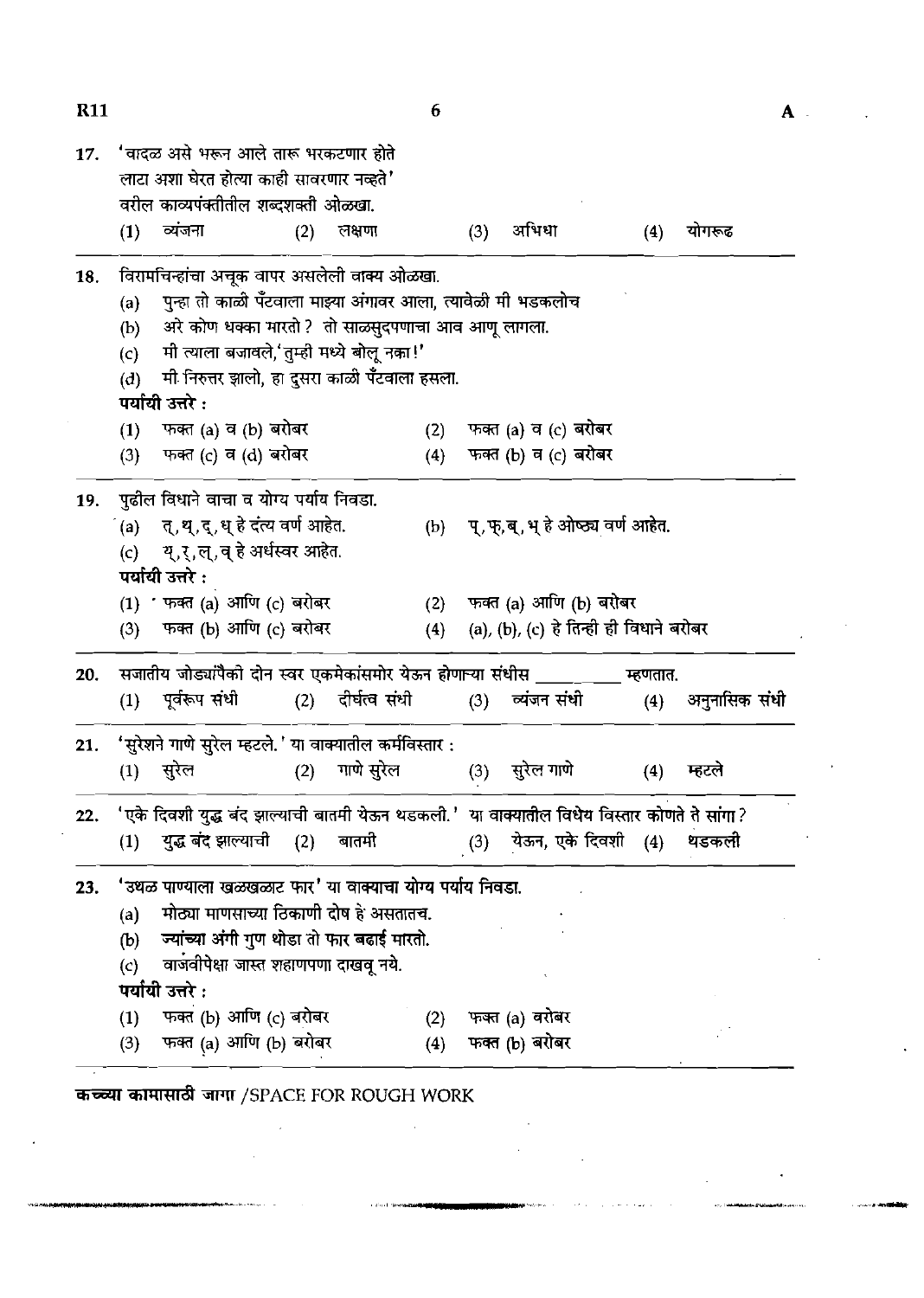| <b>K11</b> |            |                                                                                             |     |            | 6   |     |                                         |          |               | A |
|------------|------------|---------------------------------------------------------------------------------------------|-----|------------|-----|-----|-----------------------------------------|----------|---------------|---|
| 17.        |            | 'वादळ असे भरून आले तारू भरकटणार होते<br>लाटा अशा घेरत होत्या काही सावरणार नव्हते'           |     |            |     |     |                                         |          |               |   |
|            | (1)        | वरील काव्यपंक्तीतील शब्दशक्ती ओळखा.<br>व्यंजना                                              | (2) | लक्षणा     |     | (3) | अभिधा                                   | (4)      | योगरूढ        |   |
|            |            |                                                                                             |     |            |     |     |                                         |          |               |   |
| 18.        |            | विरामचिन्हांचा अचूक वापर असलेली वाक्य ओळखा.                                                 |     |            |     |     |                                         |          |               |   |
|            | (a)        | पुन्हा तो काळी पॅंटवाला माझ्या अंगावर आला, त्यावेळी मी भडकलोच                               |     |            |     |     |                                         |          |               |   |
|            | (b)        | अरे कोण धक्का मारतो ? तो साळसुदपणाचा आव आणू लागला.                                          |     |            |     |     |                                         |          |               |   |
|            | (c)<br>(d) | मी त्याला बजावले,'तुम्ही मध्ये बोलू नका!'<br>मी निरुत्तर झालो, हा दुसरा काळी पॅंटवाला हसला. |     |            |     |     |                                         |          |               |   |
|            |            | पर्यायो उत्तरे :                                                                            |     |            |     |     |                                         |          |               |   |
|            | (1)        | फक्त (a) व (b) बरोबर                                                                        |     |            |     |     | (2) फक्त (a) व (c) बरोबर                |          |               |   |
|            |            | (3) फक्त (c) व (d) बरोबर                                                                    |     |            | (4) |     | फक्त (b) व (c) बरोबर                    |          |               |   |
| 19.        |            | पुढील विधाने वाचा व योग्य पर्याय निवडा.                                                     |     |            |     |     |                                         |          |               |   |
|            |            | (a) त्, थ्, द्, ध् हे दंत्य वर्ण आहेत.                                                      |     |            |     |     | (b) प्,फ्,ब्,भ् हे ओष्ठ्य वर्ण आहेत.    |          |               |   |
|            |            | (c) य्,र्,ल्,व् हे अर्धस्वर आहेत.                                                           |     |            |     |     |                                         |          |               |   |
|            |            | पर्यायी उत्तरे :                                                                            |     |            |     |     |                                         |          |               |   |
|            |            | (1) ' फक्त (a) आणि (c) बरोबर                                                                |     |            | (2) |     | फक्त (a) आणि (b) बरोबर                  |          |               |   |
|            |            | (3) फक्त (b) आणि (c) बरोबर                                                                  |     |            | (4) |     | (a), (b), (c) हे तिन्ही ही विधाने बरोबर |          |               |   |
| 20.        |            | सजातीय जोड्यांपैको दोन स्वर एकमेकांसमोर येऊन होणाऱ्या संधीस ____ ___                        |     |            |     |     |                                         | म्हणतात. |               |   |
|            | (1)        | पूर्वरूप संधी          (2)     दीर्घत्व संधी                                                |     |            |     | (3) | व्यंजन संधो                             | (4)      | अनुनासिक संधी |   |
| 21.        |            | 'सुरेशने गाणे सुरेल म्हटले.' या वाक्यातील कर्मविस्तार :                                     |     |            |     |     |                                         |          |               |   |
|            | (1)        | सुरेल                                                                                       | (2) | गाणे सुरेल |     | (3) | सुरेल गाणे                              | (4)      | म्हटले        |   |
| 22.        |            | 'एके दिवशी युद्ध बंद झाल्याची बातमी येऊन थडकली.' या वाक्यातील विधेय विस्तार कोणते ते सांगा? |     |            |     |     |                                         |          |               |   |
|            | (1)        | युद्ध बंद झाल्याची (2)                                                                      |     | बातमी      |     | (3) | येऊन, एके दिवशी (4)                     |          | थडकली         |   |
| 23.        |            | 'उथळ पाण्याला खळखळाट फार' या वाक्याचा योग्य पर्याय निवडा.                                   |     |            |     |     |                                         |          |               |   |
|            | (a)        | मोठ्या माणसाच्या ठिकाणी दोष हे असतातच.                                                      |     |            |     |     |                                         |          |               |   |
|            | (b)        | ज्यांच्या अंगी गुण थोडा तो फार बढाई मारतो.                                                  |     |            |     |     |                                         |          |               |   |
|            | (c)        | वाजवीपेक्षा जास्त शहाणपणा दाखवू नये.                                                        |     |            |     |     |                                         |          |               |   |
|            |            | पर्यायी उत्तरे :                                                                            |     |            |     |     |                                         |          |               |   |
|            | (1)        | फक्त (b) आणि (c) बरोबर                                                                      |     |            | (2) |     | फक्त (a) वरोबर                          |          |               |   |
|            | (3)        | फक्त (a) आणि (b) बरोबर                                                                      |     |            | (4) |     | फक्त (b) बरोबर                          |          |               |   |

 $\bar{\beta}$ 

 $\bar{\bar{z}}$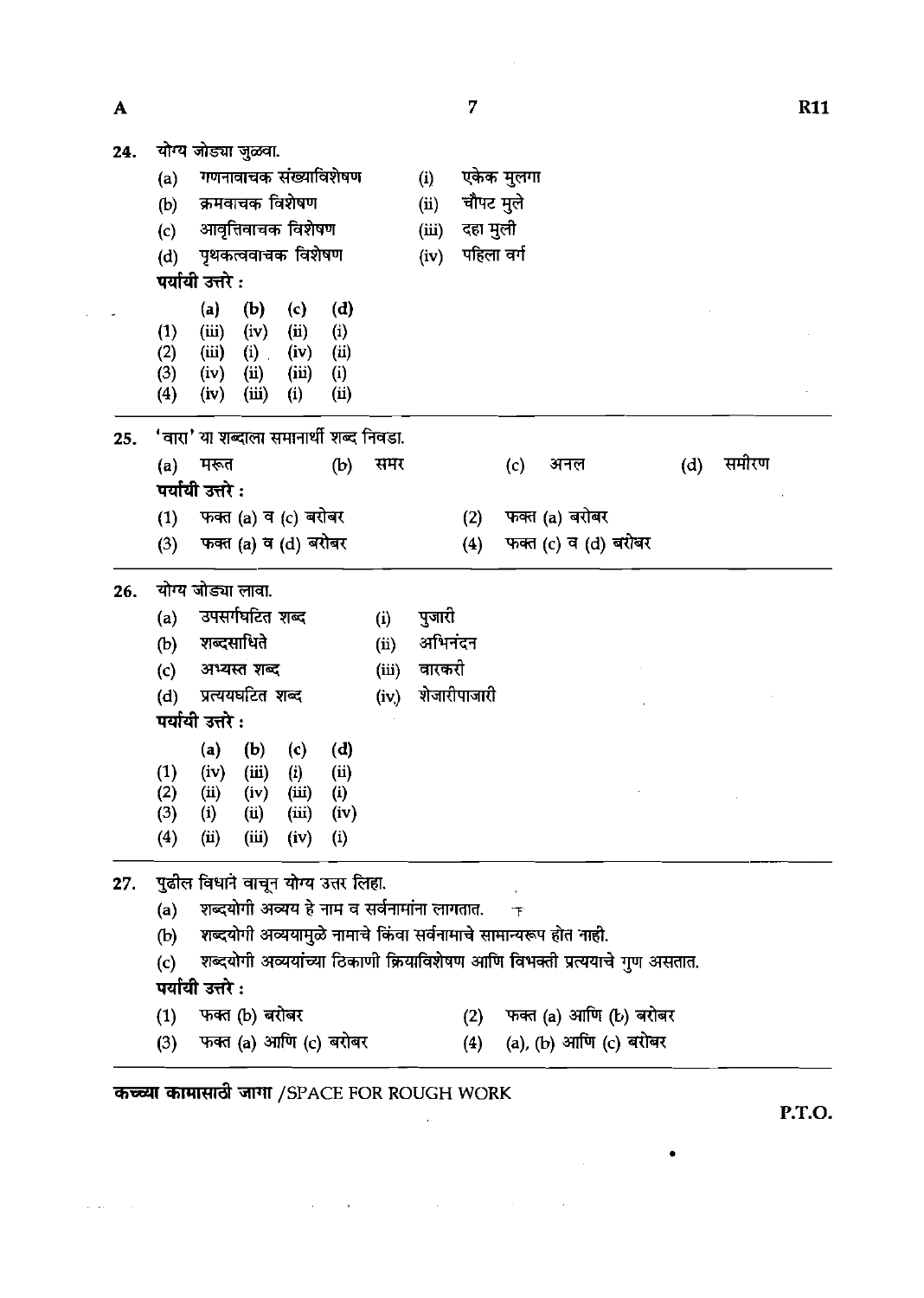| $\mathbf{A}$ |                  |                                         |                 |                       |                                             |       |         | 7            |            |                                                                  |                                                                            |     |       | <b>R11</b> |
|--------------|------------------|-----------------------------------------|-----------------|-----------------------|---------------------------------------------|-------|---------|--------------|------------|------------------------------------------------------------------|----------------------------------------------------------------------------|-----|-------|------------|
| 24.          |                  | योग्य जोड्या जुळवा.                     |                 |                       |                                             |       |         |              |            |                                                                  |                                                                            |     |       |            |
|              | (a)              |                                         |                 | गणनावाचक संख्याविशेषण |                                             |       | (i)     |              | एकेक मुलगा |                                                                  |                                                                            |     |       |            |
|              | (b)              |                                         |                 | क्रमवाचक विशेषण       |                                             |       | (ii)    | चौपट मुले    |            |                                                                  |                                                                            |     |       |            |
|              | (c)              |                                         |                 | आवृत्तिवाचक विशेषण    |                                             |       | (iii)   | दहा मुली     |            |                                                                  |                                                                            |     |       |            |
|              | (d)              |                                         |                 | पृथकत्ववाचक विशेषण    |                                             |       | (iv)    | पहिला वर्ग   |            |                                                                  |                                                                            |     |       |            |
|              |                  | पर्यायी उत्तरे :                        |                 |                       |                                             |       |         |              |            |                                                                  |                                                                            |     |       |            |
|              |                  | (a)                                     | (b)             | (c)                   | (d)                                         |       |         |              |            |                                                                  |                                                                            |     |       |            |
|              | (1)<br>(2)       | (iii)<br>(iii)                          | (iv)<br>$(i)$ . | (ii)<br>(iv)          | (i)<br>(ii)                                 |       |         |              |            |                                                                  |                                                                            |     |       |            |
|              | (3)              | (iv)                                    | (ii)            | (iii)                 | (i)                                         |       |         |              |            |                                                                  |                                                                            |     |       |            |
|              | (4)              | (iv)                                    | (iii)           | (i)                   | (ii)                                        |       |         |              |            |                                                                  |                                                                            |     |       |            |
| 25.          |                  | 'वारा' या शब्दाला समानार्थी शब्द निवडा. |                 |                       |                                             |       |         |              |            |                                                                  |                                                                            |     |       |            |
|              | (a)              | मरूत                                    |                 |                       | (b)                                         | समर   |         |              | (c)        | अनल                                                              |                                                                            | (d) | समीरण |            |
|              |                  | पर्यायी उत्तरे :                        |                 |                       |                                             |       |         |              |            |                                                                  |                                                                            |     |       |            |
|              | (1)              |                                         |                 | फक्त (a) व (c) बरोबर  |                                             |       |         | (2)          |            | फक्त (a) बरोबर                                                   |                                                                            |     |       |            |
|              | (3)              |                                         |                 | फक्त (a) व (d) बरोबर  |                                             |       |         | (4)          |            | फक्त (c) व (d) बरोबर                                             |                                                                            |     |       |            |
| 26.          |                  | योग्य जोड्या लावा.                      |                 |                       |                                             |       |         |              |            |                                                                  |                                                                            |     |       |            |
|              | (a)              |                                         | उपसर्गघटित शब्द |                       |                                             | (i)   | पुजारी  |              |            |                                                                  |                                                                            |     |       |            |
|              | (b)              | शब्दसाधिते                              |                 |                       |                                             | (ii)  | अभिनंदन |              |            |                                                                  |                                                                            |     |       |            |
|              | (c)              |                                         | अभ्यस्त शब्द    |                       |                                             | (iii) | वारकरी  |              |            |                                                                  |                                                                            |     |       |            |
|              | (d)              | प्रत्ययघटित शब्द                        |                 |                       |                                             | (iv)  |         | शेजारीपाजारी |            |                                                                  |                                                                            |     |       |            |
|              |                  | पर्यायी उत्तरे :                        |                 |                       |                                             |       |         |              |            |                                                                  |                                                                            |     |       |            |
|              |                  | (a)                                     | (b)             | (c)                   | (d)                                         |       |         |              |            |                                                                  |                                                                            |     |       |            |
|              | $\left(1\right)$ | (iv)                                    | (iii)           | (i)                   | (i)                                         |       |         |              |            |                                                                  |                                                                            |     |       |            |
|              | (2)              | $\left( \text{ii} \right)$              | (iv)            | (iii)                 | (i)                                         |       |         |              |            |                                                                  |                                                                            |     |       |            |
|              | (3)<br>(4)       | (i)<br>(ii)                             | (ii)<br>(iii)   | (iii)<br>(iv)         | (iv)<br>$\left( 1\right)$                   |       |         |              |            |                                                                  |                                                                            |     |       |            |
|              |                  |                                         |                 |                       |                                             |       |         |              |            |                                                                  |                                                                            |     |       |            |
| 27.          |                  | पुढील विधाने वाचून योग्य उत्तर लिहा.    |                 |                       |                                             |       |         |              |            |                                                                  |                                                                            |     |       |            |
|              | (a)              |                                         |                 |                       | शब्दयोगी अव्यय हे नाम व सर्वनामांना लागतात. |       |         |              | 下          |                                                                  |                                                                            |     |       |            |
|              | (b)              |                                         |                 |                       |                                             |       |         |              |            | शब्दयोगी अव्ययामुळे नामाचे किंवा सर्वनामाचे सामान्यरूप होत नाही. |                                                                            |     |       |            |
|              | (c)              |                                         |                 |                       |                                             |       |         |              |            |                                                                  | शब्दयोगी अव्ययांच्या ठिकाणी क्रियाविशेषण आणि विभक्ती प्रत्ययाचे गुण असतात. |     |       |            |
|              |                  | पर्यायी उत्तरे :                        |                 |                       |                                             |       |         |              |            |                                                                  |                                                                            |     |       |            |
|              | (1)              | फक्त (b) बरोबर                          |                 |                       |                                             |       |         | (2)          |            |                                                                  | फक्त (a) आणि (b) बरोबर                                                     |     |       |            |
|              | (3)              |                                         |                 |                       | फक्त (a) आणि (c) बरोबर                      |       |         | (4)          |            |                                                                  | (a), (b) आणि (c) बरोबर                                                     |     |       |            |

 $\left\langle \hat{\rho}^{\dagger}(\hat{\omega})\right\rangle =\left\langle \hat{\rho}^{\dagger}(\hat{\omega})\right\rangle$ 

 $\mathcal{L}(\mathcal{A})$  and  $\mathcal{L}(\mathcal{A})$  are the set of the set of the set of the set of  $\mathcal{A}$ 

**P.T.O.** 

 $\label{eq:2.1} \frac{1}{\sqrt{2\pi}}\int_{0}^{\infty}\frac{1}{\sqrt{2\pi}}\left(\frac{1}{\sqrt{2\pi}}\right)^{2}d\mu\,d\mu\,.$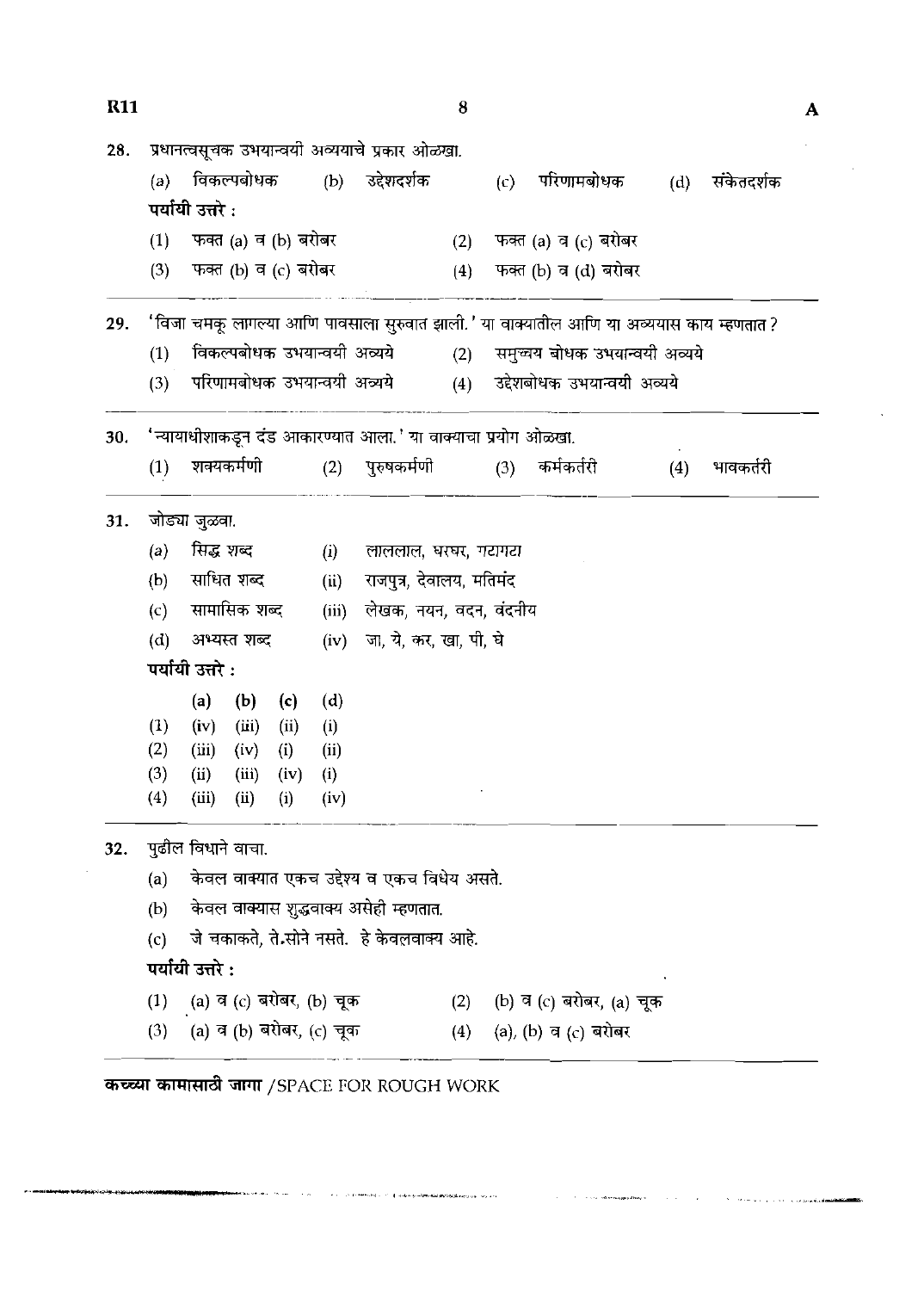| <b>R11</b> |     |                    |              |                          |       |                                                              | 8   |     |                                                                                         |     |            |  |
|------------|-----|--------------------|--------------|--------------------------|-------|--------------------------------------------------------------|-----|-----|-----------------------------------------------------------------------------------------|-----|------------|--|
| 28.        |     |                    |              |                          |       | प्रधानत्वसूचक उभयान्वयी अव्ययाचे प्रकार ओळखा.                |     |     |                                                                                         |     |            |  |
|            | (a) |                    |              |                          |       | विकल्पबोधक (b) उद्देशदर्शक                                   |     | (c) | परिणामबोधक                                                                              | (d) | संकेतदर्शक |  |
|            |     | पर्यायी उत्तरे :   |              |                          |       |                                                              |     |     |                                                                                         |     |            |  |
|            | (1) |                    |              | फक्त (a) व (b) बरोबर     |       |                                                              |     |     | (2) फक्त (a) व (c) बरोबर                                                                |     |            |  |
|            | (3) |                    |              | फक्त (b) व (c) बरोबर     |       |                                                              | (4) |     | फक्त (b) व (d) बरोबर                                                                    |     |            |  |
| 29.        |     |                    |              |                          |       |                                                              |     |     | 'विजा चमकू लागल्या आणि पावसाला सुरुवात झाली.' या वाक्यातील आणि या अव्ययास काय म्हणतात ? |     |            |  |
|            | (1) |                    |              |                          |       | विकल्पबोधक उभयान्वयी अव्यये                                  | (2) |     | समुच्चय बोधक उभयान्वयी अव्यये                                                           |     |            |  |
|            | (3) |                    |              |                          |       | परिणामबोधक उभयान्वयी अव्यये                                  | (4) |     | उद्देशबोधक उभयान्वयी अव्यये                                                             |     |            |  |
| 30.        |     |                    |              |                          |       | 'न्यायाधीशाकडून दंड आकारण्यात आला.' या वाक्याचा प्रयोग ओळखा. |     |     |                                                                                         |     |            |  |
|            | (1) |                    | शक्यकर्मणी   |                          |       | (2) पुरुषकर्मणी                                              |     | (3) | कर्मकर्तरी                                                                              | (4) | भावकर्तरी  |  |
| 31.        |     | जोड्या जुळवा.      |              |                          |       |                                                              |     |     |                                                                                         |     |            |  |
|            | (a) | सिद्ध शब्द         |              |                          | (i)   | लाललाल, घरघर, गटागटा                                         |     |     |                                                                                         |     |            |  |
|            | (b) |                    | साधित शब्द   |                          | (ii)  | राजपुत्र, देवालय, मतिमंद                                     |     |     |                                                                                         |     |            |  |
|            | (c) |                    | सामासिक शब्द |                          | (iii) | लेखक, नयन, वदन, वंदनीय                                       |     |     |                                                                                         |     |            |  |
|            | (d) |                    | अभ्यस्त शब्द |                          | (iv)  | जा, ये, कर, खा, पी, घे                                       |     |     |                                                                                         |     |            |  |
|            |     | पर्यायी उत्तरे :   |              |                          |       |                                                              |     |     |                                                                                         |     |            |  |
|            |     | (a)                | (b)          | (c)                      | (d)   |                                                              |     |     |                                                                                         |     |            |  |
|            | (1) | (iv)               | (iii)        | (ii)                     | (i)   |                                                              |     |     |                                                                                         |     |            |  |
|            | (2) | (iii)              | (iv)         | (i)                      | (ii)  |                                                              |     |     |                                                                                         |     |            |  |
|            | (3) | (ii)               |              | $(iii)$ $(iv)$           | (i)   |                                                              |     |     |                                                                                         |     |            |  |
|            | (4) | (iii)              | (ii)         | (i)                      | (iv)  |                                                              |     |     |                                                                                         |     |            |  |
| 32.        |     | पुढील विधाने वाचा. |              |                          |       |                                                              |     |     |                                                                                         |     |            |  |
|            | (a) |                    |              |                          |       | केवल वाक्यात एकच उद्देश्य व एकच विधेय असते.                  |     |     |                                                                                         |     |            |  |
|            | (b) |                    |              |                          |       | केवल वाक्यास शुद्धवाक्य असेही म्हणतात.                       |     |     |                                                                                         |     |            |  |
|            | (c) |                    |              |                          |       | जे चकाकते, ते.सोने नसते.  हे केवलवाक्य आहे.                  |     |     |                                                                                         |     |            |  |
|            |     | पर्यायी उत्तरे :   |              |                          |       |                                                              |     |     |                                                                                         |     |            |  |
|            | (1) |                    |              | (a) व (c) बरोबर, (b) चूक |       |                                                              | (2) |     | (b) व (c) बरोबर, (a) चूक                                                                |     |            |  |
|            | (3) |                    |              | (a) व (b) बरोबर, (c) चूक |       |                                                              |     |     | (4) (a), (b) व (c) बरोबर                                                                |     |            |  |

 $\sim 10^{-1}$ 

ن<br>سال ۱۹۰۸ - سال ۱۹۰۹ میلاد

 $\sigma(r)$  , in the<br>result of  $\tau$  of  $\phi$  also positive<br>state properties of  $\phi(r)$  , we are

.<br>Olimpia<sub>ri</sub>ga Alas o

 $\sim 10^{11}$  km  $\bar{z}$ 

**A construction of the composition**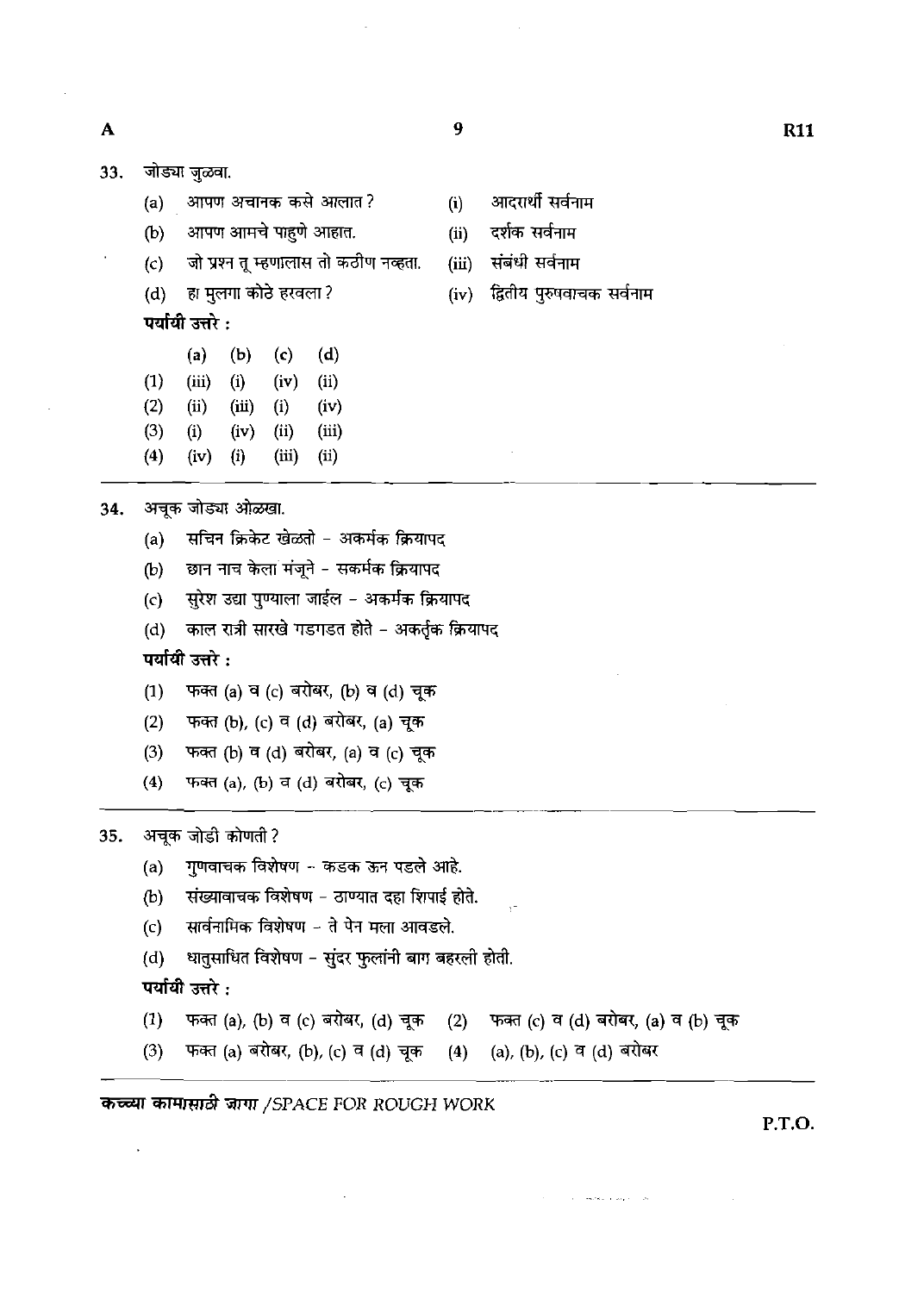$\boldsymbol{9}$ 

33. जोड्या जुळवा.

 $\mathbf{A}$ 

- (a) आपण अचानक कसे आलात? (i) आदरार्थी सर्वनाम
- 
- **(c)** 3 **am** TvJlmKi a it m. **(ii)** *\*eit* 7X-h
- **(d)** ~g~mr\*i%m? **(iv) 3-** &GI

पर्यायी उत्तरे :

- **(a) (b)** (4 (4
- **(1) (iii) (i) (iv) (ii)**
- **(2) (ii) (iii) (i) (iv)**
- **(3) (i) (iv) (ii) (iii)**
- **(4) (iv) (i) (iii) (ii)**

34. अचूक जोड्या ओळखा.<br>a) सचिन क्रिकेट खे

- सचिन क्रिकेट खेळतो अकर्मक क्रियापद
- (b) छान नाच केला मंजूने सकर्मक क्रियापद
- (c) सुरेश उद्या पुण्याला जाईल अकर्मक क्रियापद
- (d) काल रात्री सारखे गडगडत होते अकर्तुक क्रियापद (d) - काल रात्री सारखे गडगडत होते – अकर्तृ<del>क</del><br>पर्यायी उत्तरे :<br>(1) - फक्त (a) व (c) बरोबर, (b) व (d) चूक<br><sup>(2)</sup> - फक्व (b) (c) व (d) बग्रेबर (a) चक्र

पर्यायी उत्तरे $:$ 

- 
- **(2) स्वीयी उत्तरे :<br>(1) फक्त (a) व (c) बरोबर, (b) व (d) चूक<br>(2) फक्त (b), (c) व (d) बरोबर, (a) चूक<br>(3) फक्त (b) व (d) बरोबर (a) व (c) चक**
- (3) फक्त (b) व (d) बरोबर, (a) व (c) चूक
- (4) फबत (a), (b) व (d) बरोबर, (c) चूक

35. अचूक जोडी कोणती ?

- (a) **गुणवाचक विशेषण कडक ऊन पडले आहे.**
- (b) संख्यावाचक विशेषण ठाण्यात दहा शिपाई होते.
- (c) सार्वनामिक विशेषण ते पेन मला आवडले.

(d) धातुसाधित विशेषण – सुंदर फुलांनी बाग बहरली होती.<br>**पर्यायी उत्तरे :** 

- (1) **फक्त (a), (b) व (c) बरोबर, (d) चूक (2) फक्त (c) व (d) बरोबर, (a) व (b) चूक** (1) **4 दिनों करने (4) (4) दिनों के बाद से स्थायी करने (4) दिनों करने (4) दिनों करने (4) दिनों करने (4) दिनों (1) एक (4) एक (4) एक (4) एक (4) एक (4) एक (4) दिनों कर (4) दिनों कर (4) एक (4) एक (4) (4) एक (4) एक (4) एक (4) द**
- 

कच्च्या कामासाठी जागा /SPACE FOR ROUGH WORK

**P.T.O.**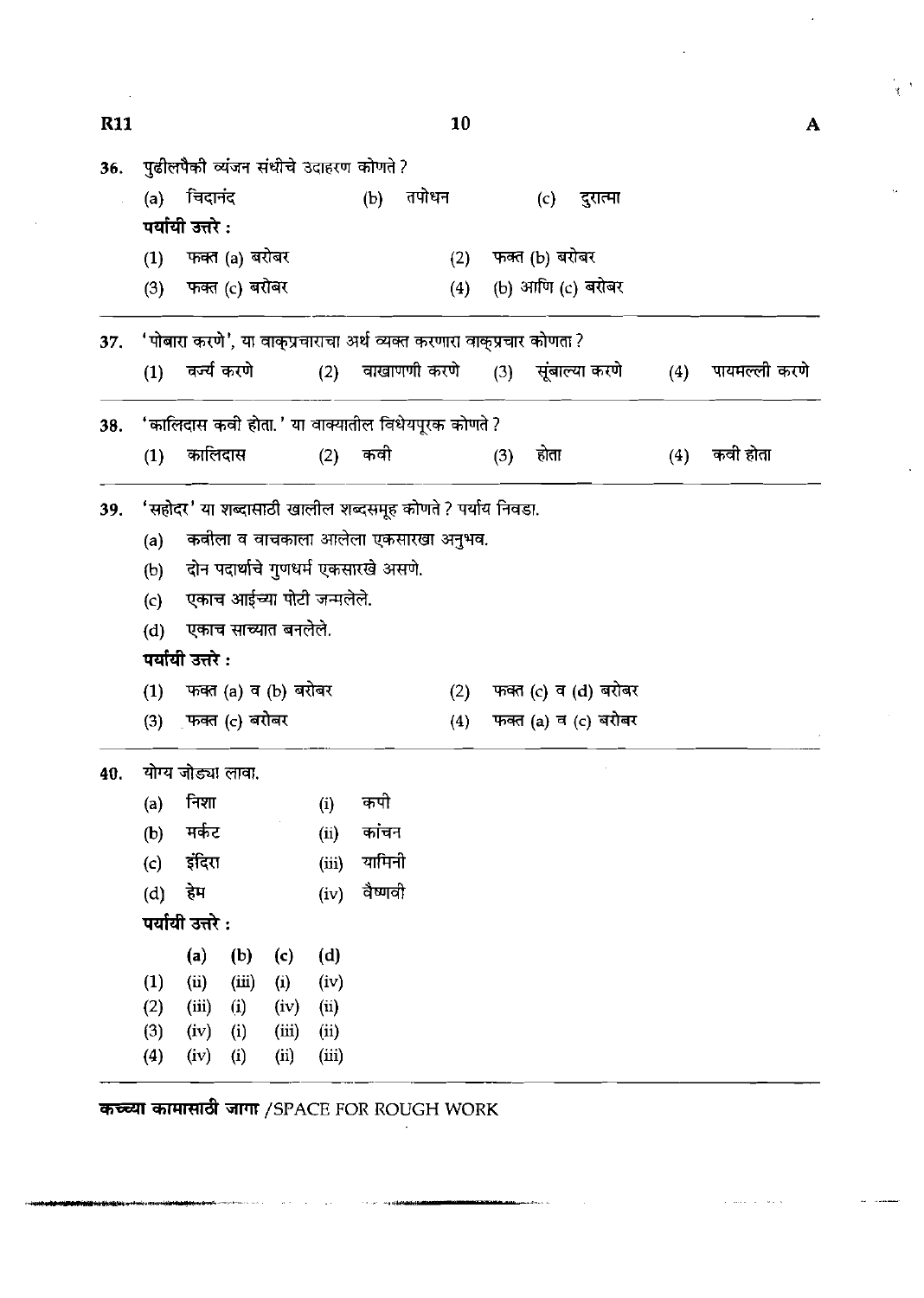| <b>R11</b> |            |                                                                      |                |                            |               |                                      |              | 10  |     |                |                      |     | A             |
|------------|------------|----------------------------------------------------------------------|----------------|----------------------------|---------------|--------------------------------------|--------------|-----|-----|----------------|----------------------|-----|---------------|
| 36.        |            | पुढीलपैकी व्यंजन संधीचे उदाहरण कोणते ?                               |                |                            |               |                                      |              |     |     |                |                      |     |               |
|            | (a)        | चिदानंद<br>पर्यायी उत्तरे :                                          |                |                            |               | (b)                                  | तपोधन        |     |     | (c)            | दुरात्मा             |     |               |
|            | (1)        |                                                                      | फक्त (a) बरोबर |                            |               |                                      |              | (2) |     | फक्त (b) बरोबर |                      |     |               |
|            | (3)        |                                                                      | फक्त (c) बरोबर |                            |               |                                      |              | (4) |     |                | (b) आणि (c) बरोबर    |     |               |
| 37.        |            | 'पोबारा करणे', या वाक्प्रचाराचा अर्थ व्यक्त करणारा वाक्प्रचार कोणता? |                |                            |               |                                      |              |     |     |                |                      |     |               |
|            | (1)        |                                                                      | वर्ज्य करणे    |                            | (2)           |                                      | वाखाणणी करणे |     |     |                | (3) सूंबाल्या करणे   | (4) | पायमल्ली करणे |
| 38.        |            | 'कालिदास कवी होता.' या वाक्यातील विधेयपूरक कोणते ?                   |                |                            |               |                                      |              |     |     |                |                      |     |               |
|            | (1)        | कालिदास                                                              |                |                            | (2)           | कवी                                  |              |     | (3) | होता           |                      | (4) | कवी होता      |
| 39.        |            | 'सहोदर' या शब्दासाठी खालील शब्दसमूह कोणते ? पर्याय निवडा.            |                |                            |               |                                      |              |     |     |                |                      |     |               |
|            | (a)        |                                                                      |                |                            |               | कवीला व वाचकाला आलेला एकसारखा अनुभव. |              |     |     |                |                      |     |               |
|            | (b)        |                                                                      |                |                            |               | दोन पदार्थाचे गुणधर्म एकसारखे असणे.  |              |     |     |                |                      |     |               |
|            | (c)        |                                                                      |                | एकाच आईच्या पोटी जन्मलेले. |               |                                      |              |     |     |                |                      |     |               |
|            | (d)        |                                                                      |                | एकाच साच्यात बनलेले.       |               |                                      |              |     |     |                |                      |     |               |
|            |            | पर्यायी उत्तरे :                                                     |                |                            |               |                                      |              |     |     |                |                      |     |               |
|            | (1)        |                                                                      |                | फक्त (a) व (b) बरोबर       |               |                                      |              | (2) |     |                | फक्त (c) व (d) बरोबर |     |               |
|            | (3)        | फक्त (c) बरोबर                                                       |                |                            |               |                                      |              | (4) |     |                | फक्त (a) व (c) बरोबर |     |               |
| 40.        |            | योग्य जोड्या लावा.                                                   |                |                            |               |                                      |              |     |     |                |                      |     |               |
|            | (a)        | निशा                                                                 |                |                            | (i)           | कपी                                  |              |     |     |                |                      |     |               |
|            | (b)        | मर्कट                                                                |                |                            | (ii)          | कांचन                                |              |     |     |                |                      |     |               |
|            | (c)        | इंदिरा                                                               |                |                            | (iii)         | यामिनी                               |              |     |     |                |                      |     |               |
|            | (d)        | हेम                                                                  |                |                            | (iv)          | वैष्णवी                              |              |     |     |                |                      |     |               |
|            |            | पर्यायी उत्तरे :                                                     |                |                            |               |                                      |              |     |     |                |                      |     |               |
|            |            | (a)                                                                  | (b)            | (c)                        | (d)           |                                      |              |     |     |                |                      |     |               |
|            | (1)        | (i)                                                                  | (iii)          | (i)                        | (iv)          |                                      |              |     |     |                |                      |     |               |
|            | (2)        | (iii)                                                                | (i)            | (iv)                       | (ii)          |                                      |              |     |     |                |                      |     |               |
|            | (3)<br>(4) | (iv)<br>(iv)                                                         | (i)<br>(i)     | (iii)<br>(ii)              | (ii)<br>(iii) |                                      |              |     |     |                |                      |     |               |
|            |            |                                                                      |                |                            |               |                                      |              |     |     |                |                      |     |               |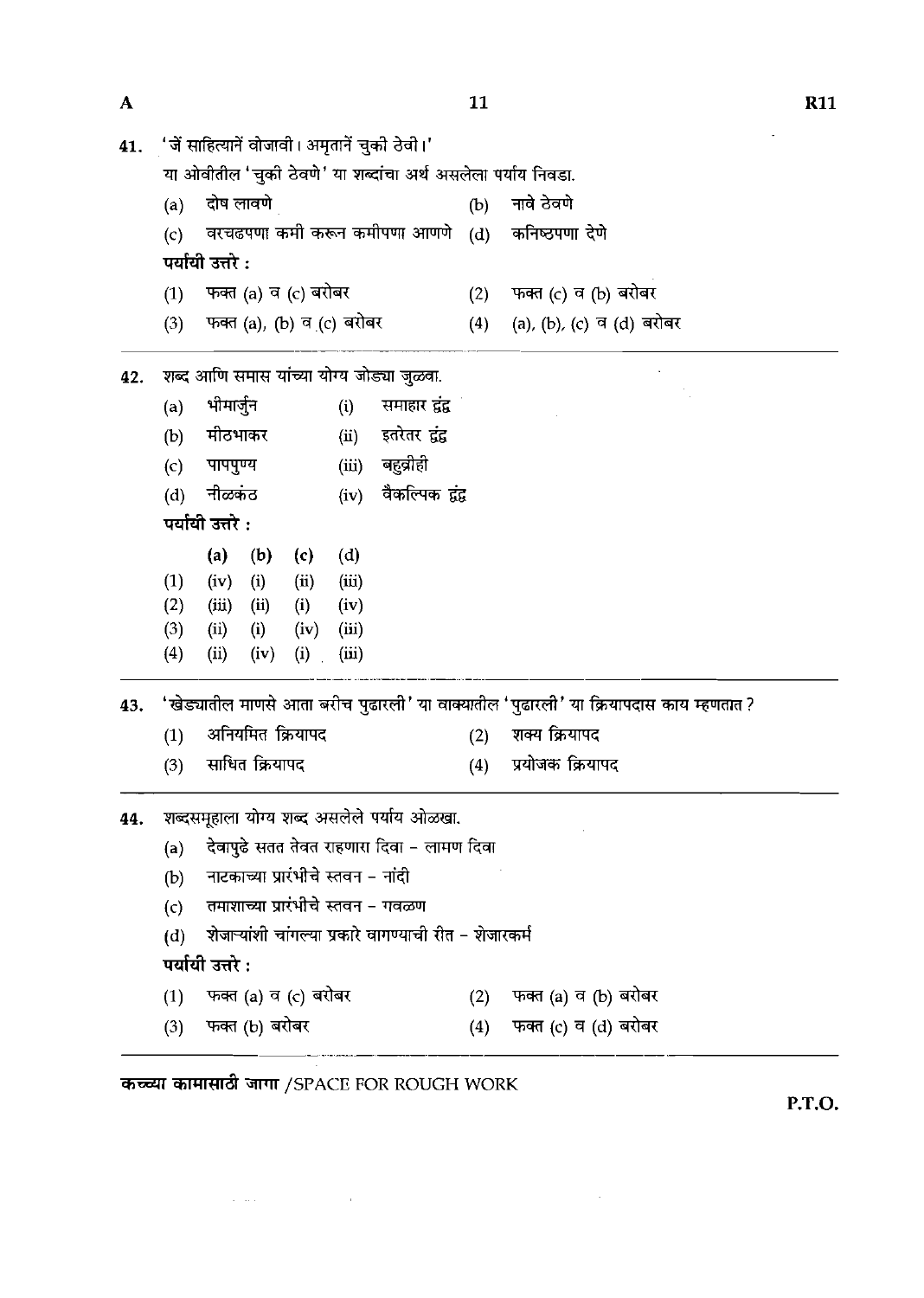| 41. |     |                  |                                    |      |       | 'जें साहित्यानें वोजावी। अमृतानें चुको ठेवो।'                |     |                                                                                       |
|-----|-----|------------------|------------------------------------|------|-------|--------------------------------------------------------------|-----|---------------------------------------------------------------------------------------|
|     |     |                  |                                    |      |       | या ओवीतील 'चुकी ठेवणे' या शब्दांचा अर्थ असलेला पर्याय निवडा. |     |                                                                                       |
|     | (a) | दोष लावणे        |                                    |      |       |                                                              | (b) | नावे ठेवणे                                                                            |
|     | (c) |                  |                                    |      |       | वरचढपणा कमी करून कमीपणा आणणे                                 | (d) | कनिष्ठपणा देणे                                                                        |
|     |     | पर्यायी उत्तरे : |                                    |      |       |                                                              |     |                                                                                       |
|     | (1) |                  | फक्त (a) व (c) बरोबर               |      |       |                                                              | (2) | फक्त (c) व (b) बरोबर                                                                  |
|     | (3) |                  | फक्त (a), (b) व (c) बरोबर          |      |       |                                                              | (4) | (a), (b), (c) व (d) बरोबर                                                             |
| 42. |     |                  |                                    |      |       | शब्द आणि समास यांच्या योग्य जोड्या जुळवा.                    |     |                                                                                       |
|     | (a) | भीमार्जुन        |                                    |      | (i)   | समाहार द्वंद्व                                               |     |                                                                                       |
|     | (b) | मीठभाकर          |                                    |      | (ii)  | इतरेतर द्वंद्व                                               |     |                                                                                       |
|     | (c) | पापपुण्य         |                                    |      |       | (iii) बहुव्रीही                                              |     |                                                                                       |
|     | (d) | नीळकंठ           |                                    |      | (iv)  | वैकल्पिक द्वंद्व                                             |     |                                                                                       |
|     |     | पर्यायी उत्तरे : |                                    |      |       |                                                              |     |                                                                                       |
|     |     | (a)              | (b)                                | (c)  | (d)   |                                                              |     |                                                                                       |
|     | (1) | (iv)             | (i)                                | (ii) | (iii) |                                                              |     |                                                                                       |
|     | (2) | (iii)            | (ii)                               | (i)  | (iv)  |                                                              |     |                                                                                       |
|     | (3) | (ii)             | (i)                                | (iv) | (iii) |                                                              |     |                                                                                       |
|     | (4) | (ii)             | (iv)                               | (i)  | (iii) |                                                              |     |                                                                                       |
| 43. |     |                  |                                    |      |       |                                                              |     | 'खेड्यातील माणसे आता बरीच पुढारली' या वाक्यातील 'पुढारली' या क्रियापदास काय म्हणतात ? |
|     | (1) |                  | अनियमित क्रियापद                   |      |       |                                                              | (2) | शक्य क्रियापद                                                                         |
|     | (3) |                  | साधित क्रियापद                     |      |       |                                                              | (4) | प्रयोजक क्रियापद                                                                      |
| 44. |     |                  |                                    |      |       | शब्दसमूहाला योग्य शब्द असलेले पर्याय ओळखा.                   |     |                                                                                       |
|     | (a) |                  |                                    |      |       | देवापुढे सतत तेवत राहणारा दिवा – लामण दिवा                   |     |                                                                                       |
|     | (b) |                  | नाटकाच्या प्रारंभीचे स्तवन - नांदी |      |       |                                                              |     |                                                                                       |
|     | (c) |                  |                                    |      |       | तमाशाच्या प्रारंभीचे स्तवन - गवळण                            |     |                                                                                       |
|     | (d) |                  |                                    |      |       | शेजाऱ्यांशी चांगल्या प्रकारे वागण्याची रीत - शेजारकर्म       |     |                                                                                       |
|     |     | पर्यायी उत्तरे : |                                    |      |       |                                                              |     |                                                                                       |
|     | (1) |                  | फक्त (a) व (c) बरोबर               |      |       |                                                              | (2) | फक्त (a) व (b) बरोबर                                                                  |
|     | (3) |                  | फक्त (b) बरोबर                     |      |       |                                                              | (4) | फक्त (c) व (d) बरोबर                                                                  |

 $\label{eq:2.1} \frac{1}{\sqrt{2}}\sum_{i=1}^n\frac{1}{\sqrt{2}}\sum_{i=1}^n\frac{1}{\sqrt{2}}\sum_{i=1}^n\frac{1}{\sqrt{2}}\sum_{i=1}^n\frac{1}{\sqrt{2}}\sum_{i=1}^n\frac{1}{\sqrt{2}}\sum_{i=1}^n\frac{1}{\sqrt{2}}\sum_{i=1}^n\frac{1}{\sqrt{2}}\sum_{i=1}^n\frac{1}{\sqrt{2}}\sum_{i=1}^n\frac{1}{\sqrt{2}}\sum_{i=1}^n\frac{1}{\sqrt{2}}\sum_{i=1}^n\frac$ 

**P.T.O.** 

 $\sim 30$ 

**R11** 

 $\boldsymbol{\mathsf{A}}$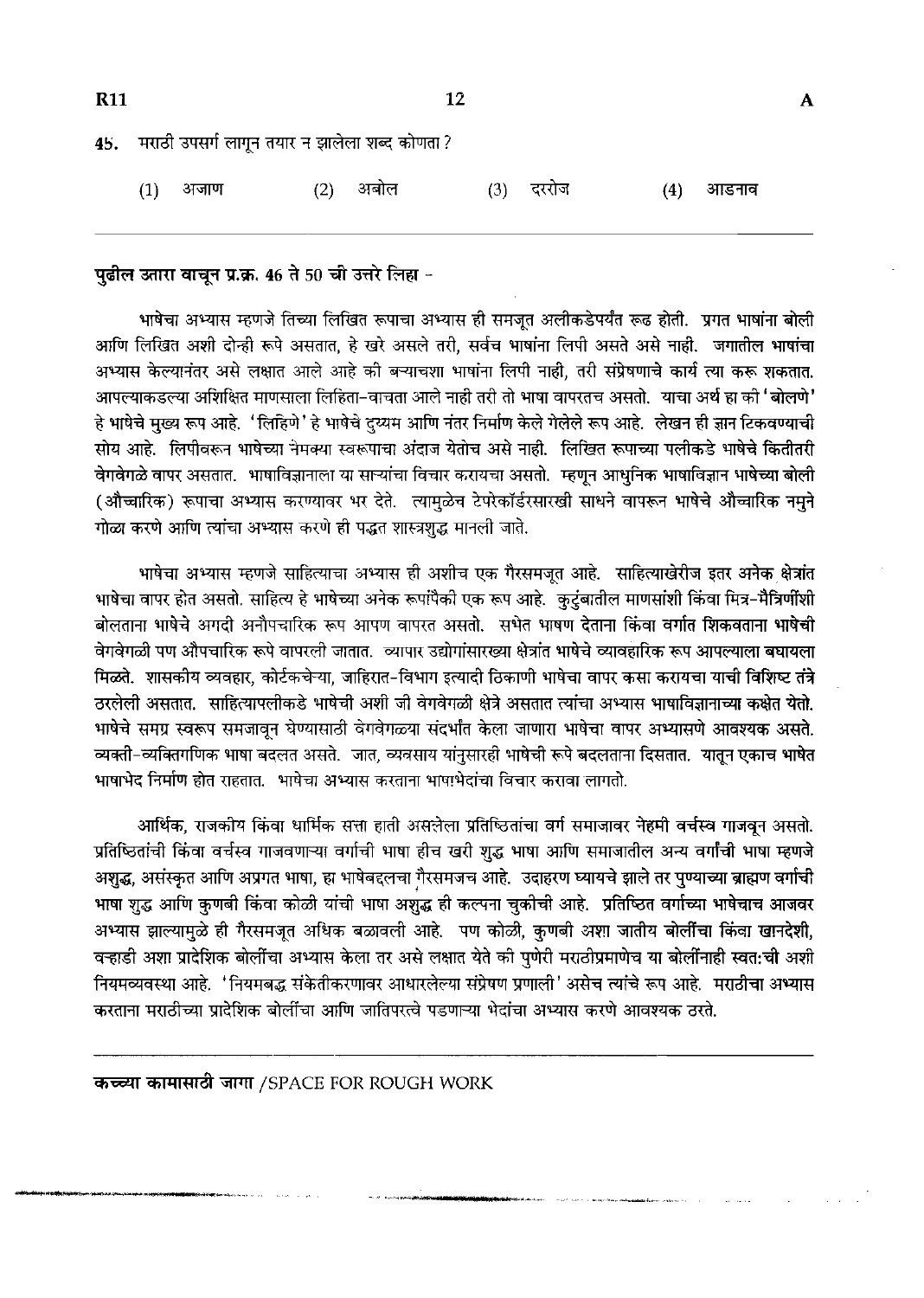| <b>R11</b> |     |                                                   |     | 12   |     |       |     |       | A |
|------------|-----|---------------------------------------------------|-----|------|-----|-------|-----|-------|---|
|            |     | 45. मराठी उपसर्ग लागून तयार न झालेला शब्द कोणता ? |     |      |     |       |     |       |   |
|            | (1) | अजाण                                              | (2) | अबोल | (3) | दररोज | (4) | आडनाव |   |

## पुढील उतारा वाचून प्र.क्र. 46 ते 50 ची उत्तरे लिहा -

भाषेचा अभ्यास म्हणजे तिच्या लिखित रूपाचा अभ्यास ही समजूत अलीकडेपर्यंत रूढ होती. प्रगत भाषांना बोली आणि लिखित अशी दोन्ही रूपे असतात, हे खरे असले तरी, सर्वच भाषांना लिपी असते असे नाही. जगातील भाषांचा अभ्यास केल्यानंतर असे लक्षात आले आहे की बऱ्याचशा भाषांना लिपी नाही, तरी संप्रेषणाचे कार्य त्या करू शकतात. आपल्याकडल्या अशिक्षित माणसाला लिहिता–वाचता आले नाही तरी तो भाषा वापरतच असतो. याचा अर्थ हा को 'बोलणे' हे भाषेचे मुख्य रूप आहे. 'लिहिणे' हे भाषेचे दुय्यम आणि नंतर निर्माण केले गेलेले रूप आहे. लेखन ही ज्ञान टिकवण्याची सोय आहे. लिपीवरून भाषेच्या नैमक्या स्वरूपाचा अंदाज येतोच असे नाही. लिखित रूपाच्या पलीकडे भाषेचे कितीतरी वेगवेगळे वापर असतात. भाषाविज्ञानाला या साऱ्यांचा विचार करायचा असतो. म्हणून आधुनिक भाषाविज्ञान भाषेच्या बोली (औच्चारिक) रूपाचा अभ्यास करण्यावर भर देते. त्यामुळेच टेपरेकॉर्डरसारखी साधने वापरून भाषेचे औच्चारिक नमुने गोळा करणे आणि त्यांचा अभ्यास करणे ही पद्धत शास्त्रशद्ध मानली जाते.

भाषेचा अभ्यास म्हणजे साहित्याचा अभ्यास ही अशीच एक गैरसमजुत आहे. साहित्याखेरीज इतर अनेक क्षेत्रांत भाषेचा वापर होत असतो. साहित्य हे भाषेच्या अनेक रूपांपैकी एक रूप आहे. कुटुंबातील माणसांशी किंवा मित्र–मैत्रिर्णीशी बोलताना भाषेचे अगदी अनौपचारिक रूप आपण वापरत असतो. सभेत भाषण देताना किंवा वर्गात शिकवताना भाषेची वेगवेगळी पण औपचारिक रूपे वापरली जातात. व्यापार उद्योगांसारख्या क्षेत्रांत भाषेचे व्यावहारिक रूप आपल्याला बघायला मिळते. शासकीय व्यवहार, कोर्टकचेऱ्या, जाहिरात-विभाग इत्यादी ठिकाणी भाषेचा वापर कसा करायचा याची विशिष्ट तंत्रे ठरलेली असतात. साहित्यापलीकडे भाषेची अशी जी वेगवेगळी क्षेत्रे असतात त्यांचा अभ्यास भाषाविज्ञानाच्या कक्षेत येतो. भाषेचे समग्र स्वरूप समजावून घेण्यासाठी वेगवेगळ्या संदर्भांत केला जाणारा भाषेचा वापर अभ्यासणे आवश्यक असते. व्यक्ती-व्यक्तिगणिक भाषा बदलत असते. जात, व्यवसाय यांनुसारही भाषेची रूपे बदलताना दिसतात. यातून एकाच भाषेत भाषाभेद निर्माण होत राहतात. भाषेचा अभ्यास करताना भाषाभेदांचा विचार करावा लागतो.

आर्थिक, राजकीय किंवा धार्मिक सत्ता हाती असलेला प्रतिष्ठितांचा वर्ग समाजावर नेहमी वर्चस्व गाजवून असतो. प्रतिष्ठितांची किंवा वर्चस्व गाजवणाऱ्या वर्गाची भाषा हीच खरी शुद्ध भाषा आणि समाजातील अन्य वर्गांची भाषा म्हणजे अशुद्ध, असंस्कृत आणि अप्रगत भाषा, हा भाषेबद्दलचा गैरसमजच आहे. उदाहरण घ्यायचे झाले तर पुण्याच्या ब्राह्मण वर्गाची भाषा शुद्ध आणि कुणबी किंवा कोळी यांची भाषा अशुद्ध ही कल्पना चुकीची आहे. प्रतिष्ठित वर्गाच्या भाषेचाच आजवर अभ्यास झाल्यामुळे ही गैरसमजूत अधिक बळावली आहे. पण कोळी, कुणबी अशा जातीय बोलींचा किंवा खानदेशी, वऱ्हाडी अशा प्रादेशिक बोलींचा अभ्यास केला तर असे लक्षात येते की पुणेरी मराठीप्रमाणेच या बोलींनाही स्वत:ची अशी नियमव्यवस्था आहे. 'नियमबद्ध संकेतीकरणावर आधारलेल्या संप्रेषण प्रणाली' असेच त्यांचे रूप आहे. मराठीचा अभ्यास करताना मराठीच्या प्रादेशिक बोलींचा आणि जातिपरत्वे पडणाऱ्या भेदांचा अभ्यास करणे आवश्यक ठरते.

कच्च्या कामासाठी जागा /SPACE FOR ROUGH WORK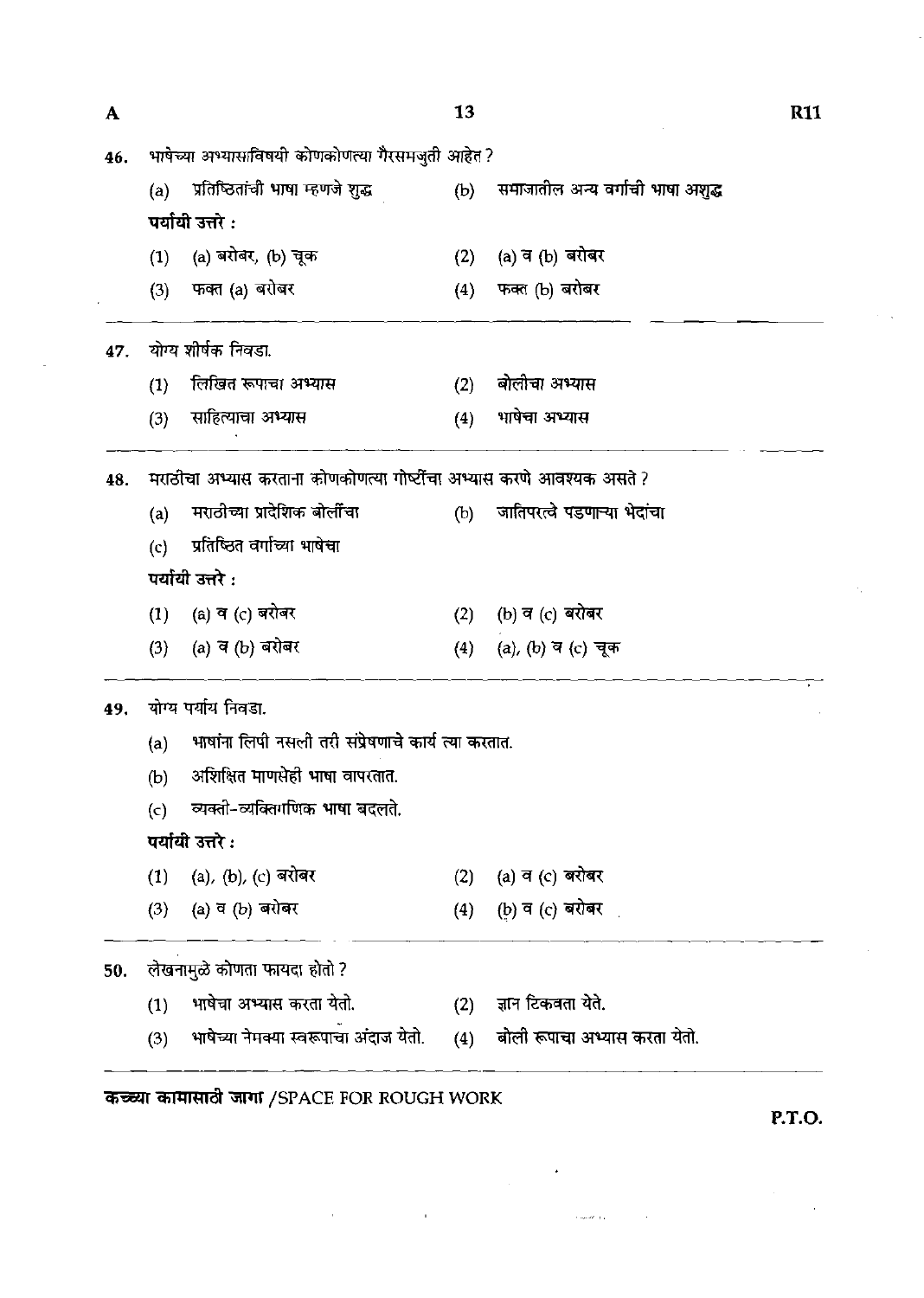| ${\bf A}$ |     |                                                                                         | <b>13</b> |                                   | <b>R11</b> |
|-----------|-----|-----------------------------------------------------------------------------------------|-----------|-----------------------------------|------------|
| 46.       |     | भाषेच्या अभ्यासाविषयी कोणकोणत्या गैरसमजुती आहेत ?                                       |           |                                   |            |
|           | (a) | प्रतिष्ठितांची भाषा म्हणजे शुद्ध               (b)    समाजातील अन्य वर्गाची भाषा अशुद्ध |           |                                   |            |
|           |     | पर्यायी उत्तरे :                                                                        |           |                                   |            |
|           | (1) | (a) बरोबर, (b) चूक                                                                      | (2)       | (a) व (b) बरोबर                   |            |
|           | (3) | फक्त (a) बरोबर                                                                          | (4)       | फक्त (b) बरोबर                    |            |
| 47.       |     | योग्य शीर्षक निवडा.                                                                     |           |                                   |            |
|           | (1) | लिखित रूपाचा अभ्यास                                                                     | (2)       | बोलीचा अभ्यास                     |            |
|           | (3) | साहित्याचा अभ्यास                                                                       | (4)       | भाषेचा अभ्यास                     |            |
| 48.       |     | मराठीचा अभ्यास करताना कोणकोणत्या गोष्टींचा अभ्यास करणे आवश्यक असते ?                    |           |                                   |            |
|           | (a) | मराठीच्या प्रादेशिक बोर्लींचा                                                           |           | (b) जातिपरत्वे पडणाऱ्या भेदांचा   |            |
|           | (c) | प्रतिष्ठित वर्गाच्या भाषेचा                                                             |           |                                   |            |
|           |     | पर्यायी उत्तरे :                                                                        |           |                                   |            |
|           | (1) | (a) व (c) बरोबर                                                                         | (2)       | (b) व (c) बरोबर                   |            |
|           | (3) | (a) व (b) बरोबर                                                                         | (4)       | (a), (b) व (c) चूक                |            |
| 49.       |     | योग्य पर्याय निवडा.                                                                     |           |                                   |            |
|           | (a) | भाषांना लिपी नसली तरी संप्रेषणाचे कार्य त्या करतात.                                     |           |                                   |            |
|           | (b) | अशिक्षित माणसेही भाषा वापरतात.                                                          |           |                                   |            |
|           | (c) | व्यक्ती-व्यक्तिगणिक भाषा बदलते.                                                         |           |                                   |            |
|           |     | पर्यायी उत्तरे :                                                                        |           |                                   |            |
|           | (1) | (a), (b), (c) बरोबर                                                                     | (2)       | (a) व (c) बरोबर                   |            |
|           | (3) | (a) व (b) बरोबर                                                                         | (4)       | (b) व (c) बरोबर                   |            |
| 50.       |     | लेखनामुळे कोणता फायदा होतो ?                                                            |           |                                   |            |
|           | (1) | भाषेचा अभ्यास करता येतो.                                                                | (2)       | ज्ञान टिकवता येते.                |            |
|           | (3) | भाषेच्या नेमक्या स्वरूपाचा अंदाज येतो.                                                  |           | (4) बोली रूपाचा अभ्यास करता येतो. |            |

 $\label{eq:2.1} \frac{1}{\sqrt{2}}\int_{\mathbb{R}^3}\frac{1}{\sqrt{2}}\left(\frac{1}{\sqrt{2}}\right)^2\frac{1}{\sqrt{2}}\left(\frac{1}{\sqrt{2}}\right)^2\frac{1}{\sqrt{2}}\left(\frac{1}{\sqrt{2}}\right)^2\frac{1}{\sqrt{2}}\left(\frac{1}{\sqrt{2}}\right)^2.$ 

 $\label{eq:1} \hat{\mathcal{O}}_{\text{cusp}}(\hat{\theta}) = \hat{\mathcal{O}}_{\text{cusp}}(\hat{\theta})$ 

 $\mathcal{A}^{\mathcal{A}}$ 

कच्च्या कामासाठी जागा /SPACE FOR ROUGH WORK

**P.T.O.**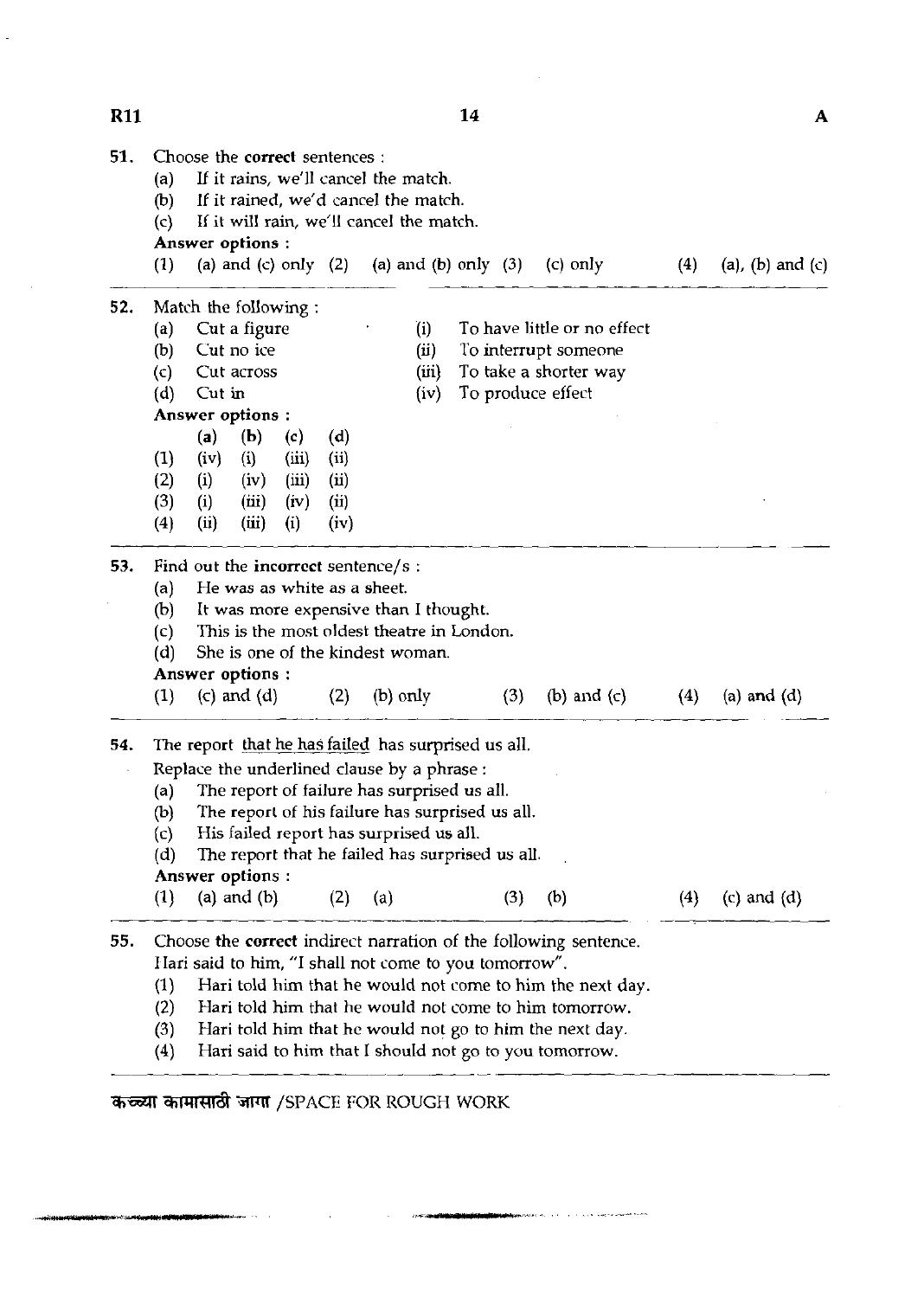**51.** Choose the correct sentences : (a) If it rains, we'll cancel the match.<br>(b) If it rained, we'd cancel the match (b) If it rained, we'd cancel the match.<br>(c) If it will rain, we'll cancel the match If it will rain, we'll cancel the match. Answer options : (1) (a) and (c) only (2) (a) and (b) only (3) (c) only (4) (a), (b) and (c) 52. Match the following :<br>(a) Cut a figure (a) Cut a figure  $(i)$  To have little or no effect (b) Cut no ice (ii) To interrupt someone (c) Cut across (iii) To take a shorter way (d) Cut in (iv) To produce effect Answer options : **(a) (b)** (c) (dl (1) (iv) (i) (iii) (ii) (2) (i) (iv) (iii) (ii) (3) (i) (iii) (iv) (ii) (4) (ii) (iii) (i) (iv) - **53.** Find out the incorrect sentence/s: (a) He was as white as a sheet.<br>(b) It was more expensive than (b) It was more expensive than I thought.<br>(c) This is the most oldest theatre in Lond (c) This is the most oldest theatre in London.<br>(d) She is one of the kindest woman. She is one of the kindest woman. Answer options : (1) (c) and (d) (2) (b) only (3) (b) and (c) (4) (a) and (d) **54.** The report that he has failed has surprised us all. Replace the underlined clause by a phrase : (a) The report of failure has surprised us all.<br>(b) The report of his failure has surprised us (b) The report of his failure has surprised us all.<br>(c) His failed report has surprised us all. (c) His failed report has surprised us all.<br>(d) The report that he failed has surprise The report that he failed has surprised us all. Answer options : (1) (a) and (b) (2) (a) (3) (b) (4) (c) and (d) *55.* Choose the correct indirect narration of the following sentence. Hari said to him, "I shall not come to you tomorrow". (1) Hari told him that he would not come to him the next day.<br>(2) Hari told him that he would not come to him tomorrow. Hari told him that he would not come to him tomorrow. **(3)** Hari told him that he would not go to him the next day. Hari said to him that I should not go to you tomorrow.

कच्च्या कामासाठी जागा /SPACE FOR ROUGH WORK

14

A

### **R11**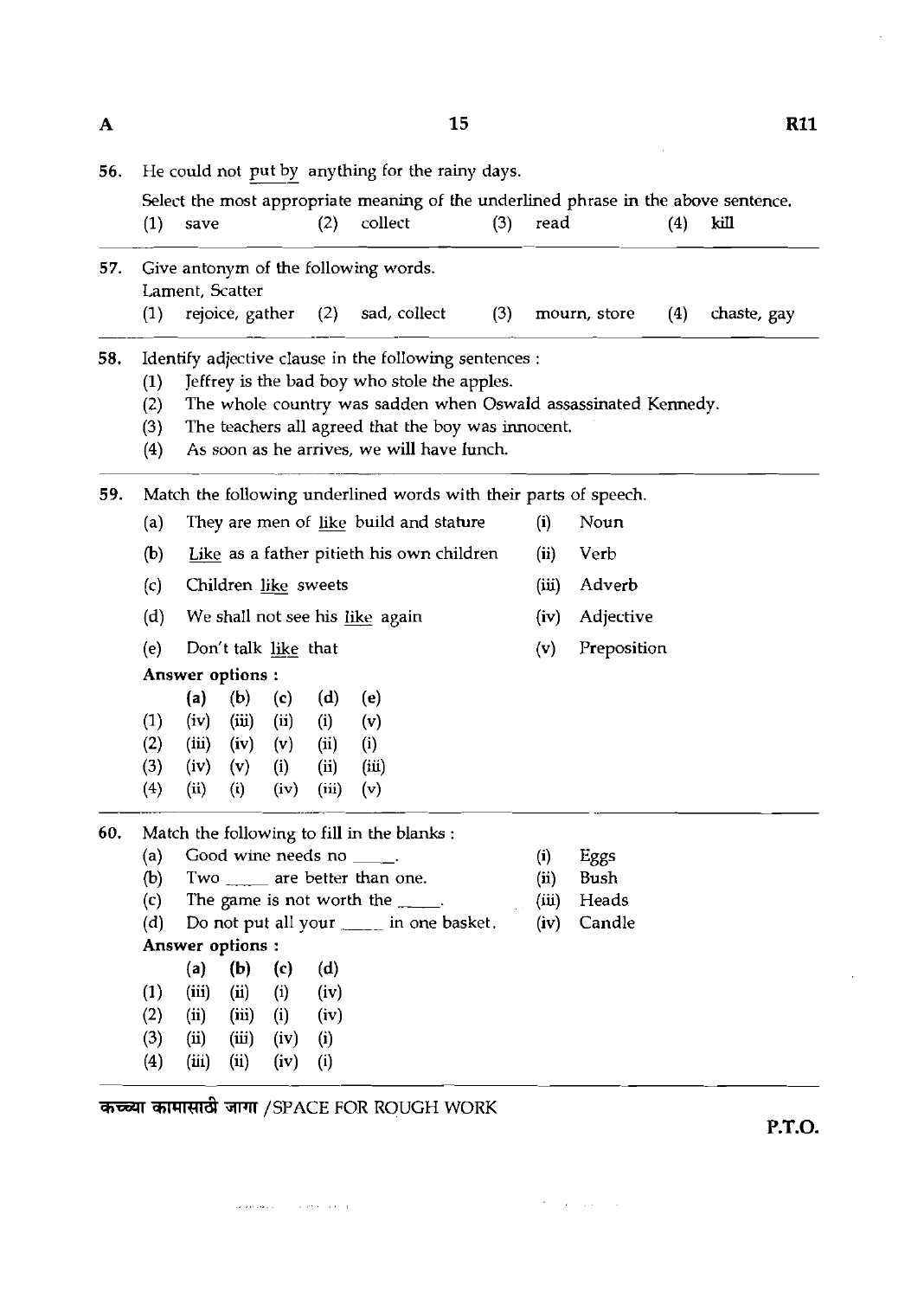| 56. | He could not put by anything for the rainy days.                 |                                           |       |      |       |                                                                                                |     |       |              |     |             |
|-----|------------------------------------------------------------------|-------------------------------------------|-------|------|-------|------------------------------------------------------------------------------------------------|-----|-------|--------------|-----|-------------|
|     | (1)                                                              | save                                      |       |      | (2)   | Select the most appropriate meaning of the underlined phrase in the above sentence.<br>collect | (3) | read  |              | (4) | kill        |
|     |                                                                  |                                           |       |      |       |                                                                                                |     |       |              |     |             |
| 57. | Give antonym of the following words.<br>Lament, Scatter          |                                           |       |      |       |                                                                                                |     |       |              |     |             |
|     | (1)                                                              | rejoice, gather                           |       |      | (2)   | sad, collect                                                                                   | (3) |       | mourn, store | (4) | chaste, gay |
| 58. |                                                                  |                                           |       |      |       | Identify adjective clause in the following sentences :                                         |     |       |              |     |             |
|     | (1)                                                              |                                           |       |      |       | Jeffrey is the bad boy who stole the apples.                                                   |     |       |              |     |             |
|     | (2)                                                              |                                           |       |      |       | The whole country was sadden when Oswald assassinated Kennedy.                                 |     |       |              |     |             |
|     | (3)                                                              |                                           |       |      |       | The teachers all agreed that the boy was innocent.                                             |     |       |              |     |             |
|     | (4)                                                              |                                           |       |      |       | As soon as he arrives, we will have lunch.                                                     |     |       |              |     |             |
| 59. | Match the following underlined words with their parts of speech. |                                           |       |      |       |                                                                                                |     |       |              |     |             |
|     | (a)                                                              |                                           |       |      |       | They are men of like build and stature                                                         |     | (i)   | Noun         |     |             |
|     | (b)                                                              | Like as a father pitieth his own children |       |      |       |                                                                                                |     | (ii)  | Verb         |     |             |
|     | (c)                                                              | Children like sweets                      |       |      |       |                                                                                                |     | (iii) | Adverb       |     |             |
|     | (d)                                                              | We shall not see his like again           |       |      |       |                                                                                                |     | (iv)  | Adjective    |     |             |
|     | (e)                                                              | Don't talk like that                      |       |      |       |                                                                                                |     | (v)   | Preposition  |     |             |
|     |                                                                  | Answer options :                          |       |      |       |                                                                                                |     |       |              |     |             |
|     |                                                                  | (a)                                       | (b)   | (c)  | (d)   | (e)                                                                                            |     |       |              |     |             |
|     | (1)                                                              | (iv)                                      | (iii) | (ii) | (i)   | (v)                                                                                            |     |       |              |     |             |
|     | (2)                                                              | (iii)                                     | (iv)  | (v)  | (ii)  | (i)                                                                                            |     |       |              |     |             |
|     | (3)                                                              | (iv)                                      | (v)   | (i)  | (ii)  | (iii)                                                                                          |     |       |              |     |             |
|     | (4)                                                              | (ii)                                      | (i)   | (iv) | (iii) | (v)                                                                                            |     |       |              |     |             |
| 60. | Match the following to fill in the blanks :                      |                                           |       |      |       |                                                                                                |     |       |              |     |             |
|     | (a)                                                              |                                           |       |      |       | Good wine needs no $\_\_\_\_\$ .                                                               |     | (i)   | <b>Eggs</b>  |     |             |
|     | (b)                                                              |                                           |       |      |       | Two _____ are better than one.                                                                 |     | (ii)  | <b>Bush</b>  |     |             |
|     | (c)                                                              |                                           |       |      |       | The game is not worth the $\frac{1}{1}$ .                                                      |     | (iii) | Heads        |     |             |
|     | (d)                                                              |                                           |       |      |       | Do not put all your ____ in one basket.                                                        |     | (iv)  | Candle       |     |             |
|     |                                                                  | Answer options :                          |       |      |       |                                                                                                |     |       |              |     |             |
|     |                                                                  | (a)                                       | (b)   | (c)  | (d)   |                                                                                                |     |       |              |     |             |
|     | (1)                                                              | (iii)                                     | (ii)  | (i)  | (iv)  |                                                                                                |     |       |              |     |             |
|     | (2)                                                              | (ii)                                      | (iii) | (i)  | (iv)  |                                                                                                |     |       |              |     |             |
|     | (3)                                                              | (ii)                                      | (iii) | (iv) | (i)   |                                                                                                |     |       |              |     |             |
|     | $\left( 4\right)$                                                | (iii)                                     | (ii)  | (iv) | (i)   |                                                                                                |     |       |              |     |             |

 $\mathcal{L}^{\text{max}}(\mathbf{S})$  , we have a set  $\mathcal{L}^{\text{max}}$ 

कच्च्या कामासाठी जागा /SPACE FOR ROUGH WORK

in our subset  $\hat{r}^{(i)}$  , where  $\hat{r}^{(i)}$  and  $\hat{r}^{(i)}$ 

**P.T.O.** 

l.

 $\mathbf{A}$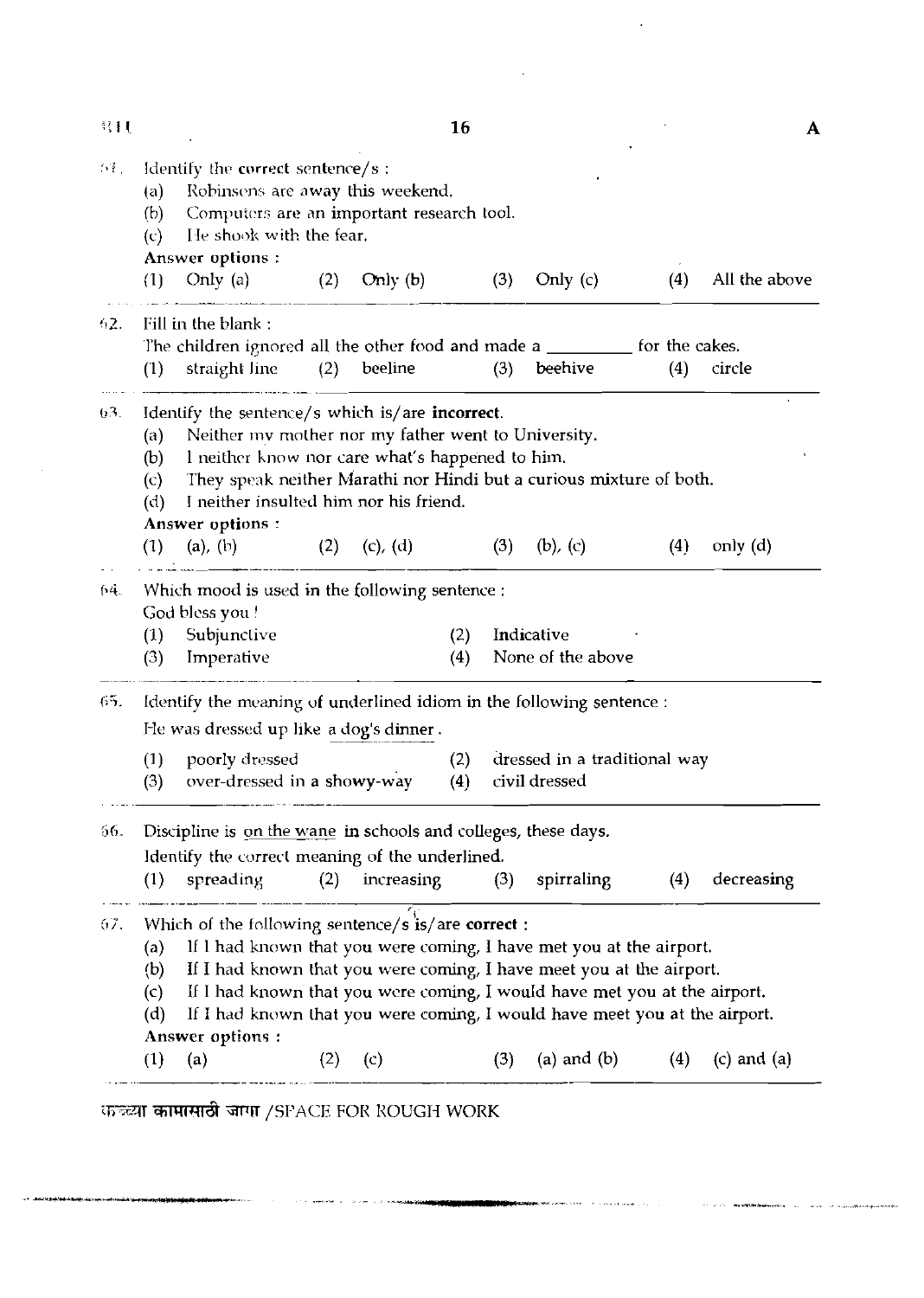| 終日                            |                                                                                                                                                                                                                                                                                                                                                                                                             |                                                                                                                                                                                                                                                                                                |         |               | 16         |     |                                               |                   | A               |  |  |
|-------------------------------|-------------------------------------------------------------------------------------------------------------------------------------------------------------------------------------------------------------------------------------------------------------------------------------------------------------------------------------------------------------------------------------------------------------|------------------------------------------------------------------------------------------------------------------------------------------------------------------------------------------------------------------------------------------------------------------------------------------------|---------|---------------|------------|-----|-----------------------------------------------|-------------------|-----------------|--|--|
| $\Delta\mathcal{V}_{\rm eff}$ | Identify the correct sentence/s:<br>Robinsons are away this weekend.<br>(a)<br>Computers are an important research tool.<br>(b)<br>He shook with the fear.<br>(c)<br>Answer options:                                                                                                                                                                                                                        |                                                                                                                                                                                                                                                                                                |         |               |            |     |                                               |                   |                 |  |  |
|                               | (1)                                                                                                                                                                                                                                                                                                                                                                                                         | Only (a)                                                                                                                                                                                                                                                                                       | (2)     | Only $(b)$    |            | (3) | Only $(c)$                                    | (4)               | All the above   |  |  |
| 92.                           |                                                                                                                                                                                                                                                                                                                                                                                                             | Fill in the blank:                                                                                                                                                                                                                                                                             |         |               |            |     |                                               |                   |                 |  |  |
|                               | (1)                                                                                                                                                                                                                                                                                                                                                                                                         | The children ignored all the other food and made a ___________ for the cakes.<br>straight line                                                                                                                                                                                                 | (2)     | beeline       |            | (3) | beehive                                       | (4)               | circle          |  |  |
| $0.3$ .                       | (a)<br>(b)<br>(c)<br>(d)                                                                                                                                                                                                                                                                                                                                                                                    | Identify the sentence/s which is/are incorrect.<br>Neither my mother nor my father went to University.<br>I neither know nor care what's happened to him.<br>They speak neither Marathi nor Hindi but a curious mixture of both.<br>I neither insulted him nor his friend.<br>Answer options : |         |               |            |     |                                               |                   |                 |  |  |
|                               | (1)                                                                                                                                                                                                                                                                                                                                                                                                         | (a), (b) (2)                                                                                                                                                                                                                                                                                   |         | $(c)$ , $(d)$ |            | (3) | $(b)$ , $(c)$                                 | (4)               | only $(d)$      |  |  |
| 64.                           | (1)<br>(3)                                                                                                                                                                                                                                                                                                                                                                                                  | Which mood is used in the following sentence :<br>God bless you!<br>Subjunctive<br>Imperative                                                                                                                                                                                                  |         |               | (2)<br>(4) |     | Indicative<br>None of the above               |                   |                 |  |  |
| 65.                           | Identify the meaning of underlined idiom in the following sentence :<br>He was dressed up like a dog's dinner.                                                                                                                                                                                                                                                                                              |                                                                                                                                                                                                                                                                                                |         |               |            |     |                                               |                   |                 |  |  |
|                               | (1)<br>(3)                                                                                                                                                                                                                                                                                                                                                                                                  | poorly dressed<br>over-dressed in a showy-way                                                                                                                                                                                                                                                  |         |               | (2)<br>(4) |     | dressed in a traditional way<br>civil dressed |                   |                 |  |  |
| 56.                           | (1)                                                                                                                                                                                                                                                                                                                                                                                                         | Discipline is on the wane in schools and colleges, these days.<br>Identify the correct meaning of the underlined.<br>spreading                                                                                                                                                                 | (2)     | increasing    |            |     | $(3)$ spirraling                              | (4)               | decreasing      |  |  |
| 67.                           | Which of the following sentence/s is/are correct :<br>If I had known that you were coming, I have met you at the airport.<br>(a)<br>If I had known that you were coming, I have meet you at the airport.<br>(b)<br>If I had known that you were coming, I would have met you at the airport.<br>(c)<br>If I had known that you were coming, I would have meet you at the airport.<br>(d)<br>Answer options: |                                                                                                                                                                                                                                                                                                |         |               |            |     |                                               |                   |                 |  |  |
|                               | (1)                                                                                                                                                                                                                                                                                                                                                                                                         |                                                                                                                                                                                                                                                                                                | (2) (c) |               |            | (3) |                                               | (a) and (b) $(4)$ | $(c)$ and $(a)$ |  |  |

**-- c,,** C~T a;mrmdt **Wrr** /sr'ACE FOIi liOUGN WORK

 $\beta \mapsto \beta$  , associated by  $\beta \geq 2 \beta$  over  $\beta \in \mathcal{A}$  , with particular  $\frac{1}{2}$ 

.<br>Markan kumu

 $\mathcal{L}^{\text{max}}_{\text{max}}$  and  $\mathcal{L}^{\text{max}}_{\text{max}}$ 

 $\sim 10^{11}$ 

**All Constants of the control of the Constants of the Constant of the Constants of the Constant of the Constants of the Constants of the Constant of the Constant of the Constant of the Constant of the Constant of the Const**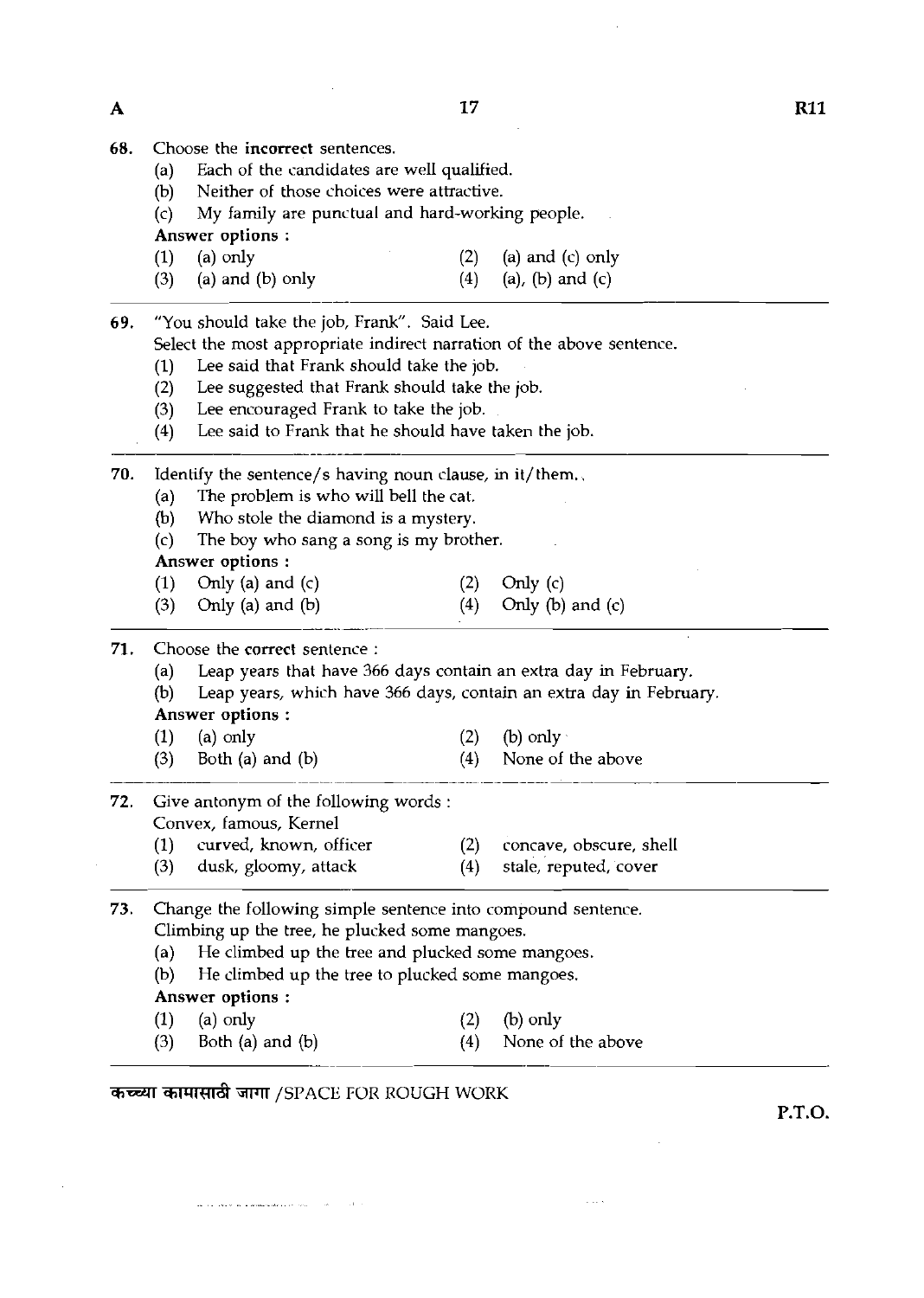|  |  | <b>68.</b> Choose the <b>incorrect</b> sentences. |
|--|--|---------------------------------------------------|
|  |  |                                                   |

- (a) Each of the candidates are well qualified.<br>(b) Neither of those choices were attractive.
- (b) Neither of those choices were attractive.<br>(c) My family are punctual and hard-worki
- My family are punctual and hard-working people.

Answer options :

- (1) (a) only (2) (a) and (c) only (3) (a) and (c) only (3) (a) and (c) only (4) (a), (b) and (c)
- (a) and (b) only

**69.** "You should take the job, Frank". Said Lee.

Select the most appropriate indirect narration of the above sentence.

- (1) Lee said that Frank should take the job.<br>(2) Lee suggested that Frank should take the
- (2) Lee suggested that Frank should take the job.<br>(3) Lee encouraged Frank to take the job.
- (3) Lee encouraged Frank to take the job.<br>(4) Lee said to Frank that he should have
- Lee said to Frank that he should have taken the job.

**70.** Identify the sentence/s having noun clause, in it/them..

- (a) The problem is who will bell the cat.<br>(b) Who stole the diamond is a mystery.
- Who stole the diamond is a mystery.
- (c) The boy who sang a song is my brother.

Answer options :

- 
- (1) Only (a) and (c)  $(2)$  Only (c)  $(3)$  Only (a) and (b)  $(4)$  Only (b) Only (b) and  $(c)$

- (a) Leap years that have 366 days contain an extra day in February.
	- Leap years, which have 366 days, contain an extra day in February.

### Answer options :

| 71. | Choose the correct sentence : |                                                                                                   |     |                    |  |  |  |  |  |  |  |
|-----|-------------------------------|---------------------------------------------------------------------------------------------------|-----|--------------------|--|--|--|--|--|--|--|
|     | (a)                           | Leap years that have 366 days contain an extra day in Feb                                         |     |                    |  |  |  |  |  |  |  |
|     | (b)                           | Leap years, which have 366 days, contain an extra day in                                          |     |                    |  |  |  |  |  |  |  |
|     |                               | Answer options:                                                                                   |     |                    |  |  |  |  |  |  |  |
|     |                               | $(1)$ (a) only                                                                                    | (2) | $(b)$ only $\cdot$ |  |  |  |  |  |  |  |
|     | (3)                           | Both (a) and (b)                                                                                  | (4) | None of the above  |  |  |  |  |  |  |  |
|     |                               | <b>72.</b> Give antonym of the following words :<br>$\sigma$ and $\sigma$ is the same in $\sigma$ |     |                    |  |  |  |  |  |  |  |

- **72.** Give antonym of the following words : Convex, famous, Kernel
	- (1) curved, known, officer (2) concave, obscure, shell
	- **(3)** dusk, gloomy, attack (4) stale, reputed, cover

### **73.** Change the following simple sentence into compound sentence. Climbing up the tree, he plucked some mangoes.

- (a) He climbed up the tree and plucked some mangoes.
- (b) He climbed up the tree to plucked some mangoes.
- Answer options :
- (1) (a) only **(2)** (b) only

 $\sqrt{2}$  and  $\sqrt{2}$ 

(3) Both (a) and (b)  $(4)$  None of the above (1) (a) only (2) (b) only (3) Both (a) and (b) (4) None of  $\overline{\mathbf{3}}$ 

and a straight and an experience of the contract of the state of the state of the state of the state of the state of the state of the state of the state of the state of the state of the state of the state of the state of t

**P.T.O.**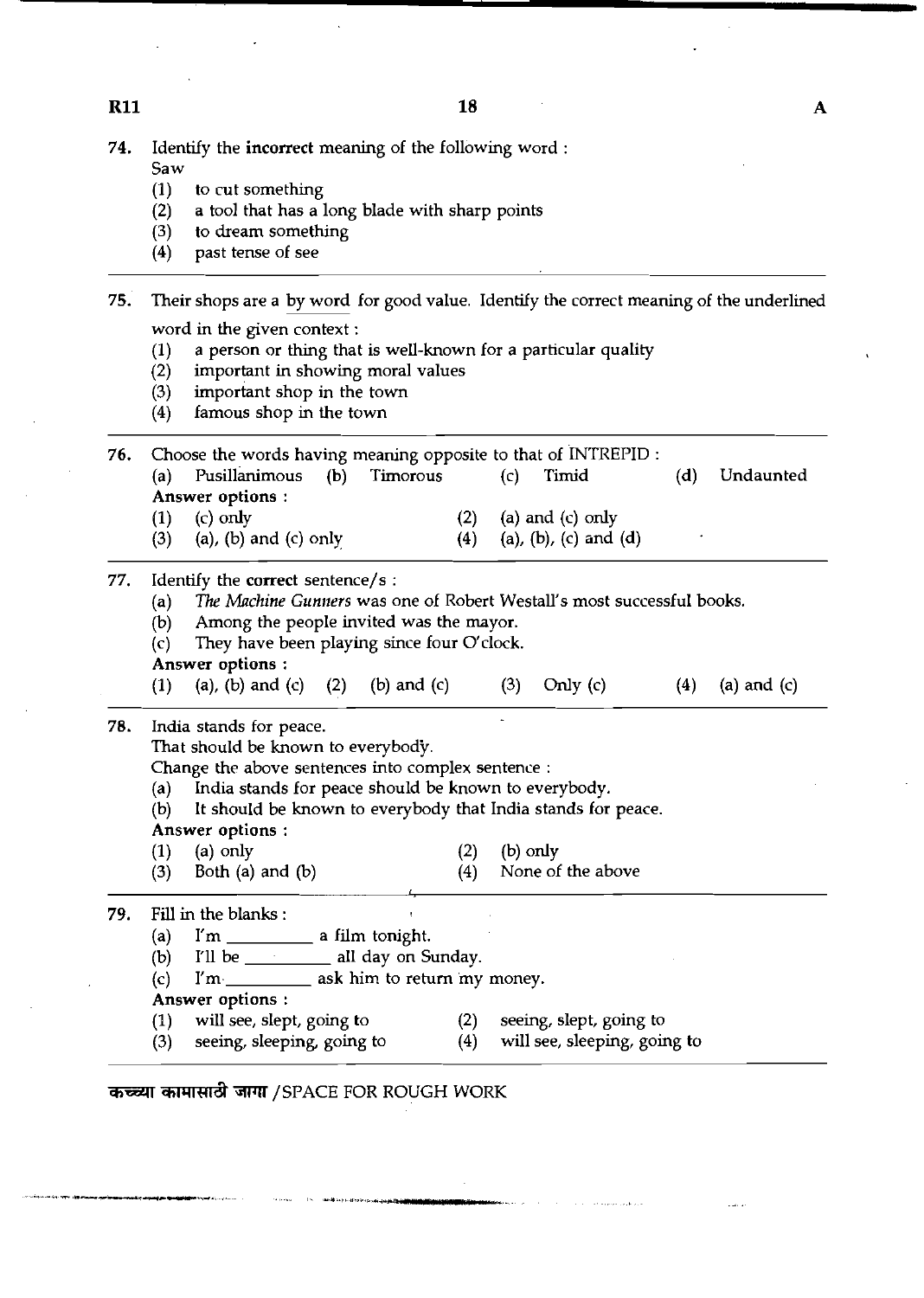$\overline{\mathbf{A}}$ 

**74.** Identify the incorrect meaning of the following word :

|            | (2)                                                                                      | a tool that has a long blade with sharp points                         |               |            |                                                             |     |               |  |  |  |
|------------|------------------------------------------------------------------------------------------|------------------------------------------------------------------------|---------------|------------|-------------------------------------------------------------|-----|---------------|--|--|--|
|            | (3)                                                                                      | to dream something                                                     |               |            |                                                             |     |               |  |  |  |
|            | (4)                                                                                      | past tense of see                                                      |               |            |                                                             |     |               |  |  |  |
| 75.        | Their shops are a by word for good value. Identify the correct meaning of the underlined |                                                                        |               |            |                                                             |     |               |  |  |  |
|            |                                                                                          | word in the given context:                                             |               |            |                                                             |     |               |  |  |  |
|            | (1)                                                                                      | a person or thing that is well-known for a particular quality          |               |            |                                                             |     |               |  |  |  |
|            | (2)                                                                                      | important in showing moral values                                      |               |            |                                                             |     |               |  |  |  |
|            | (3)                                                                                      | important shop in the town                                             |               |            |                                                             |     |               |  |  |  |
|            | (4)                                                                                      | famous shop in the town                                                |               |            |                                                             |     |               |  |  |  |
| 76.        |                                                                                          | Choose the words having meaning opposite to that of INTREPID :         |               |            |                                                             |     |               |  |  |  |
|            | (a)                                                                                      | Pusillanimous<br>(b)                                                   | Timorous      | (c)        | Timid                                                       | (d) | Undaunted     |  |  |  |
|            |                                                                                          | Answer options :                                                       |               |            |                                                             |     |               |  |  |  |
|            | (1)                                                                                      | $(c)$ only                                                             | (2)           |            | (a) and $(c)$ only                                          |     |               |  |  |  |
|            | (3)                                                                                      | $(a)$ , $(b)$ and $(c)$ only                                           | (4)           |            | (a), (b), (c) and (d)                                       |     |               |  |  |  |
| 77.        |                                                                                          | Identify the correct sentence/s :                                      |               |            |                                                             |     |               |  |  |  |
|            | (a)                                                                                      | The Machine Gunners was one of Robert Westall's most successful books. |               |            |                                                             |     |               |  |  |  |
|            | (b)                                                                                      | Among the people invited was the mayor.                                |               |            |                                                             |     |               |  |  |  |
|            | (c)                                                                                      | They have been playing since four O'clock.                             |               |            |                                                             |     |               |  |  |  |
|            |                                                                                          |                                                                        |               |            |                                                             |     |               |  |  |  |
|            |                                                                                          | Answer options:                                                        |               |            |                                                             |     |               |  |  |  |
|            | (1)                                                                                      | (a), (b) and (c) $(2)$                                                 | (b) and $(c)$ | (3)        | Only $(c)$                                                  | (4) | (a) and $(c)$ |  |  |  |
|            |                                                                                          | India stands for peace.                                                |               |            |                                                             |     |               |  |  |  |
|            |                                                                                          | That should be known to everybody.                                     |               |            |                                                             |     |               |  |  |  |
|            |                                                                                          | Change the above sentences into complex sentence :                     |               |            |                                                             |     |               |  |  |  |
|            | (a)                                                                                      | India stands for peace should be known to everybody.                   |               |            |                                                             |     |               |  |  |  |
|            | (b)                                                                                      | It should be known to everybody that India stands for peace.           |               |            |                                                             |     |               |  |  |  |
|            |                                                                                          | Answer options:                                                        |               |            |                                                             |     |               |  |  |  |
|            | (1)                                                                                      | $(a)$ only                                                             | (2)           | $(b)$ only |                                                             |     |               |  |  |  |
|            | (3)                                                                                      | Both $(a)$ and $(b)$                                                   | (4)           |            | None of the above                                           |     |               |  |  |  |
|            |                                                                                          | Fill in the blanks:                                                    |               |            |                                                             |     |               |  |  |  |
|            | (a)                                                                                      |                                                                        |               |            |                                                             |     |               |  |  |  |
|            | (b)                                                                                      | I'll be ______________ all day on Sunday.                              |               |            |                                                             |     |               |  |  |  |
|            | (c)                                                                                      | I'm-<br>ask him to return my money.                                    |               |            |                                                             |     |               |  |  |  |
|            |                                                                                          | Answer options:                                                        |               |            |                                                             |     |               |  |  |  |
| 78.<br>79. | (1)                                                                                      | will see, slept, going to                                              | (2)           |            | seeing, slept, going to<br>(4) will see, sleeping, going to |     |               |  |  |  |

**R11** 

Saw<br>(1)

(1) to cut something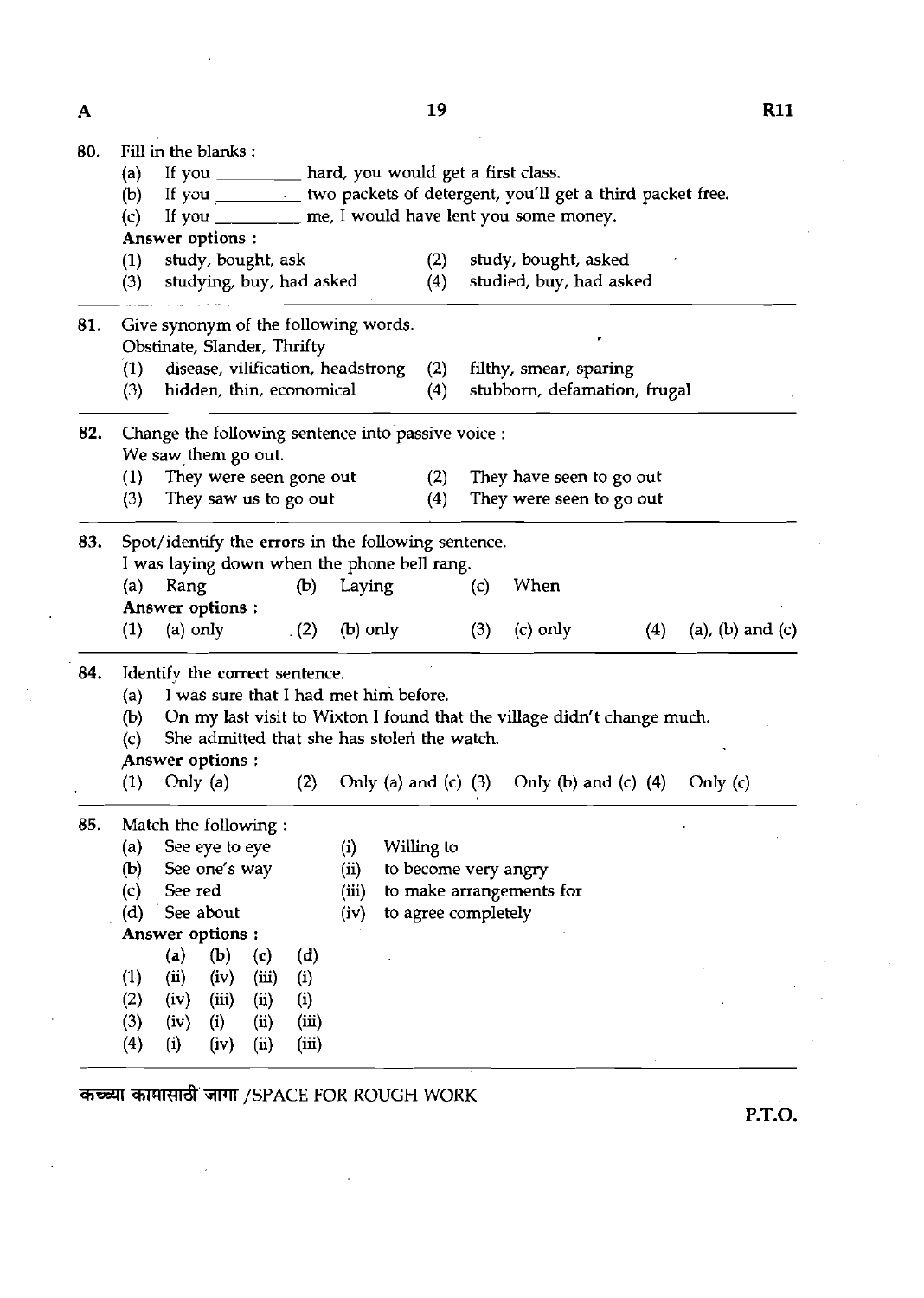19

| 80. | Fill in the blanks:                                                                                                                                                                                              |                                                                     |                             |       |                                             |                      |                                 |                                                                         |     |                  |  |  |  |
|-----|------------------------------------------------------------------------------------------------------------------------------------------------------------------------------------------------------------------|---------------------------------------------------------------------|-----------------------------|-------|---------------------------------------------|----------------------|---------------------------------|-------------------------------------------------------------------------|-----|------------------|--|--|--|
|     | If you __________ hard, you would get a first class.<br>(a)<br>If you __________ two packets of detergent, you'll get a third packet free.<br>(b)<br>If you _______ me, I would have lent you some money.<br>(c) |                                                                     |                             |       |                                             |                      |                                 |                                                                         |     |                  |  |  |  |
|     |                                                                                                                                                                                                                  |                                                                     |                             |       |                                             |                      |                                 |                                                                         |     |                  |  |  |  |
|     |                                                                                                                                                                                                                  |                                                                     |                             |       |                                             |                      |                                 |                                                                         |     |                  |  |  |  |
|     |                                                                                                                                                                                                                  | Answer options :                                                    |                             |       |                                             |                      |                                 |                                                                         |     |                  |  |  |  |
|     | study, bought, ask<br>(1)                                                                                                                                                                                        |                                                                     |                             |       |                                             | (2)                  |                                 | study, bought, asked                                                    |     |                  |  |  |  |
|     | studying, buy, had asked<br>(3)                                                                                                                                                                                  |                                                                     |                             |       |                                             |                      |                                 | studied, buy, had asked                                                 |     |                  |  |  |  |
| 81. |                                                                                                                                                                                                                  | Give synonym of the following words.<br>Obstinate, Slander, Thrifty |                             |       |                                             |                      |                                 |                                                                         |     |                  |  |  |  |
|     | (1)                                                                                                                                                                                                              |                                                                     |                             |       | disease, vilification, headstrong           | (2)                  | filthy, smear, sparing          |                                                                         |     |                  |  |  |  |
|     | (3)<br>hidden, thin, economical                                                                                                                                                                                  |                                                                     |                             |       |                                             |                      | stubborn, defamation, frugal    |                                                                         |     |                  |  |  |  |
| 82. |                                                                                                                                                                                                                  | Change the following sentence into passive voice :                  |                             |       |                                             |                      |                                 |                                                                         |     |                  |  |  |  |
|     | We saw them go out.                                                                                                                                                                                              |                                                                     |                             |       |                                             |                      |                                 |                                                                         |     |                  |  |  |  |
|     | They were seen gone out<br>(1)                                                                                                                                                                                   |                                                                     |                             |       |                                             |                      | (2)<br>They have seen to go out |                                                                         |     |                  |  |  |  |
|     | They saw us to go out<br>(3)                                                                                                                                                                                     |                                                                     |                             |       |                                             |                      |                                 | They were seen to go out                                                |     |                  |  |  |  |
| 83. |                                                                                                                                                                                                                  | Spot/identify the errors in the following sentence.                 |                             |       |                                             |                      |                                 |                                                                         |     |                  |  |  |  |
|     |                                                                                                                                                                                                                  | I was laying down when the phone bell rang.                         |                             |       |                                             |                      |                                 |                                                                         |     |                  |  |  |  |
|     | (a)                                                                                                                                                                                                              | Rang<br>(b)                                                         |                             |       | Laying                                      |                      | (c)                             | When                                                                    |     |                  |  |  |  |
|     | Answer options:                                                                                                                                                                                                  |                                                                     |                             |       |                                             |                      |                                 |                                                                         |     |                  |  |  |  |
|     | (1)                                                                                                                                                                                                              | $(a)$ only                                                          |                             | (2)   | $(b)$ only                                  |                      | (3)                             | $(c)$ only                                                              | (4) | (a), (b) and (c) |  |  |  |
| 84. | Identify the correct sentence.                                                                                                                                                                                   |                                                                     |                             |       |                                             |                      |                                 |                                                                         |     |                  |  |  |  |
|     | I was sure that I had met him before.<br>(a)                                                                                                                                                                     |                                                                     |                             |       |                                             |                      |                                 |                                                                         |     |                  |  |  |  |
|     | (b)                                                                                                                                                                                                              |                                                                     |                             |       |                                             |                      |                                 | On my last visit to Wixton I found that the village didn't change much. |     |                  |  |  |  |
|     | (c)                                                                                                                                                                                                              |                                                                     |                             |       | She admitted that she has stolen the watch. |                      |                                 |                                                                         |     |                  |  |  |  |
|     |                                                                                                                                                                                                                  | Answer options:                                                     |                             |       |                                             |                      |                                 |                                                                         |     |                  |  |  |  |
|     | (1)                                                                                                                                                                                                              | Only $(a)$                                                          |                             | (2)   |                                             |                      |                                 | Only (a) and (c) $(3)$ Only (b) and (c) $(4)$                           |     | Only $(c)$       |  |  |  |
| 85. |                                                                                                                                                                                                                  | Match the following:                                                |                             |       |                                             |                      |                                 |                                                                         |     |                  |  |  |  |
|     | (a)                                                                                                                                                                                                              | See eye to eye                                                      |                             |       | (i)                                         | Willing to           |                                 |                                                                         |     |                  |  |  |  |
|     | $\left(\mathbf{b}\right)$                                                                                                                                                                                        | See one's way                                                       |                             |       | (ii)                                        | to become very angry |                                 |                                                                         |     |                  |  |  |  |
|     | (c)                                                                                                                                                                                                              | See red                                                             |                             |       | (iii)                                       |                      |                                 | to make arrangements for                                                |     |                  |  |  |  |
|     | (d)                                                                                                                                                                                                              | See about                                                           |                             |       | (iv)                                        | to agree completely  |                                 |                                                                         |     |                  |  |  |  |
|     |                                                                                                                                                                                                                  | Answer options:                                                     |                             |       |                                             |                      |                                 |                                                                         |     |                  |  |  |  |
|     |                                                                                                                                                                                                                  | (a)<br>(b)                                                          | $\left( \mathbf{c} \right)$ | (d)   |                                             |                      |                                 |                                                                         |     |                  |  |  |  |
|     | $\left(1\right)$                                                                                                                                                                                                 | (ii)<br>(iv)                                                        | (iii)                       | (i)   |                                             |                      |                                 |                                                                         |     |                  |  |  |  |
|     | (2)                                                                                                                                                                                                              | (iv)<br>(iii)                                                       | (ii)                        | (i)   |                                             |                      |                                 |                                                                         |     |                  |  |  |  |
|     | (3)                                                                                                                                                                                                              | (iv)<br>(i)                                                         | (ii)                        | (iii) |                                             |                      |                                 |                                                                         |     |                  |  |  |  |
|     | (4)                                                                                                                                                                                                              | (i)<br>(iv)                                                         | (ii)                        | (iii) |                                             |                      |                                 |                                                                         |     |                  |  |  |  |
|     |                                                                                                                                                                                                                  |                                                                     |                             |       |                                             |                      |                                 |                                                                         |     |                  |  |  |  |

कच्च्या कामासाठी जागा /SPACE FOR ROUGH WORK

 $\ddot{\phantom{a}}$ 

P.T.O.

 $\overline{\mathbf{A}}$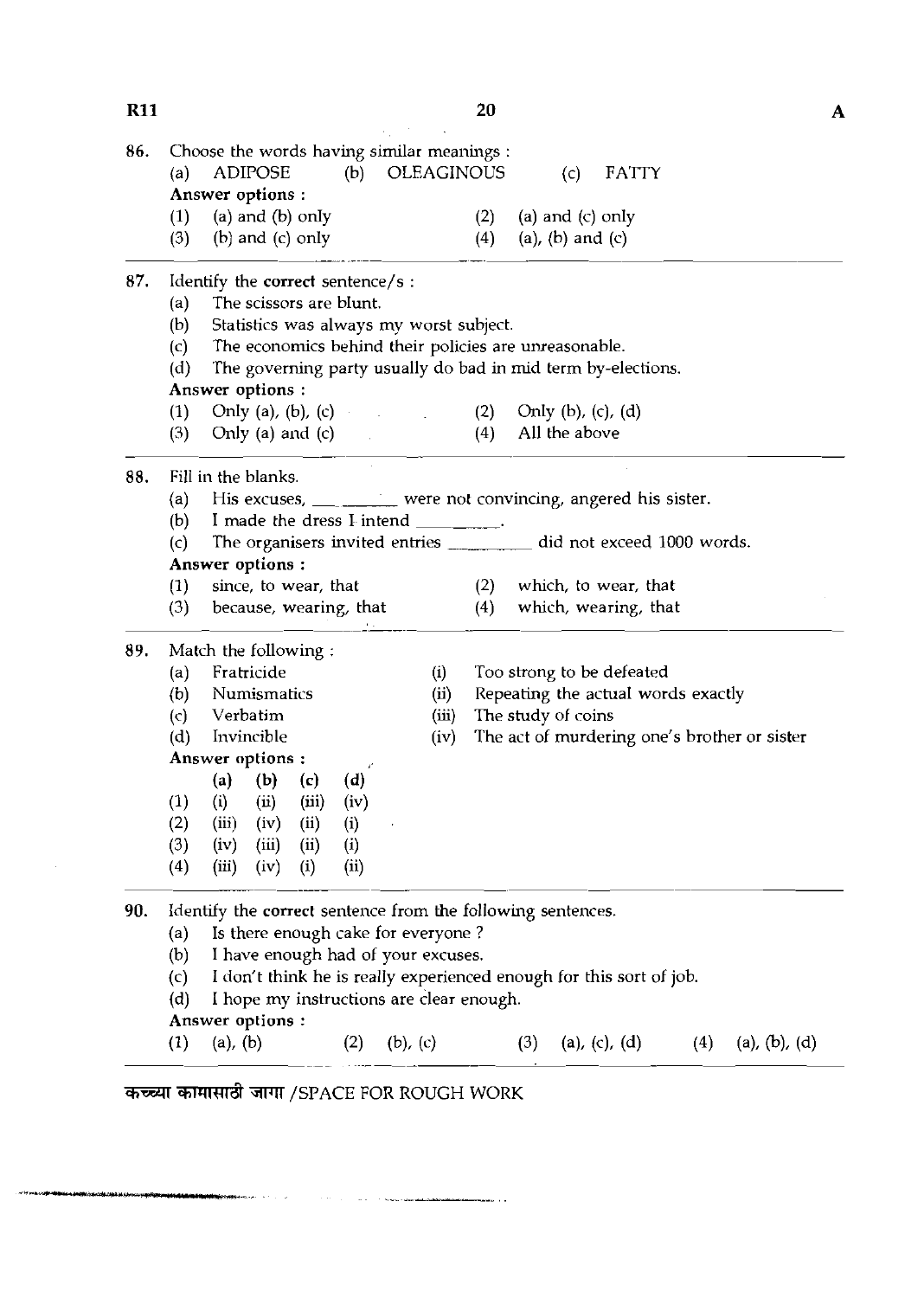| 86. |                           | Choose the words having similar meanings :                                                                                                                                                                                                                                                                                                                                                             |                   |       |     |                    |                                    |     |                                              |  |
|-----|---------------------------|--------------------------------------------------------------------------------------------------------------------------------------------------------------------------------------------------------------------------------------------------------------------------------------------------------------------------------------------------------------------------------------------------------|-------------------|-------|-----|--------------------|------------------------------------|-----|----------------------------------------------|--|
|     | (a)                       | <b>ADIPOSE</b><br>Answer options :                                                                                                                                                                                                                                                                                                                                                                     | (b) OLEAGINOUS    |       |     | (c)                | <b>FATTY</b>                       |     |                                              |  |
|     | (1)                       | $(a)$ and $(b)$ only                                                                                                                                                                                                                                                                                                                                                                                   |                   |       | (2) | (a) and $(c)$ only |                                    |     |                                              |  |
|     | (3)                       | $(b)$ and $(c)$ only                                                                                                                                                                                                                                                                                                                                                                                   |                   |       | (4) | (a), (b) and $(c)$ |                                    |     |                                              |  |
| 87. |                           | Identify the correct sentence/s :                                                                                                                                                                                                                                                                                                                                                                      |                   |       |     |                    |                                    |     |                                              |  |
|     | (a)                       | The scissors are blunt.                                                                                                                                                                                                                                                                                                                                                                                |                   |       |     |                    |                                    |     |                                              |  |
|     | (b)                       | Statistics was always my worst subject.                                                                                                                                                                                                                                                                                                                                                                |                   |       |     |                    |                                    |     |                                              |  |
|     | (c)                       | The economics behind their policies are unreasonable.                                                                                                                                                                                                                                                                                                                                                  |                   |       |     |                    |                                    |     |                                              |  |
|     | (d)                       | The governing party usually do bad in mid term by-elections.                                                                                                                                                                                                                                                                                                                                           |                   |       |     |                    |                                    |     |                                              |  |
|     |                           | Answer options :                                                                                                                                                                                                                                                                                                                                                                                       |                   |       |     |                    |                                    |     |                                              |  |
|     | (1)                       | Only (a), (b), (c) (2) Only (b), (c), (d)                                                                                                                                                                                                                                                                                                                                                              |                   |       |     |                    |                                    |     |                                              |  |
|     | (3)                       | Only (a) and (c) $\qquad \qquad$                                                                                                                                                                                                                                                                                                                                                                       |                   |       | (4) | All the above      |                                    |     |                                              |  |
| 88. | Fill in the blanks.       |                                                                                                                                                                                                                                                                                                                                                                                                        |                   |       |     |                    |                                    |     |                                              |  |
|     | (a)                       | His excuses, ________ were not convincing, angered his sister.                                                                                                                                                                                                                                                                                                                                         |                   |       |     |                    |                                    |     |                                              |  |
|     |                           | (b) I made the dress I intend $\frac{1}{\sqrt{1-\frac{1}{\sqrt{1-\frac{1}{\sqrt{1-\frac{1}{\sqrt{1-\frac{1}{\sqrt{1-\frac{1}{\sqrt{1-\frac{1}{\sqrt{1-\frac{1}{\sqrt{1-\frac{1}{\sqrt{1-\frac{1}{\sqrt{1-\frac{1}{\sqrt{1-\frac{1}{\sqrt{1-\frac{1}{\sqrt{1-\frac{1}{\sqrt{1-\frac{1}{\sqrt{1-\frac{1}{\sqrt{1-\frac{1}{\sqrt{1-\frac{1}{\sqrt{1-\frac{1}{\sqrt{1-\frac{1}{\sqrt{1-\frac{1}{\sqrt{1-\$ |                   |       |     |                    |                                    |     |                                              |  |
|     | (c)                       | The organisers invited entries __________ did not exceed 1000 words.                                                                                                                                                                                                                                                                                                                                   |                   |       |     |                    |                                    |     |                                              |  |
|     |                           | Answer options :                                                                                                                                                                                                                                                                                                                                                                                       |                   |       |     |                    |                                    |     |                                              |  |
|     | (1)                       | since, to wear, that                                                                                                                                                                                                                                                                                                                                                                                   |                   |       |     |                    | $(2)$ which, to wear, that         |     |                                              |  |
|     | (3)                       | because, wearing, that                                                                                                                                                                                                                                                                                                                                                                                 |                   |       | (4) |                    | which, wearing, that               |     |                                              |  |
| 89. |                           | Match the following:                                                                                                                                                                                                                                                                                                                                                                                   |                   |       |     |                    |                                    |     |                                              |  |
|     | (a)                       | Fratricide                                                                                                                                                                                                                                                                                                                                                                                             |                   | (i)   |     |                    | Too strong to be defeated          |     |                                              |  |
|     | (b)                       | Numismatics                                                                                                                                                                                                                                                                                                                                                                                            |                   | (ii)  |     |                    | Repeating the actual words exactly |     |                                              |  |
|     | (c)                       | Verbatim                                                                                                                                                                                                                                                                                                                                                                                               |                   | (iii) |     | The study of coins |                                    |     |                                              |  |
|     | (d)                       | Invincible                                                                                                                                                                                                                                                                                                                                                                                             |                   | (iv)  |     |                    |                                    |     | The act of murdering one's brother or sister |  |
|     |                           | Answer options :                                                                                                                                                                                                                                                                                                                                                                                       |                   |       |     |                    |                                    |     |                                              |  |
|     |                           | $(a)$ $(b)$<br>(c)                                                                                                                                                                                                                                                                                                                                                                                     | (d)               |       |     |                    |                                    |     |                                              |  |
|     | (1)                       | (i)<br>(ii)<br>(iii)                                                                                                                                                                                                                                                                                                                                                                                   | (iv)              |       |     |                    |                                    |     |                                              |  |
|     | (2)                       | (iii)<br>(ii)<br>$\left( i\right)$<br>(iv)                                                                                                                                                                                                                                                                                                                                                             |                   |       |     |                    |                                    |     |                                              |  |
|     | (3)                       | (iv)<br>(iii)<br>(ii)<br>(i)                                                                                                                                                                                                                                                                                                                                                                           |                   |       |     |                    |                                    |     |                                              |  |
|     | (4)                       | (iii)<br>(iv)<br>$\left( i\right)$                                                                                                                                                                                                                                                                                                                                                                     | (i)               |       |     |                    |                                    |     |                                              |  |
| 90. |                           | Identify the correct sentence from the following sentences.                                                                                                                                                                                                                                                                                                                                            |                   |       |     |                    |                                    |     |                                              |  |
|     | (a)                       | Is there enough cake for everyone?                                                                                                                                                                                                                                                                                                                                                                     |                   |       |     |                    |                                    |     |                                              |  |
|     | (b)                       | I have enough had of your excuses.                                                                                                                                                                                                                                                                                                                                                                     |                   |       |     |                    |                                    |     |                                              |  |
|     | $\mathcal{L}(\mathsf{c})$ | I don't think he is really experienced enough for this sort of job.                                                                                                                                                                                                                                                                                                                                    |                   |       |     |                    |                                    |     |                                              |  |
|     | (d)                       | I hope my instructions are clear enough.                                                                                                                                                                                                                                                                                                                                                               |                   |       |     |                    |                                    |     |                                              |  |
|     |                           | Answer options :                                                                                                                                                                                                                                                                                                                                                                                       |                   |       |     |                    |                                    |     |                                              |  |
|     | (1)                       | (a), (b)                                                                                                                                                                                                                                                                                                                                                                                               | (b), $(c)$<br>(2) |       |     | (3)                | (a), (c), (d)                      | (4) | (a), (b), (d)                                |  |

and the contract of the second contract of the second contract of the second contract of the second contract of the second contract of the second contract of the second contract of the second contract of the second contrac

الأدامسة

.<br>Manazarta di Santa La

## $\overline{R11}$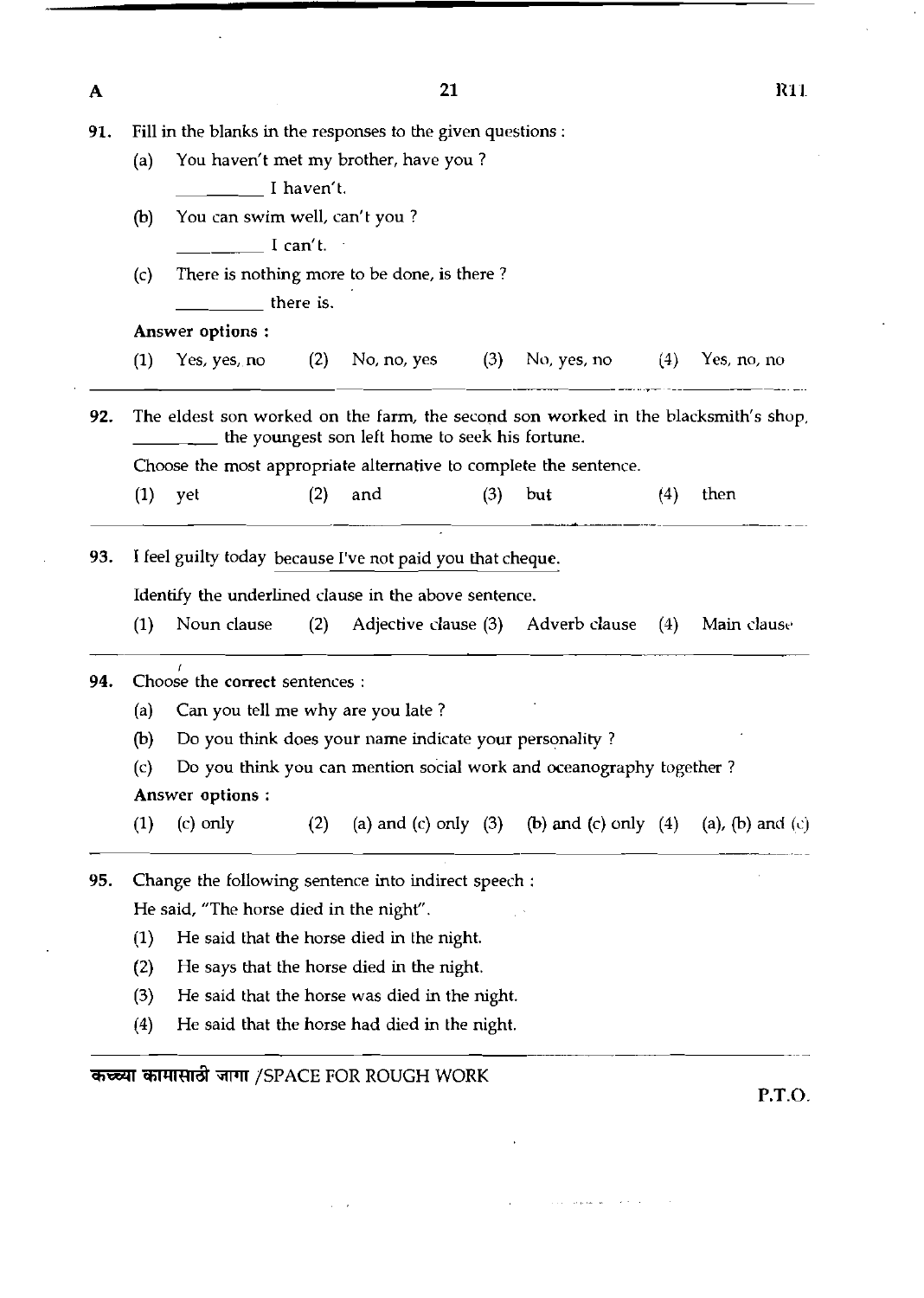| A   | 21                                                                |                                                                                                                                       |     |                                               |     |                                                            |     |             |  |  |  |  |
|-----|-------------------------------------------------------------------|---------------------------------------------------------------------------------------------------------------------------------------|-----|-----------------------------------------------|-----|------------------------------------------------------------|-----|-------------|--|--|--|--|
| 91. | Fill in the blanks in the responses to the given questions :      |                                                                                                                                       |     |                                               |     |                                                            |     |             |  |  |  |  |
|     | You haven't met my brother, have you?<br>(a)                      |                                                                                                                                       |     |                                               |     |                                                            |     |             |  |  |  |  |
|     | I haven't.                                                        |                                                                                                                                       |     |                                               |     |                                                            |     |             |  |  |  |  |
|     | You can swim well, can't you?<br>(b)                              |                                                                                                                                       |     |                                               |     |                                                            |     |             |  |  |  |  |
|     | I can't.                                                          |                                                                                                                                       |     |                                               |     |                                                            |     |             |  |  |  |  |
|     | There is nothing more to be done, is there?<br>(c)                |                                                                                                                                       |     |                                               |     |                                                            |     |             |  |  |  |  |
|     |                                                                   | there is.                                                                                                                             |     |                                               |     |                                                            |     |             |  |  |  |  |
|     |                                                                   | Answer options:                                                                                                                       |     |                                               |     |                                                            |     |             |  |  |  |  |
|     | (1)                                                               | Yes, yes, no $(2)$                                                                                                                    |     | No, no, yes $(3)$                             |     | No, yes, no $(4)$                                          |     | Yes, no, no |  |  |  |  |
| 92. |                                                                   | The eldest son worked on the farm, the second son worked in the blacksmith's shop,<br>the youngest son left home to seek his fortune. |     |                                               |     |                                                            |     |             |  |  |  |  |
|     | Choose the most appropriate alternative to complete the sentence. |                                                                                                                                       |     |                                               |     |                                                            |     |             |  |  |  |  |
|     | (1)                                                               | yet                                                                                                                                   | (2) | and                                           | (3) | but                                                        | (4) | then        |  |  |  |  |
| 93. |                                                                   | I feel guilty today because I've not paid you that cheque.                                                                            |     |                                               |     |                                                            |     |             |  |  |  |  |
|     | Identify the underlined clause in the above sentence.             |                                                                                                                                       |     |                                               |     |                                                            |     |             |  |  |  |  |
|     | (1)                                                               | Noun clause                                                                                                                           | (2) |                                               |     | Adjective clause (3) Adverb clause                         | (4) | Main clause |  |  |  |  |
| 94. | r<br>Choose the correct sentences :                               |                                                                                                                                       |     |                                               |     |                                                            |     |             |  |  |  |  |
|     | (a)                                                               | Can you tell me why are you late?                                                                                                     |     |                                               |     |                                                            |     |             |  |  |  |  |
|     | (b)                                                               | Do you think does your name indicate your personality?                                                                                |     |                                               |     |                                                            |     |             |  |  |  |  |
|     | (c)                                                               | Do you think you can mention social work and oceanography together?                                                                   |     |                                               |     |                                                            |     |             |  |  |  |  |
|     | <b>Answer options:</b>                                            |                                                                                                                                       |     |                                               |     |                                                            |     |             |  |  |  |  |
|     | (1)                                                               | $(c)$ only                                                                                                                            | (2) |                                               |     | (a) and (c) only (3) (b) and (c) only (4) (a), (b) and (c) |     |             |  |  |  |  |
| 95. |                                                                   | Change the following sentence into indirect speech :                                                                                  |     |                                               |     |                                                            |     |             |  |  |  |  |
|     |                                                                   | He said, "The horse died in the night".                                                                                               |     |                                               |     |                                                            |     |             |  |  |  |  |
|     | (1)                                                               |                                                                                                                                       |     | He said that the horse died in the night.     |     |                                                            |     |             |  |  |  |  |
|     | (2)                                                               |                                                                                                                                       |     | He says that the horse died in the night.     |     |                                                            |     |             |  |  |  |  |
|     | (3)                                                               |                                                                                                                                       |     | He said that the horse was died in the night. |     |                                                            |     |             |  |  |  |  |
|     | (4)                                                               |                                                                                                                                       |     | He said that the horse had died in the night. |     |                                                            |     |             |  |  |  |  |
|     |                                                                   |                                                                                                                                       |     |                                               |     |                                                            |     |             |  |  |  |  |

 $\mathbf{r}$ 

 $\hat{\beta}$  ,  $\hat{\beta}$  , where  $\hat{\beta}$  is the  $\hat{\beta}$ 

कच्च्या कामासाठी जागा /SPACE FOR ROUGH WORK

 $\hat{L}^{\pm}$  ,  $\hat{L}^{\pm}$ 

 $\ddot{\phantom{a}}$ 

**P.T.O.** 

 $\bar{\mathcal{L}}$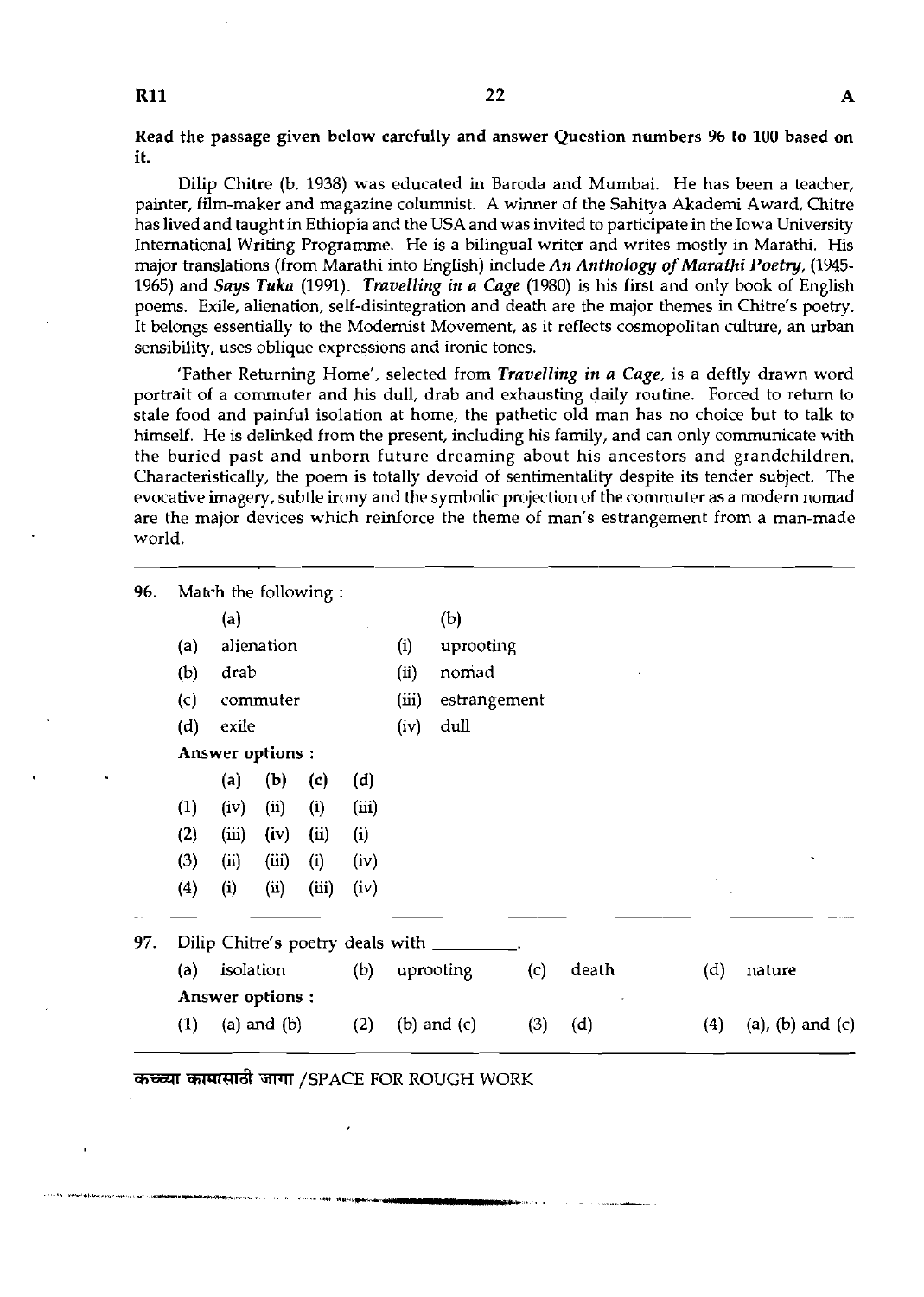### **R11**

Read the passage given below carefully and answer Question numbers **96** to 100 based on it.

Dilip Chitre (b. 1938) was educated in Baroda and Mumbai. He has been a teacher, painter, film-maker and magazine columnist. A winner of the Sahitya Akademi Award, Chitre has lived and taught in Ethiopia and the USA and was invited to participate in the Iowa University International Writing Programme. He is a bilingual writer and writes mostly in Marathi. His major translations (from Marathi into English) include *An Atrthology* of *Marathi Poetry,* (1945- 1965) and *Says Tuka* (1991). *Travelling in a Cage* (1980) is his first and only book of English poems. Exile, alienation, self-disintegration and death are the major themes in Chitre's poetry. It belongs essentially to the Modernist Movement, as it reflects cosmopolitan culture, an urban sensibility, uses oblique expressions and ironic tones.

'Father Returning Home', selected from *Travelling in a Cage,* is a deftly drawn word portrait of a commuter and his dull, drab and exhausting daily routine. Forced to return to stale food and painful isolation at home, the pathetic old man has no choice but to talk to himself. He is delinked from the present, including his family, and can only communicate with the buried past and unborn future dreaming about his ancestors and grandchildren. Characteristically, the poem is totally devoid of sentimentality despite its tender subject. The evocative imagery, subtle irony and the symbolic projection of the commuter as a modem nomad are the major devices which reinforce the theme of man's estrangement from a man-made world.

| (a)<br>(b)<br>(c)<br>(d) | (a)<br>drab<br>exile<br>Answer options: | alienation<br>commuter |           |                                    | (i)<br>(ii)<br>(iii) | (b)<br>uprooting<br>nomad |                                                                        |       |     |                         |
|--------------------------|-----------------------------------------|------------------------|-----------|------------------------------------|----------------------|---------------------------|------------------------------------------------------------------------|-------|-----|-------------------------|
|                          |                                         |                        |           |                                    |                      |                           |                                                                        |       |     |                         |
|                          |                                         |                        |           |                                    |                      |                           |                                                                        |       |     |                         |
|                          |                                         |                        |           |                                    |                      |                           |                                                                        |       |     |                         |
|                          |                                         |                        |           |                                    |                      | estrangement              |                                                                        |       |     |                         |
|                          |                                         |                        |           |                                    | (iv)                 | dull                      |                                                                        |       |     |                         |
|                          |                                         |                        |           |                                    |                      |                           |                                                                        |       |     |                         |
|                          | (a)                                     | (b)                    | (c)       | (d)                                |                      |                           |                                                                        |       |     |                         |
| (1)                      | (iv)                                    | (i)                    | (i)       | (iii)                              |                      |                           |                                                                        |       |     |                         |
| (2)                      | (iii)                                   | (iv)                   | (ii)      | (i)                                |                      |                           |                                                                        |       |     |                         |
| (3)                      | (ii)                                    | (iii)                  | (i)       | (iv)                               |                      |                           |                                                                        |       |     |                         |
| (4)                      | (i)                                     | (i)                    | (iii)     | (iv)                               |                      |                           |                                                                        |       |     |                         |
|                          |                                         |                        |           |                                    |                      |                           |                                                                        |       |     |                         |
| (a)                      |                                         |                        |           | (b)                                |                      |                           | (c)                                                                    | death | (d) | nature                  |
|                          |                                         |                        |           |                                    |                      |                           |                                                                        |       |     |                         |
| (1)                      |                                         |                        |           | (2)                                |                      |                           | (3)                                                                    | (d)   | (4) | $(a)$ , $(b)$ and $(c)$ |
|                          |                                         |                        | isolation | Answer options:<br>$(a)$ and $(b)$ |                      |                           | Dilip Chitre's poetry deals with _______<br>uprooting<br>(b) and $(c)$ |       |     |                         |

**कच्च्या कामासाठी जागा /SPACE FOR ROUGH WORK**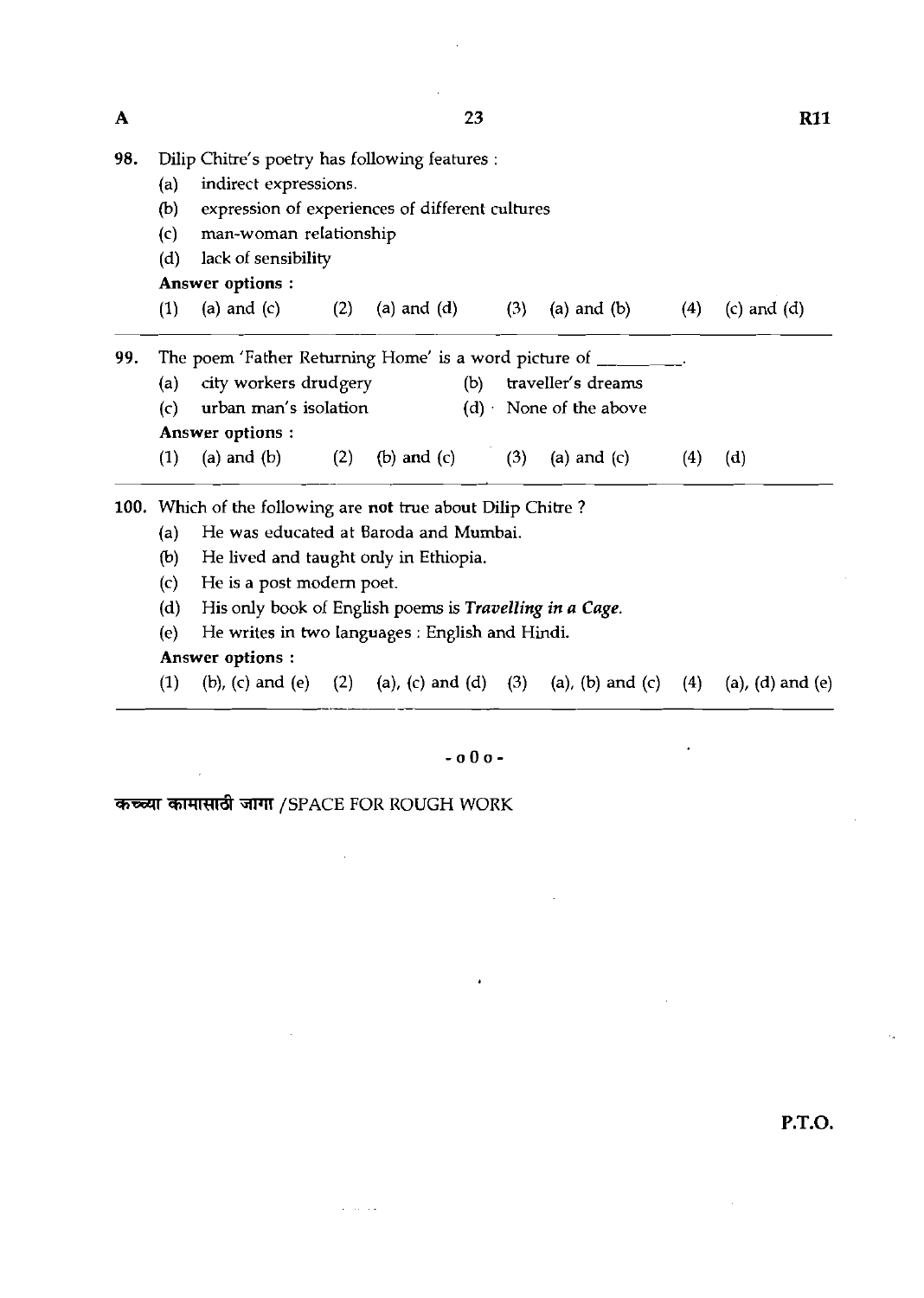- **98.** Dilip Chitre's poetry has following features :
	- (a) indirect expressions.
	- (b) expression of experiences of different cultures
	- (c) man-woman relationship
	- (d) lack of sensibility

Answer options :

(1) (a) and (c) (2) (a) and (4 (3) (a) and (b) **(4)** (c) and (4

**99.** The poem 'Father Returning Home' is a word picture of  $\qquad$ (a) city workers drudgery (b) traveller's dreams (c) urban man's isolation  $(d)$  None of the above Answer options : (1) (a) and (b) (2) (b) and (c) (3) (a) and (c) (4) (d)

100. Which of the following are not true about Dilip Chitre?

- (a) He was educated at Baroda and Mumbai.
- (b) He lived and taught only in Ethiopia.
- (c) He is a post modem poet.
- (d) His only book of English poems is *Travelling in a Cage.*
- (e) He writes in two languages : English and Hindi.

### Answer options :

(1) (b), (c) and (e) (2) (a), (c) and (d) (3) (a), (b) and (c) (4) (a), (d) and (e)

### $-000 -$

कच्च्या कामासाठी जागा /SPACE FOR ROUGH WORK

 $\alpha$  ,  $\alpha$  ,  $\alpha$  ,  $\alpha$ 

**P.T.O.** 

 $\overline{\mathbf{A}}$